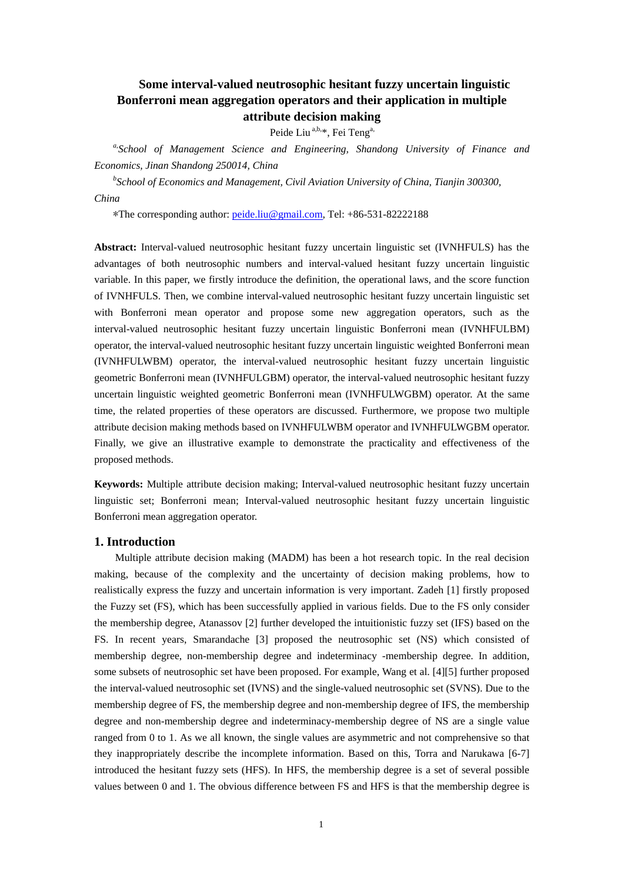# **Some interval-valued neutrosophic hesitant fuzzy uncertain linguistic Bonferroni mean aggregation operators and their application in multiple attribute decision making**

Peide Liu<sup>a,b,\*</sup>, Fei Teng<sup>a,</sup>

*a,School of Management Science and Engineering, Shandong University of Finance and Economics, Jinan Shandong 250014, China* 

*b School of Economics and Management, Civil Aviation University of China, Tianjin 300300, China* 

\*The corresponding author: peide.liu@gmail.com, Tel: +86-531-82222188

**Abstract:** Interval-valued neutrosophic hesitant fuzzy uncertain linguistic set (IVNHFULS) has the advantages of both neutrosophic numbers and interval-valued hesitant fuzzy uncertain linguistic variable. In this paper, we firstly introduce the definition, the operational laws, and the score function of IVNHFULS. Then, we combine interval-valued neutrosophic hesitant fuzzy uncertain linguistic set with Bonferroni mean operator and propose some new aggregation operators, such as the interval-valued neutrosophic hesitant fuzzy uncertain linguistic Bonferroni mean (IVNHFULBM) operator, the interval-valued neutrosophic hesitant fuzzy uncertain linguistic weighted Bonferroni mean (IVNHFULWBM) operator, the interval-valued neutrosophic hesitant fuzzy uncertain linguistic geometric Bonferroni mean (IVNHFULGBM) operator, the interval-valued neutrosophic hesitant fuzzy uncertain linguistic weighted geometric Bonferroni mean (IVNHFULWGBM) operator. At the same time, the related properties of these operators are discussed. Furthermore, we propose two multiple attribute decision making methods based on IVNHFULWBM operator and IVNHFULWGBM operator. Finally, we give an illustrative example to demonstrate the practicality and effectiveness of the proposed methods.

**Keywords:** Multiple attribute decision making; Interval-valued neutrosophic hesitant fuzzy uncertain linguistic set; Bonferroni mean; Interval-valued neutrosophic hesitant fuzzy uncertain linguistic Bonferroni mean aggregation operator.

#### **1. Introduction**

Multiple attribute decision making (MADM) has been a hot research topic. In the real decision making, because of the complexity and the uncertainty of decision making problems, how to realistically express the fuzzy and uncertain information is very important. Zadeh [1] firstly proposed the Fuzzy set (FS), which has been successfully applied in various fields. Due to the FS only consider the membership degree, Atanassov [2] further developed the intuitionistic fuzzy set (IFS) based on the FS. In recent years, Smarandache [3] proposed the neutrosophic set (NS) which consisted of membership degree, non-membership degree and indeterminacy -membership degree. In addition, some subsets of neutrosophic set have been proposed. For example, Wang et al. [4][5] further proposed the interval-valued neutrosophic set (IVNS) and the single-valued neutrosophic set (SVNS). Due to the membership degree of FS, the membership degree and non-membership degree of IFS, the membership degree and non-membership degree and indeterminacy-membership degree of NS are a single value ranged from 0 to 1. As we all known, the single values are asymmetric and not comprehensive so that they inappropriately describe the incomplete information. Based on this, Torra and Narukawa [6-7] introduced the hesitant fuzzy sets (HFS). In HFS, the membership degree is a set of several possible values between 0 and 1. The obvious difference between FS and HFS is that the membership degree is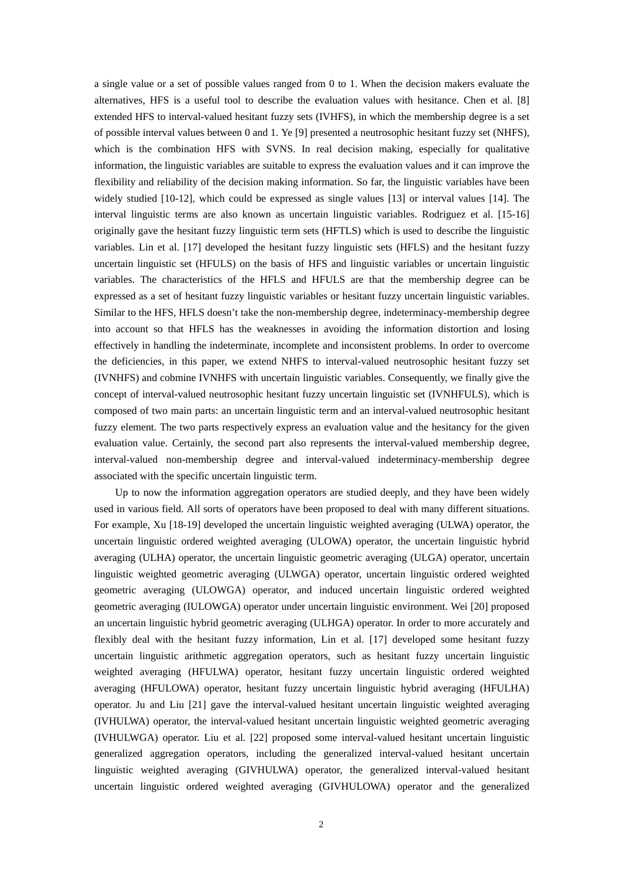a single value or a set of possible values ranged from 0 to 1. When the decision makers evaluate the alternatives, HFS is a useful tool to describe the evaluation values with hesitance. Chen et al. [8] extended HFS to interval-valued hesitant fuzzy sets (IVHFS), in which the membership degree is a set of possible interval values between 0 and 1. Ye [9] presented a neutrosophic hesitant fuzzy set (NHFS), which is the combination HFS with SVNS. In real decision making, especially for qualitative information, the linguistic variables are suitable to express the evaluation values and it can improve the flexibility and reliability of the decision making information. So far, the linguistic variables have been widely studied [10-12], which could be expressed as single values [13] or interval values [14]. The interval linguistic terms are also known as uncertain linguistic variables. Rodriguez et al. [15-16] originally gave the hesitant fuzzy linguistic term sets (HFTLS) which is used to describe the linguistic variables. Lin et al. [17] developed the hesitant fuzzy linguistic sets (HFLS) and the hesitant fuzzy uncertain linguistic set (HFULS) on the basis of HFS and linguistic variables or uncertain linguistic variables. The characteristics of the HFLS and HFULS are that the membership degree can be expressed as a set of hesitant fuzzy linguistic variables or hesitant fuzzy uncertain linguistic variables. Similar to the HFS, HFLS doesn't take the non-membership degree, indeterminacy-membership degree into account so that HFLS has the weaknesses in avoiding the information distortion and losing effectively in handling the indeterminate, incomplete and inconsistent problems. In order to overcome the deficiencies, in this paper, we extend NHFS to interval-valued neutrosophic hesitant fuzzy set (IVNHFS) and cobmine IVNHFS with uncertain linguistic variables. Consequently, we finally give the concept of interval-valued neutrosophic hesitant fuzzy uncertain linguistic set (IVNHFULS), which is composed of two main parts: an uncertain linguistic term and an interval-valued neutrosophic hesitant fuzzy element. The two parts respectively express an evaluation value and the hesitancy for the given evaluation value. Certainly, the second part also represents the interval-valued membership degree, interval-valued non-membership degree and interval-valued indeterminacy-membership degree associated with the specific uncertain linguistic term.

Up to now the information aggregation operators are studied deeply, and they have been widely used in various field. All sorts of operators have been proposed to deal with many different situations. For example, Xu [18-19] developed the uncertain linguistic weighted averaging (ULWA) operator, the uncertain linguistic ordered weighted averaging (ULOWA) operator, the uncertain linguistic hybrid averaging (ULHA) operator, the uncertain linguistic geometric averaging (ULGA) operator, uncertain linguistic weighted geometric averaging (ULWGA) operator, uncertain linguistic ordered weighted geometric averaging (ULOWGA) operator, and induced uncertain linguistic ordered weighted geometric averaging (IULOWGA) operator under uncertain linguistic environment. Wei [20] proposed an uncertain linguistic hybrid geometric averaging (ULHGA) operator. In order to more accurately and flexibly deal with the hesitant fuzzy information, Lin et al. [17] developed some hesitant fuzzy uncertain linguistic arithmetic aggregation operators, such as hesitant fuzzy uncertain linguistic weighted averaging (HFULWA) operator, hesitant fuzzy uncertain linguistic ordered weighted averaging (HFULOWA) operator, hesitant fuzzy uncertain linguistic hybrid averaging (HFULHA) operator. Ju and Liu [21] gave the interval-valued hesitant uncertain linguistic weighted averaging (IVHULWA) operator, the interval-valued hesitant uncertain linguistic weighted geometric averaging (IVHULWGA) operator. Liu et al. [22] proposed some interval-valued hesitant uncertain linguistic generalized aggregation operators, including the generalized interval-valued hesitant uncertain linguistic weighted averaging (GIVHULWA) operator, the generalized interval-valued hesitant uncertain linguistic ordered weighted averaging (GIVHULOWA) operator and the generalized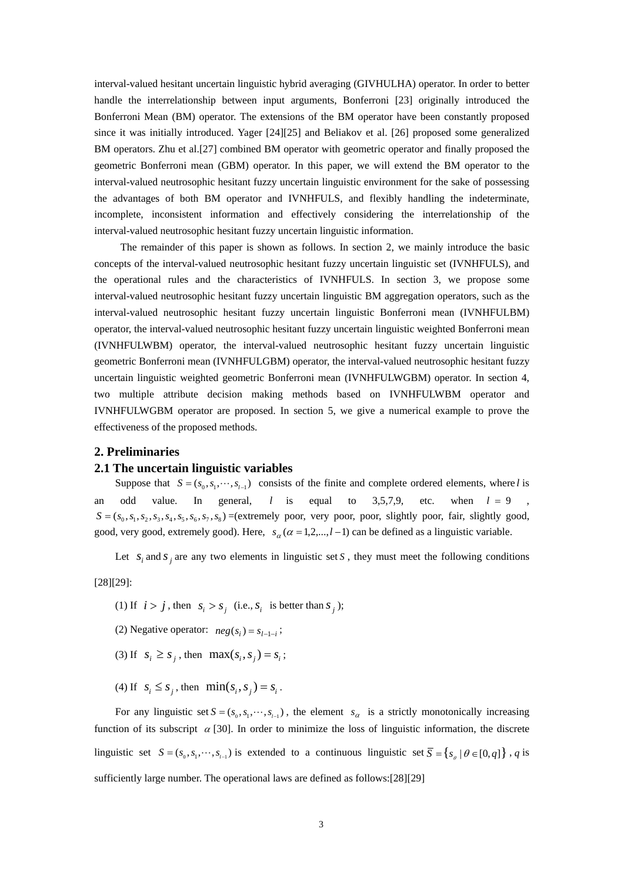interval-valued hesitant uncertain linguistic hybrid averaging (GIVHULHA) operator. In order to better handle the interrelationship between input arguments, Bonferroni [23] originally introduced the Bonferroni Mean (BM) operator. The extensions of the BM operator have been constantly proposed since it was initially introduced. Yager [24][25] and Beliakov et al. [26] proposed some generalized BM operators. Zhu et al.[27] combined BM operator with geometric operator and finally proposed the geometric Bonferroni mean (GBM) operator. In this paper, we will extend the BM operator to the interval-valued neutrosophic hesitant fuzzy uncertain linguistic environment for the sake of possessing the advantages of both BM operator and IVNHFULS, and flexibly handling the indeterminate, incomplete, inconsistent information and effectively considering the interrelationship of the interval-valued neutrosophic hesitant fuzzy uncertain linguistic information.

 The remainder of this paper is shown as follows. In section 2, we mainly introduce the basic concepts of the interval-valued neutrosophic hesitant fuzzy uncertain linguistic set (IVNHFULS), and the operational rules and the characteristics of IVNHFULS. In section 3, we propose some interval-valued neutrosophic hesitant fuzzy uncertain linguistic BM aggregation operators, such as the interval-valued neutrosophic hesitant fuzzy uncertain linguistic Bonferroni mean (IVNHFULBM) operator, the interval-valued neutrosophic hesitant fuzzy uncertain linguistic weighted Bonferroni mean (IVNHFULWBM) operator, the interval-valued neutrosophic hesitant fuzzy uncertain linguistic geometric Bonferroni mean (IVNHFULGBM) operator, the interval-valued neutrosophic hesitant fuzzy uncertain linguistic weighted geometric Bonferroni mean (IVNHFULWGBM) operator. In section 4, two multiple attribute decision making methods based on IVNHFULWBM operator and IVNHFULWGBM operator are proposed. In section 5, we give a numerical example to prove the effectiveness of the proposed methods.

### **2. Preliminaries**

#### **2.1 The uncertain linguistic variables**

Suppose that  $S = (s_0, s_1, \dots, s_{l-1})$  consists of the finite and complete ordered elements, where *l* is an odd value. In general, *l* is equal to 3,5,7,9, etc. when  $l = 9$  $S = (s_0, s_1, s_2, s_3, s_4, s_5, s_6, s_7, s_8)$  =(extremely poor, very poor, poor, slightly poor, fair, slightly good, good, very good, extremely good). Here,  $s_\alpha$  ( $\alpha$  = 1,2,..., $l$  -1) can be defined as a linguistic variable.

Let  $s_i$  and  $s_j$  are any two elements in linguistic set  $S$ , they must meet the following conditions

[28][29]:

- (1) If  $i > j$ , then  $s_i > s_j$  (i.e.,  $s_i$  is better than  $s_j$ );
- (2) Negative operator:  $neg(s_i) = s_{i-1-i}$ ;
- (3) If  $s_i \geq s_j$ , then  $\max(s_i, s_j) = s_i$ ;
- (4) If  $s_i \leq s_j$ , then  $\min(s_i, s_j) = s_i$ .

For any linguistic set  $S = (s_0, s_1, \dots, s_{l-1})$ , the element  $s_\alpha$  is a strictly monotonically increasing function of its subscript  $\alpha$  [30]. In order to minimize the loss of linguistic information, the discrete linguistic set  $S = (s_0, s_1, \dots, s_{i-1})$  is extended to a continuous linguistic set  $\overline{S} = \{s_{\rho} | \theta \in [0, q]\}\$ , *q* is sufficiently large number. The operational laws are defined as follows:[28][29]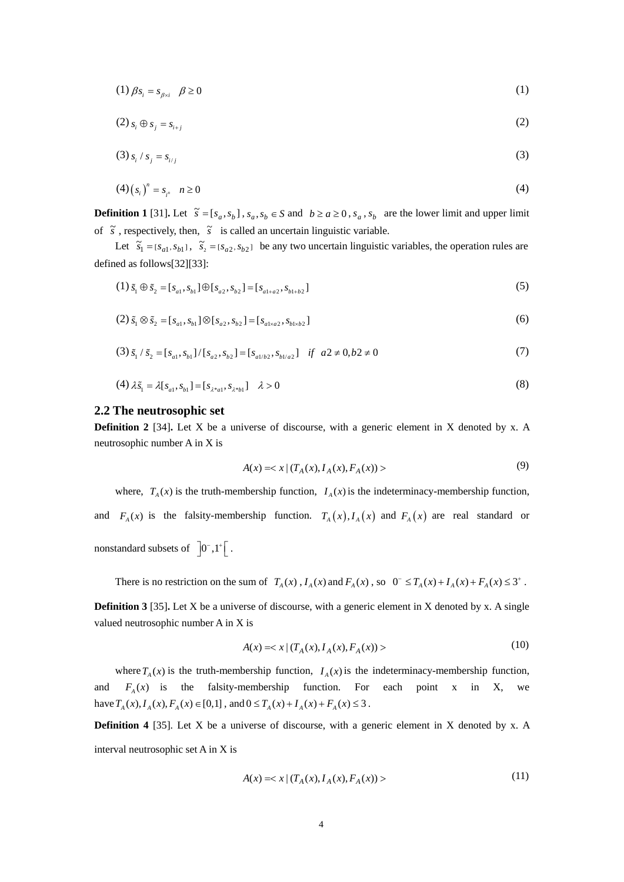$$
(1) \beta s_i = s_{\beta \times i} \quad \beta \ge 0 \tag{1}
$$

$$
(2) s_i \oplus s_j = s_{i+j} \tag{2}
$$

$$
(3) s_i / s_j = s_{i/j}
$$
 (3)

$$
(4) (s_i)^n = s_{i^n} \quad n \ge 0
$$
 (4)

**Definition 1** [31]. Let  $\tilde{s} = [s_a, s_b]$ ,  $s_a, s_b \in S$  and  $b \ge a \ge 0$ ,  $s_a$ ,  $s_b$  are the lower limit and upper limit of  $\tilde{s}$ , respectively, then,  $\tilde{s}$  is called an uncertain linguistic variable.

Let  $\tilde{s}_1 = [s_{a1}, s_{b1}], \tilde{s}_2 = [s_{a2}, s_{b2}]$  be any two uncertain linguistic variables, the operation rules are defined as follows[32][33]:

$$
(1) \tilde{s}_1 \oplus \tilde{s}_2 = [s_{a1}, s_{b1}] \oplus [s_{a2}, s_{b2}] = [s_{a1+a2}, s_{b1+b2}]
$$
\n
$$
(5)
$$

$$
(2) \tilde{s}_1 \otimes \tilde{s}_2 = [s_{a1}, s_{b1}] \otimes [s_{a2}, s_{b2}] = [s_{a1 \times a2}, s_{b1 \times b2}] \tag{6}
$$

$$
(3) \tilde{s}_1 / \tilde{s}_2 = [s_{a1}, s_{b1}] / [s_{a2}, s_{b2}] = [s_{a1/b2}, s_{b1/a2}] \quad \text{if} \quad a2 \neq 0, b2 \neq 0 \tag{7}
$$

$$
(4) \lambda \tilde{s}_1 = \lambda [s_{a1}, s_{b1}] = [s_{\lambda^* a1}, s_{\lambda^* b1}] \quad \lambda > 0
$$
 (8)

# **2.2 The neutrosophic set**

**Definition 2** [34]. Let X be a universe of discourse, with a generic element in X denoted by x. A neutrosophic number A in X is

$$
A(x) = \langle x | (T_A(x), I_A(x), F_A(x)) \rangle \tag{9}
$$

where,  $T_A(x)$  is the truth-membership function,  $I_A(x)$  is the indeterminacy-membership function, and  $F_A(x)$  is the falsity-membership function.  $T_A(x)$ ,  $I_A(x)$  and  $F_A(x)$  are real standard or nonstandard subsets of  $\overline{0}^-,1^+$ .

There is no restriction on the sum of  $T_A(x)$ ,  $I_A(x)$  and  $F_A(x)$ , so  $0^- \le T_A(x) + I_A(x) + F_A(x) \le 3^+$ .

**Definition 3** [35]. Let X be a universe of discourse, with a generic element in X denoted by x. A single valued neutrosophic number A in X is

$$
A(x) = \langle x | (T_A(x), I_A(x), F_A(x)) \rangle \tag{10}
$$

where  $T_A(x)$  is the truth-membership function,  $I_A(x)$  is the indeterminacy-membership function, and  $F_A(x)$  is the falsity-membership function. For each point x in X, we have  $T_A(x)$ ,  $I_A(x)$ ,  $F_A(x) \in [0,1]$ , and  $0 \le T_A(x) + I_A(x) + F_A(x) \le 3$ .

**Definition 4** [35]. Let X be a universe of discourse, with a generic element in X denoted by x. A

interval neutrosophic set A in X is

$$
A(x) = \langle x | (T_A(x), I_A(x), F_A(x)) \rangle \tag{11}
$$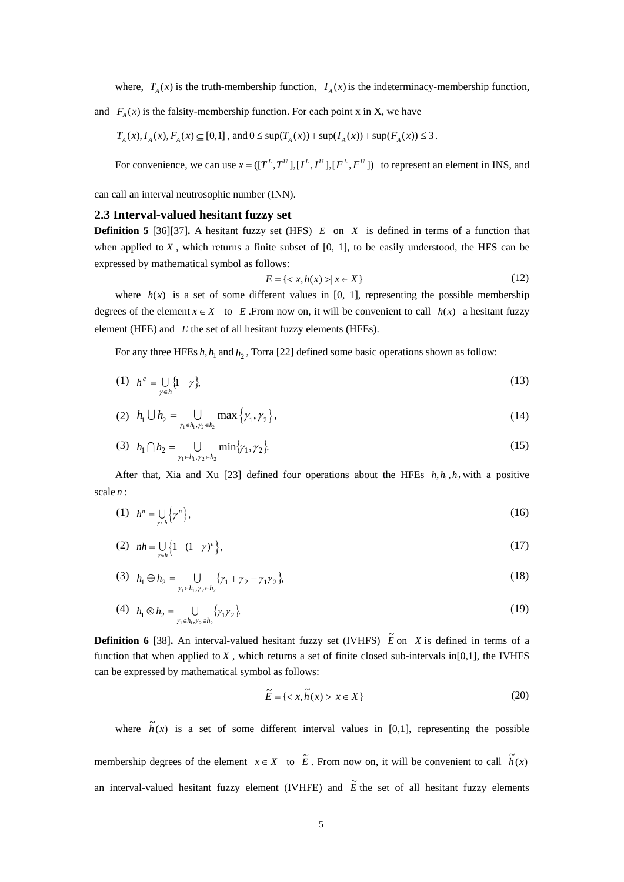where,  $T_A(x)$  is the truth-membership function,  $I_A(x)$  is the indeterminacy-membership function,

and  $F_A(x)$  is the falsity-membership function. For each point x in X, we have

$$
T_A(x), I_A(x), F_A(x) \subseteq [0,1]
$$
, and  $0 \le \sup(T_A(x)) + \sup(I_A(x)) + \sup(F_A(x)) \le 3$ .

For convenience, we can use  $x = ([T^L, T^U], [I^L, I^U], [F^L, F^U])$  to represent an element in INS, and

can call an interval neutrosophic number (INN).

# **2.3 Interval-valued hesitant fuzzy set**

**Definition 5** [36][37]**.** A hesitant fuzzy set (HFS) *E* on *X* is defined in terms of a function that when applied to  $X$ , which returns a finite subset of  $[0, 1]$ , to be easily understood, the HFS can be expressed by mathematical symbol as follows:

$$
E = \{ \langle x, h(x) \rangle \mid x \in X \}
$$
 (12)

where  $h(x)$  is a set of some different values in [0, 1], representing the possible membership degrees of the element  $x \in X$  to *E*. From now on, it will be convenient to call  $h(x)$  a hesitant fuzzy element (HFE) and *E* the set of all hesitant fuzzy elements (HFEs).

For any three HFEs  $h, h_1$  and  $h_2$ , Torra [22] defined some basic operations shown as follow:

$$
(1) \quad h^c = \bigcup_{\gamma \in h} \{1 - \gamma\},\tag{13}
$$

(2) 
$$
h_1 \bigcup h_2 = \bigcup_{\gamma_1 \in h_1, \gamma_2 \in h_2} \max \{ \gamma_1, \gamma_2 \},
$$
 (14)

(3) 
$$
h_1 \cap h_2 = \bigcup_{\gamma_1 \in h_1, \gamma_2 \in h_2} \min\{\gamma_1, \gamma_2\}.
$$
 (15)

After that, Xia and Xu [23] defined four operations about the HFEs  $h, h_1, h_2$  with a positive scale *n* :

$$
(1) \quad h^n = \bigcup_{\gamma \in h} \left\{ \gamma^n \right\},\tag{16}
$$

(2) 
$$
nh = \bigcup_{\gamma \in h} \left\{ 1 - (1 - \gamma)^n \right\},\tag{17}
$$

(3) 
$$
h_1 \oplus h_2 = \bigcup_{\gamma_1 \in h_1, \gamma_2 \in h_2} \{\gamma_1 + \gamma_2 - \gamma_1 \gamma_2\},
$$
 (18)

(4) 
$$
h_1 \otimes h_2 = \bigcup_{\gamma_1 \in h_1, \gamma_2 \in h_2} \{\gamma_1 \gamma_2\}.
$$
 (19)

**Definition 6** [38]. An interval-valued hesitant fuzzy set (IVHFS)  $\tilde{E}$  on *X* is defined in terms of a function that when applied to  $X$ , which returns a set of finite closed sub-intervals in[0,1], the IVHFS can be expressed by mathematical symbol as follows:

$$
\widetilde{E} = \{ \langle x, \widetilde{h}(x) \rangle \mid x \in X \}
$$
\n<sup>(20)</sup>

where  $\tilde{h}(x)$  is a set of some different interval values in [0,1], representing the possible membership degrees of the element  $x \in X$  to  $\tilde{E}$ . From now on, it will be convenient to call  $\tilde{h}(x)$ 

an interval-valued hesitant fuzzy element (IVHFE) and  $\tilde{E}$  the set of all hesitant fuzzy elements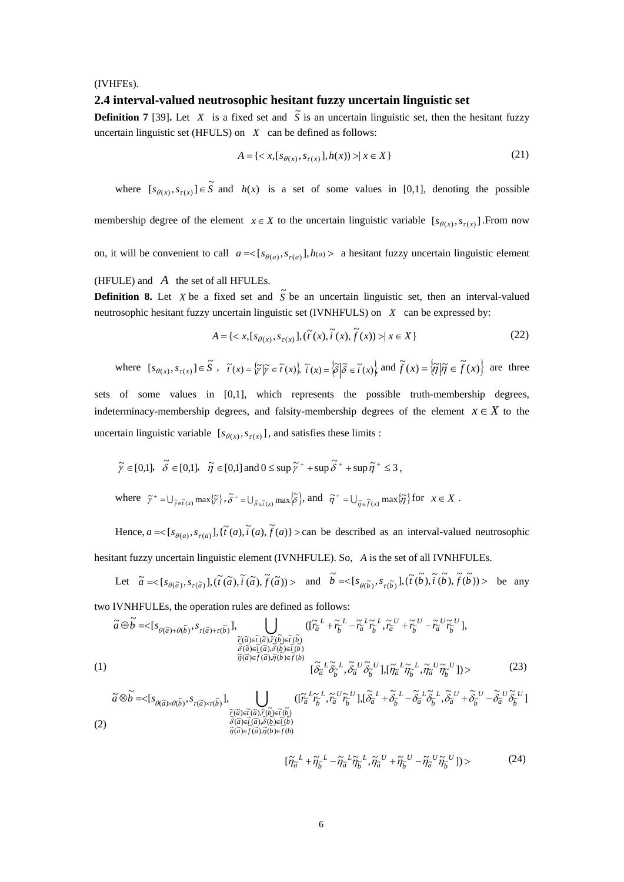#### (IVHFEs).

# **2.4 interval-valued neutrosophic hesitant fuzzy uncertain linguistic set**

**Definition 7** [39]. Let *X* is a fixed set and  $\tilde{S}$  is an uncertain linguistic set, then the hesitant fuzzy uncertain linguistic set (HFULS) on *X* can be defined as follows:

$$
A = \{ \langle x, [s_{\theta(x)}, s_{\tau(x)}], h(x)) \rangle \mid x \in X \}
$$
 (21)

where  $[s_{\theta(x)}, s_{\tau(x)}] \in \tilde{S}$  and  $h(x)$  is a set of some values in [0,1], denoting the possible

membership degree of the element  $x \in X$  to the uncertain linguistic variable  $[s_{\theta(x)}, s_{\tau(x)}]$ . From now

on, it will be convenient to call  $a = \langle [s_{\theta(a)}, s_{\tau(a)}], h(a) \rangle$  a hesitant fuzzy uncertain linguistic element

(HFULE) and *A* the set of all HFULEs.

**Definition 8.** Let *X* be a fixed set and  $\tilde{S}$  be an uncertain linguistic set, then an interval-valued neutrosophic hesitant fuzzy uncertain linguistic set (IVNHFULS) on *X* can be expressed by:

$$
A = \{ \langle x, [s_{\theta(x)}, s_{\tau(x)}], (\tilde{t}(x), \tilde{t}(x), \tilde{f}(x)) \rangle | x \in X \}
$$
 (22)

where 
$$
[s_{\theta(x)}, s_{\tau(x)}] \in \tilde{S}
$$
,  $\tilde{t}(x) = \{\tilde{\gamma} | \tilde{\gamma} \in \tilde{t}(x)\}, \ \tilde{t}(x) = \{\tilde{\delta} | \tilde{\delta} \in \tilde{t}(x)\}$  and  $\tilde{f}(x) = \{\tilde{\eta} | \tilde{\eta} \in \tilde{f}(x)\}$  are three

sets of some values in [0,1], which represents the possible truth-membership degrees, indeterminacy-membership degrees, and falsity-membership degrees of the element  $x \in X$  to the uncertain linguistic variable  $[s_{\theta(x)}, s_{\tau(x)}]$ , and satisfies these limits :

$$
\widetilde{\gamma} \in [0,1], \quad \widetilde{\delta} \in [0,1], \quad \widetilde{\eta} \in [0,1] \text{ and } 0 \leq \sup \widetilde{\gamma}^+ + \sup \widetilde{\delta}^+ + \sup \widetilde{\eta}^+ \leq 3,
$$
  
where 
$$
\widetilde{\gamma}^+ = \bigcup_{\widetilde{\gamma} \in \widetilde{I}(x)} \max \{\widetilde{\gamma}\}, \widetilde{\delta}^+ = \bigcup_{\widetilde{\delta} \in \widetilde{I}(x)} \max \{\widetilde{\delta}\}, \text{ and } \quad \widetilde{\eta}^+ = \bigcup_{\widetilde{\eta} \in \widetilde{I}(x)} \max \{\widetilde{\eta}\} \text{ for } x \in X.
$$

Hence,  $a = \{s_{\theta(a)}, s_{\tau(a)}\}$ ,  $\{\tilde{t}(a), \tilde{t}(a), \tilde{f}(a)\}$  and be described as an interval-valued neutrosophic

hesitant fuzzy uncertain linguistic element (IVNHFULE). So, *A* is the set of all IVNHFULEs.

Let 
$$
\tilde{a} = \langle [s_{\theta(\tilde{a})}, s_{\tau(\tilde{a})}], (\tilde{t}(\tilde{a}), \tilde{t}(\tilde{a}), \tilde{f}(\tilde{a})] \rangle
$$
 and  $\tilde{b} = \langle [s_{\theta(\tilde{b})}, s_{\tau(\tilde{b})}], (\tilde{t}(\tilde{b}), \tilde{t}(\tilde{b}), \tilde{f}(\tilde{b})) \rangle$  be any

two IVNHFULEs, the operation rules are defined as follows:

$$
\tilde{a}\oplus\tilde{b} = \langle [s_{\theta(\tilde{a})+\theta(\tilde{b})}, s_{\tau(\tilde{a})+\tau(\tilde{b})}], \bigcup_{\substack{\tilde{r}(\tilde{a})\in\tilde{t}(\tilde{a}), \tilde{r}(\tilde{b})\in\tilde{t}(\tilde{b})\\ \tilde{\delta}(\tilde{a})\in\tilde{t}(\tilde{a}), \tilde{\delta}(\tilde{b})\in\tilde{t}(\tilde{b})\\ \tilde{\eta}(\tilde{a})\in\tilde{f}(\tilde{a}), \tilde{\eta}(\tilde{b})\in\tilde{f}(\tilde{b})}}\n\begin{array}{l}\n(\tilde{r}_{\tilde{a}}^L + \tilde{r}_{\tilde{b}}^L - \tilde{r}_{\tilde{a}}^L \tilde{r}_{\tilde{b}}^L, \tilde{r}_{\tilde{a}}^U + \tilde{r}_{\tilde{b}}^U - \tilde{r}_{\tilde{a}}^U \tilde{r}_{\tilde{b}}^U], \\
\tilde{\delta}(\tilde{a})\in\tilde{t}(\tilde{a}), \tilde{\eta}(\tilde{b})\in\tilde{f}(\tilde{b})\\
\tilde{\eta}(\tilde{a})\in\tilde{f}(\tilde{a}), \tilde{\eta}(\tilde{b})\in\tilde{f}(\tilde{b})\\
\tilde{\delta}_{\tilde{a}}^L \tilde{\delta}_{\tilde{b}}^L, \tilde{\delta}_{\tilde{a}}^U \tilde{\delta}_{\tilde{b}}^U], \left[\tilde{\eta}_{\tilde{a}}^L \tilde{\eta}_{\tilde{b}}^L, \tilde{\eta}_{\tilde{a}}^U \tilde{\eta}_{\tilde{b}}^U\right]\n\end{array} \tag{23}
$$

$$
\tilde{a}\otimes\tilde{b} = \langle [s_{\theta(\tilde{a})\times\theta(\tilde{b})}, s_{\tau(\tilde{a})\times\tau(\tilde{b})}], \bigcup_{\substack{\tilde{r}(\tilde{a})\in\tilde{t}(\tilde{a}), \tilde{r}(\tilde{b})\in\tilde{t}(\tilde{b})\\ \tilde{\delta}(\tilde{a})\in\tilde{t}(\tilde{a}), \tilde{\delta}(\tilde{b})\in\tilde{t}(\tilde{b})\\ \tilde{\eta}(\tilde{a})\in\tilde{f}(\tilde{a}), \tilde{\eta}(\tilde{b})\in\tilde{f}(b)}}( [\tilde{r}_{\tilde{a}}^L\tilde{r}_{\tilde{b}}^L, \tilde{r}_{\tilde{a}}^U\tilde{r}_{\tilde{b}}^U], [\tilde{\delta}_{\tilde{a}}^L + \tilde{\delta}_{\tilde{b}}^L - \tilde{\delta}_{\tilde{a}}^L\tilde{\delta}_{\tilde{b}}^L, \tilde{\delta}_{\tilde{a}}^U + \tilde{\delta}_{\tilde{b}}^U - \tilde{\delta}_{\tilde{a}}^U\tilde{\delta}_{\tilde{b}}^U]
$$
\n(2)

$$
[\tilde{\eta}_{\tilde{a}}^{L} + \tilde{\eta}_{\tilde{b}}^{L} - \tilde{\eta}_{\tilde{a}}^{L} \tilde{\eta}_{\tilde{b}}^{L}, \tilde{\eta}_{\tilde{a}}^{U} + \tilde{\eta}_{\tilde{b}}^{U} - \tilde{\eta}_{\tilde{a}}^{U} \tilde{\eta}_{\tilde{b}}^{U}] \rangle \tag{24}
$$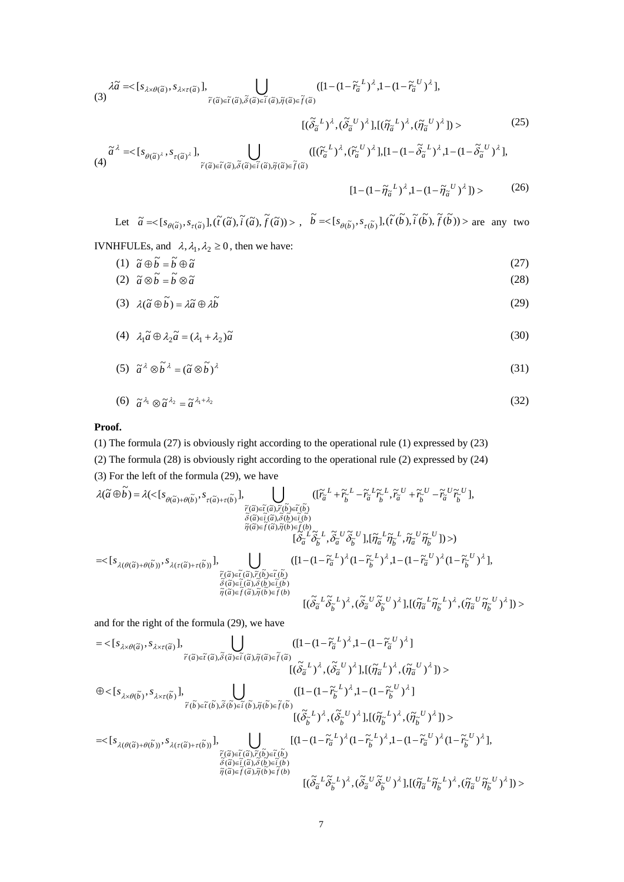$$
\lambda \tilde{a} = \langle [s_{\lambda \times \theta(\tilde{a})}, s_{\lambda \times \tau(\tilde{a})}], \bigcup_{\tilde{r}(\tilde{a}) \in \tilde{t}(\tilde{a}), \tilde{\delta}(\tilde{a}) \in \tilde{t}(\tilde{a}), \tilde{\eta}(\tilde{a}) \in \tilde{f}(\tilde{a})} ([1 - (1 - \tilde{r}_{\tilde{a}}^L)^{\lambda}, 1 - (1 - \tilde{r}_{\tilde{a}}^U)^{\lambda}],
$$

$$
[(\tilde{\delta}_{\tilde{a}}^{L})^{\lambda}, (\tilde{\delta}_{\tilde{a}}^{U})^{\lambda}], [(\tilde{\eta}_{\tilde{a}}^{L})^{\lambda}, (\tilde{\eta}_{\tilde{a}}^{U})^{\lambda}]) \rangle
$$
\n(25)

$$
\tilde{a}^{\lambda} = \langle [s_{\theta(\tilde{a})^{\lambda}}, s_{\tau(\tilde{a})^{\lambda}}], \bigcup_{\tilde{r}(\tilde{a}) \in \tilde{t}(\tilde{a}), \tilde{\delta}(\tilde{a}) \in \tilde{t}(\tilde{a}), \tilde{\eta}(\tilde{a}) \in \tilde{f}(\tilde{a})} ([(\tilde{r}_{\tilde{a}}^{L})^{\lambda}, (\tilde{r}_{\tilde{a}}^{U})^{\lambda}], [1 - (1 - \tilde{\delta}_{\tilde{a}}^{L})^{\lambda}, 1 - (1 - \tilde{\delta}_{\tilde{a}}^{U})^{\lambda}],
$$

$$
[1 - (1 - \tilde{\eta}_{\tilde{a}}{}^{L})^{\lambda}, 1 - (1 - \tilde{\eta}_{\tilde{a}}{}^{U})^{\lambda}]) > (26)
$$

Let 
$$
\tilde{a} = \langle [s_{\theta(\tilde{a})}, s_{\tau(\tilde{a})}], (\tilde{t}(\tilde{a}), \tilde{t}(\tilde{a}), \tilde{f}(\tilde{a})) \rangle
$$
,  $\tilde{b} = \langle [s_{\theta(\tilde{b})}, s_{\tau(\tilde{b})}], (\tilde{t}(\tilde{b}), \tilde{t}(\tilde{b}), \tilde{f}(\tilde{b})) \rangle$  are any two

IVNHFULEs, and  $\lambda, \lambda_1, \lambda_2 \ge 0$ , then we have:

$$
(1) \quad \tilde{a} \oplus \tilde{b} = \tilde{b} \oplus \tilde{a} \tag{27}
$$

$$
\tilde{a} \otimes \tilde{b} = \tilde{b} \otimes \tilde{a} \tag{28}
$$
\n
$$
\tilde{a} \otimes \tilde{b} = \tilde{b} \otimes \tilde{a} \tag{28}
$$

$$
(3) \quad \lambda(\tilde{a}\oplus \tilde{b}) = \lambda \tilde{a} \oplus \lambda \tilde{b} \tag{29}
$$

$$
(4) \quad \lambda_1 \tilde{a} \oplus \lambda_2 \tilde{a} = (\lambda_1 + \lambda_2) \tilde{a} \tag{30}
$$

$$
(5) \quad \tilde{a}^{\lambda} \otimes \tilde{b}^{\lambda} = (\tilde{a} \otimes \tilde{b})^{\lambda} \tag{31}
$$

$$
(6) \quad \tilde{a}^{\lambda_1} \otimes \tilde{a}^{\lambda_2} = \tilde{a}^{\lambda_1 + \lambda_2} \tag{32}
$$

# **Proof.**

- (1) The formula (27) is obviously right according to the operational rule (1) expressed by (23)
- (2) The formula (28) is obviously right according to the operational rule (2) expressed by (24)

(3) For the left of the formula (29), we have

$$
\begin{split} \lambda(\tilde{a}\oplus\tilde{b})&=\lambda(<\big[s_{\theta(\tilde{a})+\theta(\tilde{b})},s_{\tau(\tilde{a})+\tau(\tilde{b})}\big],\bigcup_{\substack{\tilde{r}(\tilde{a})\in\tilde{t}(\tilde{a}),\tilde{r}(\tilde{b})\in\tilde{t}(\tilde{b})\\\tilde{\delta}(\tilde{a})\in\tilde{t}(\tilde{a}),\tilde{\delta}(\tilde{b})\in\tilde{t}(\tilde{b})\\\tilde{\delta}(\tilde{a})\in\tilde{f}(\tilde{a}),\tilde{\eta}(\tilde{b})\in\tilde{f}(\tilde{b})\\\tilde{\eta}(\tilde{a})\in\tilde{f}(\tilde{a}),\tilde{\eta}(\tilde{b})\in\tilde{f}(\tilde{b})\\\big[\tilde{\delta}_{\tilde{a}}^{-L}\tilde{\delta}_{\tilde{b}}^{-L},\tilde{\delta}_{\tilde{a}}^{-U}\tilde{\delta}_{\tilde{b}}^{-U}\big],\big[\tilde{\eta}_{\tilde{a}}^{-L}\tilde{\eta}_{\tilde{b}}^{-L},\tilde{\eta}_{\tilde{a}}^{-U}\tilde{\eta}_{\tilde{b}}^{-U}\big]\big)>\big]\\=&<\big[s_{\lambda(\theta(\tilde{a})+\theta(\tilde{b}))},s_{\lambda(\tau(\tilde{a})+\tau(\tilde{b}))}\big],\bigcup_{\substack{\tilde{r}(\tilde{a})\in\tilde{r}(\tilde{a}),\tilde{r}(\tilde{b})\in\tilde{r}(\tilde{b})\\\tilde{\delta}(\tilde{a})\in\tilde{t}(\tilde{a}),\tilde{\delta}(\tilde{b})\in\tilde{f}(\tilde{b})\\\tilde{\eta}(\tilde{a})\in\tilde{f}(\tilde{a}),\tilde{\eta}(\tilde{b})\in\tilde{f}(\tilde{b})\\\big[\tilde{\delta}_{\tilde{a}}^{-L}\tilde{\delta}_{\tilde{b}}^{-L}\big)^{\lambda},\big(\tilde{\delta}_{\tilde{a}}^{-U}\tilde{\delta}_{\tilde{b}}^{-U}\big)^{\lambda},\big[\big(\tilde{\eta}_{\tilde{a}}^{-L}\tilde{\eta}_{\tilde{b}}^{-U}\big)^{\lambda},\big(\tilde{\eta}_{\tilde{a}}^{-L}\tilde{\eta}_{\tilde{b}}
$$

and for the right of the formula (29), we have

$$
= \langle [s_{\lambda \times \theta(\tilde{a}), s_{\lambda \times \tau(\tilde{a})}], \bigcup_{\tilde{r}(\tilde{a}) \in \tilde{t}(\tilde{a}), \tilde{\theta}(\tilde{a}) \in \tilde{t}(\tilde{a}), \tilde{\eta}(\tilde{a}) \in \tilde{f}(\tilde{a})} (1 - (1 - \tilde{r}_{\tilde{a}}^L)^{\lambda}, 1 - (1 - \tilde{r}_{\tilde{a}}^U)^{\lambda}] \rangle
$$
  
\n
$$
\oplus \langle [s_{\lambda \times \theta(\tilde{b})}, s_{\lambda \times \tau(\tilde{b})}], \bigcup_{\tilde{r}(\tilde{b}) \in \tilde{t}(\tilde{b}), \tilde{\theta}(\tilde{b}) \in \tilde{t}(\tilde{b}), \tilde{\eta}(\tilde{b}) \in \tilde{f}(\tilde{b})} (1 - (1 - \tilde{r}_{\tilde{b}}^L)^{\lambda}, 1 - (1 - \tilde{r}_{\tilde{b}}^U)^{\lambda}] \rangle
$$
  
\n
$$
= \langle [s_{\lambda(\theta(\tilde{a}) + \theta(\tilde{b}))}, s_{\lambda \times \tau(\tilde{b})}], \bigcup_{\begin{subarray}{l} \tilde{r}(\tilde{b}) \in \tilde{t}(\tilde{b}), \tilde{\eta}(\tilde{b}) \in \tilde{f}(\tilde{b}) \\ \tilde{\theta}(\tilde{b}) \in \tilde{t}(\tilde{a}) \end{subarray}} \frac{((1 - (1 - \tilde{r}_{\tilde{b}}^L)^{\lambda}, 1 - (1 - \tilde{r}_{\tilde{b}}^U)^{\lambda}] \rangle}{[(1 - (1 - \tilde{r}_{\tilde{a}}^L)^{\lambda}, (\tilde{\theta}_{\tilde{b}}^U)^{\lambda}, 1 - (1 - \tilde{r}_{\tilde{a}}^U)^{\lambda}(1 - \tilde{r}_{\tilde{b}}^U)^{\lambda}], \tilde{\theta}(\tilde{b}) \in \tilde{\theta}(\tilde{b})} \frac{[(1 - (1 - \tilde{r}_{\tilde{a}}^L)^{\lambda}, (1 - \tilde{r}_{\tilde{b}}^L)^{\lambda}, 1 - (1 - \tilde{r}_{\tilde{a}}^U)^{\lambda}(1 - \tilde{r}_{\tilde{b}}^U)^{\lambda}], \tilde{\
$$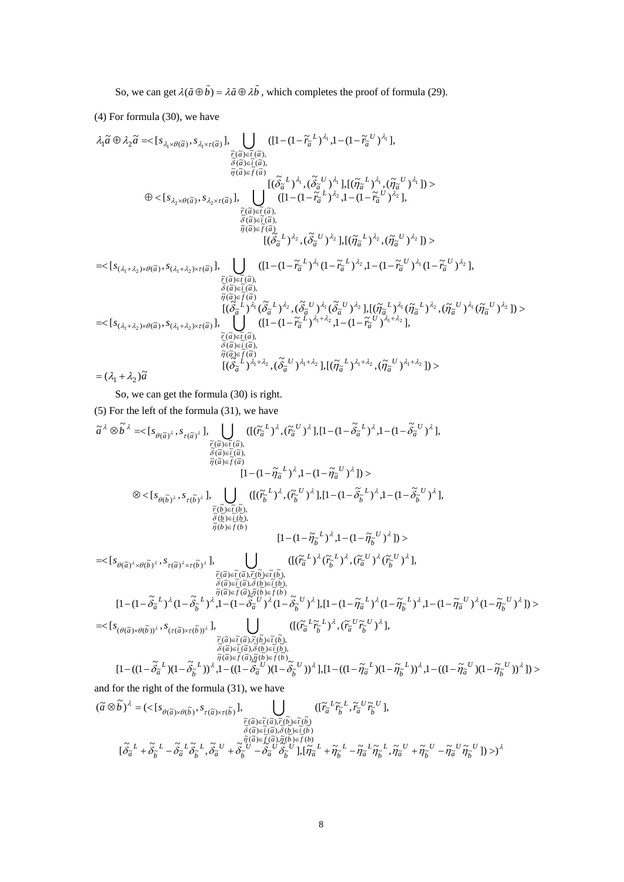So, we can get  $\lambda(\tilde{a} \oplus \tilde{b}) = \lambda \tilde{a} \oplus \lambda \tilde{b}$ , which completes the proof of formula (29).

(4) For formula (30), we have

$$
\lambda_1 \tilde{a} \oplus \lambda_2 \tilde{a} = \langle [s_{\lambda_1 \times \theta(\tilde{a})}, s_{\lambda_1 \times \tau(\tilde{a})}], \bigcup_{\substack{\tilde{r}(\tilde{a}) \in \tilde{I}(\tilde{a}), \\ \tilde{\delta}(\tilde{a}) \in \tilde{I}(\tilde{a}), \\ \tilde{\delta}(\tilde{a}) \in \tilde{I}(\tilde{a})}} \frac{([1 - (1 - \tilde{r}_{\tilde{a}}^L)^{\lambda_1}, 1 - (1 - \tilde{r}_{\tilde{a}}^U)^{\lambda_1}],
$$
\n
$$
\oplus \langle [s_{\lambda_2 \times \theta(\tilde{a})}, s_{\lambda_2 \times \tau(\tilde{a})}], \bigcup_{\substack{\tilde{r}(\tilde{a}) \in \tilde{I}(\tilde{a}), \\ \tilde{\delta}(\tilde{a}) \in \tilde{I}(\tilde{a}), \\ \tilde{\delta}(\tilde{a}) \in \tilde{I}(\tilde{a})}} \frac{[(1 - (1 - \tilde{r}_{\tilde{a}}^L)^{\lambda_2}, 1 - (1 - \tilde{r}_{\tilde{a}}^U)^{\lambda_2}], (\tilde{\eta}_{\tilde{a}}^U)^{\lambda_1}]) \rangle}{[(1 - (1 - \tilde{r}_{\tilde{a}}^L)^{\lambda_2}, 1 - (1 - \tilde{r}_{\tilde{a}}^U)^{\lambda_2}],
$$
\n
$$
\oplus \langle [s_{\tilde{\lambda}_1 \times \theta(\tilde{a})}, s_{\lambda_2 \times \tau(\tilde{a})}], \bigcup_{\substack{\tilde{r}(\tilde{a}) \in \tilde{r}(\tilde{a}), \\ \tilde{\delta}(\tilde{a}) \in \tilde{r}(\tilde{a}), \\ \tilde{\delta}(\tilde{a}) \in \tilde{f}(\tilde{a})}} \frac{[(1 - (1 - \tilde{r}_{\tilde{a}}^L)^{\lambda_1} (1 - \tilde{r}_{\tilde{a}}^L)^{\lambda_2}, (\tilde{\eta}_{\tilde{a}}^U)^{\lambda_2}]) \rangle}{[(\tilde{\delta}_{\tilde{a}}^L)^{\lambda_1} (\tilde{\delta}_{\tilde{a}}^U)^{\lambda_2} (\tilde{\eta}_{\tilde{a}}^U)^{\lambda_2} + (1 - \tilde{r}_{\
$$

So, we can get the formula (30) is right.

(5) For the left of the formula (31), we have

$$
\tilde{a}^{\lambda} \otimes \tilde{b}^{\lambda} = \langle [s_{\theta(\tilde{a})^{\lambda}}, s_{\tau(\tilde{a})^{\lambda}}], \bigcup_{\substack{\tilde{r}(\tilde{a}) \in \tilde{t}(\tilde{a}), \\ \tilde{\theta}(\tilde{a}) \in \tilde{t}(\tilde{a})}} \left( [(\tilde{r}_{\tilde{a}}^{L})^{\lambda}, (\tilde{r}_{\tilde{a}}^{U})^{\lambda}], [1 - (1 - \tilde{\delta}_{\tilde{a}}^{L})^{\lambda}, 1 - (1 - \tilde{\delta}_{\tilde{a}}^{U})^{\lambda}],
$$
\n
$$
\otimes \langle [s_{\theta(\tilde{b})^{\lambda}}, s_{\tau(\tilde{b})^{\lambda}}], \bigcup_{\substack{\tilde{r}(\tilde{b}) \in \tilde{t}(\tilde{b}), \\ \tilde{\theta}(\tilde{b}) \in \tilde{t}(\tilde{b}), \\ \tilde{\theta}(\tilde{b}) \in \tilde{t}(\tilde{b}), \\ \tilde{\theta}(\tilde{b}) \in \tilde{t}(\tilde{b})}} \left[ [1 - (1 - \tilde{\eta}_{\tilde{a}}^{L})^{\lambda}, 1 - (1 - \tilde{\delta}_{\tilde{b}}^{L})^{\lambda}, 1 - (1 - \tilde{\delta}_{\tilde{b}}^{U})^{\lambda}],
$$
\n
$$
\leq [s_{\theta(\tilde{a})^{\lambda} \times \theta(\tilde{b})^{\lambda}}, s_{\tau(\tilde{a})^{\lambda} \times \tau(\tilde{b})^{\lambda}}], \bigcup_{\substack{\tilde{r}(\tilde{a}) \in \tilde{r}(\tilde{a}), \tilde{r}(\tilde{b}) \in \tilde{r}(\tilde{b}), \\ \tilde{\theta}(\tilde{a}) \in \tilde{t}(\tilde{a}), \tilde{\theta}(\tilde{b}) \in \tilde{t}(\tilde{b}), \\ \tilde{\theta}(\tilde{a}) \in \tilde{t}(\tilde{a}), \tilde{\theta}(\tilde{b}) \in \tilde{t}(\tilde{b}), \\ [1 - (1 - \tilde{\delta}_{\tilde{a}}^{L})^{\lambda}, 1 - (1 - \tilde{\delta}_{\tilde{a}}^{U})^{\lambda}, 1 - (1 - \tilde{\eta}_{\tilde{b}}^{U})^{\lambda}, 1 -
$$

$$
\begin{array}{llll} &(\widetilde{a}\otimes\widetilde{b})^{\lambda}=(<[s_{\theta(\widetilde{a})\times\theta(\widetilde{b})},s_{\tau(\widetilde{a})\times\tau(\widetilde{b})}],&\bigcup\limits_{\substack{\widetilde{r}(\widetilde{a})\in\widetilde{t}(\widetilde{a}),\widetilde{r}(\widetilde{b})\in\widetilde{t}(\widetilde{b})\\\widetilde{\delta}(\widetilde{a})\in\widetilde{t}(\widetilde{a})\widetilde{\delta}(\widetilde{b})\in\widetilde{t}(\widetilde{b})}}([ \widetilde{r}_{\widetilde{a}}^{\ L} \widetilde{r}_{\widetilde{b}}^{\ L},\widetilde{r}_{\widetilde{a}}^{\ U} \widetilde{r}_{\widetilde{b}}^{\ U}],\\ &\qquad [\widetilde{\delta}_{\widetilde{a}}^{\ L}+\widetilde{\delta}_{\widetilde{b}}^{\ L}-\widetilde{\delta}_{\widetilde{a}}^{\ L}\widetilde{\delta}_{\widetilde{b}}^{\ L},\widetilde{\delta}_{\widetilde{a}}^{\ U}+\widetilde{\delta}_{\widetilde{b}}^{\ U}-\widetilde{\delta}_{\widetilde{a}}^{\ U}\widetilde{\delta}_{\widetilde{b}}^{\ U}],[ \widetilde{\eta}_{\widetilde{a}}^{\ L}+\widetilde{\eta}_{\widetilde{b}}^{\ L}-\widetilde{\eta}_{\widetilde{a}}^{\ L}\widetilde{\eta}_{\widetilde{b}}^{\ U}-\widetilde{\eta}_{\widetilde{a}}^{\ U}\widetilde{\eta}_{\widetilde{b}}^{\ U}])> )^{\lambda}\end{array}
$$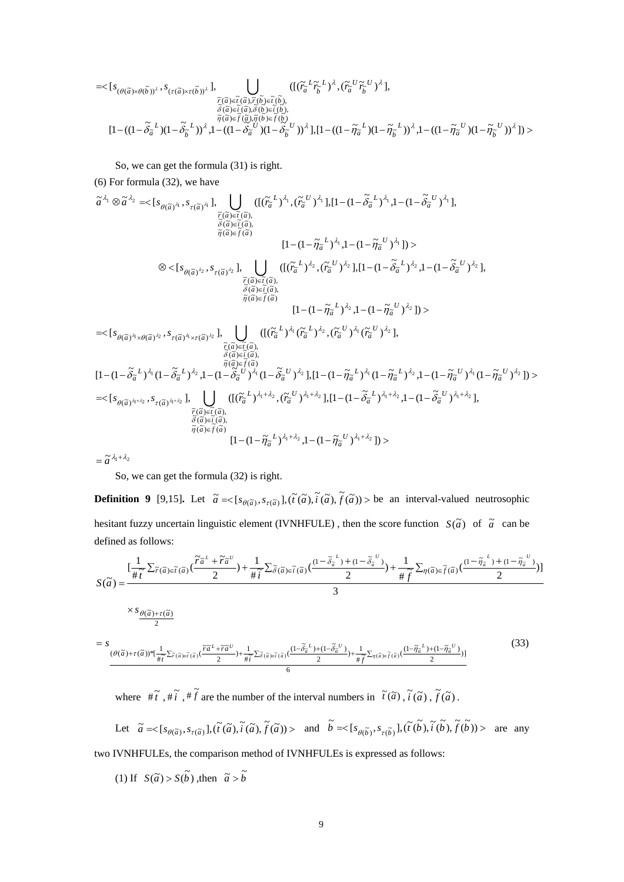$$
= <[s_{(\theta(\tilde{a})\times\theta(\tilde{b}))^{\lambda}}, s_{(\tau(\tilde{a})\times\tau(\tilde{b}))^{\lambda}}], \bigcup_{\substack{\tilde{r}(\tilde{a})\in \tilde{t}(\tilde{a}), \tilde{r}(\tilde{b})\in \tilde{t}(\tilde{b}),\\ \tilde{\delta}(\tilde{a})\in \tilde{t}(\tilde{a}), \tilde{\delta}(\tilde{b})\in \tilde{t}(\tilde{b}),\\ \tilde{r}(\tilde{a})\in \tilde{f}(\tilde{a}), \tilde{\delta}(\tilde{b})\in \tilde{t}(\tilde{b}),\\ [1-((1-\tilde{\delta}_{\tilde{a}}^{L})(1-\tilde{\delta}_{\tilde{b}}^{L}))^{\lambda}, 1-((1-\tilde{\delta}_{\tilde{a}}^{U})(1-\tilde{\delta}_{\tilde{b}}^{U}))^{\lambda}], [1-((1-\tilde{\eta}_{\tilde{a}}^{L})(1-\tilde{\eta}_{\tilde{b}}^{L}))^{\lambda}, 1-((1-\tilde{\eta}_{\tilde{a}}^{U})(1-\tilde{\delta}_{\tilde{b}}^{U}))^{\lambda}].
$$

So, we can get the formula (31) is right.

(6) For formula (32), we have

$$
\tilde{a}^{\lambda_1} \otimes \tilde{a}^{\lambda_2} = \langle [s_{\theta(\tilde{a})^{\lambda_1}}, s_{\tau(\tilde{a})^{\lambda_1}}], \bigcup_{\substack{\tilde{r}(\tilde{a}) \in \tilde{t}(\tilde{a}), \\ \tilde{\delta}(\tilde{a}) \in \tilde{t}(\tilde{a})}} \left( [(\tilde{r}_{\tilde{a}}^{L})^{\lambda_1}, (\tilde{r}_{\tilde{a}}^{U})^{\lambda_1}], [1 - (1 - \tilde{\delta}_{\tilde{a}}^{L})^{\lambda_1}, 1 - (1 - \tilde{\delta}_{\tilde{a}}^{U})^{\lambda_1}],
$$
\n
$$
\tilde{s}(\tilde{a}) \in \tilde{t}(\tilde{a})
$$
\n
$$
[1 - (1 - \tilde{\eta}_{\tilde{a}}^{L})^{\lambda_1}, 1 - (1 - \tilde{\eta}_{\tilde{a}}^{U})^{\lambda_1}] \rangle >
$$
\n
$$
\otimes \langle [s_{\theta(\tilde{a})^{\lambda_2}}, s_{\tau(\tilde{a})^{\lambda_2}}], \bigcup_{\substack{\tilde{r}(\tilde{a}) \in \tilde{t}(\tilde{a}), \\ \tilde{\delta}(\tilde{a}) \in \tilde{t}(\tilde{a})}} \left( [(\tilde{r}_{\tilde{a}}^{L})^{\lambda_2}, (\tilde{r}_{\tilde{a}}^{U})^{\lambda_2}], [1 - (1 - \tilde{\delta}_{\tilde{a}}^{L})^{\lambda_2}, 1 - (1 - \tilde{\delta}_{\tilde{a}}^{U})^{\lambda_2}],
$$
\n
$$
= \langle [s_{\theta(\tilde{a})^{\lambda_1} \times \theta(\tilde{a})^{\lambda_2}}, s_{\tau(\tilde{a})^{\lambda_1} \times \tau(\tilde{a})^{\lambda_2}}], \bigcup_{\substack{\tilde{r}(\tilde{a}) \in \tilde{t}(\tilde{a}), \\ \tilde{\delta}(\tilde{a}) \in \tilde{t}(\tilde{a}), \\ \tilde{\delta}(\tilde{a}) \in \tilde{t}(\tilde{a}), \\ \tilde{\delta}(\tilde{a}) \in \tilde{t}(\tilde{a}), \\ \tilde{\delta}(\tilde{a}) \in \tilde{t}(\tilde{a}), \\ \tilde{\delta
$$

 $=\widetilde{a}^{\lambda_1+\lambda_2}$ 

So, we can get the formula (32) is right.

**Definition 9** [9,15]. Let  $\tilde{a} = \langle [s_{\theta(\tilde{a})}, s_{\tau(\tilde{a})}], (\tilde{t}(\tilde{a}), \tilde{t}(\tilde{a}), \tilde{f}(\tilde{a})) \rangle$  be an interval-valued neutrosophic hesitant fuzzy uncertain linguistic element (IVNHFULE), then the score function  $S(\tilde{a})$  of  $\tilde{a}$  can be defined as follows:

$$
S(\tilde{a}) = \frac{\left[\frac{1}{\#\tilde{t}}\sum_{\tilde{r}(\tilde{a})\in\tilde{t}(\tilde{a})}\left(\frac{\tilde{r}\tilde{a}^{L} + \tilde{r}\tilde{a}^{U}}{2}\right) + \frac{1}{\#\tilde{t}}\sum_{\tilde{\delta}(\tilde{a})\in\tilde{t}(\tilde{a})}\left(\frac{(1-\tilde{\delta}_{\tilde{a}}^{L}) + (1-\tilde{\delta}_{\tilde{a}}^{U})}{2}\right) + \frac{1}{\#\tilde{f}}\sum_{\eta(\tilde{a})\in\tilde{f}(\tilde{a})}\left(\frac{(1-\tilde{\eta}_{\tilde{a}}^{L}) + (1-\tilde{\eta}_{\tilde{a}}^{U})}{2}\right)\right]}{3}
$$
  
\n
$$
= S \frac{\times S \theta(\tilde{a}) + \tau(\tilde{a})}{2}
$$
  
\n
$$
= \frac{S}{\frac{\theta(\tilde{a}) + \tau(\tilde{a})\tilde{t} + \frac{1}{\#\tilde{t}}\sum_{\tilde{r}(\tilde{a})\in\tilde{t}(\tilde{a})}\left(\frac{\tilde{r}\tilde{a}^{L} + \tilde{r}\tilde{a}^{U}}{2}\right) + \frac{1}{\#\tilde{t}}\sum_{\tilde{\delta}(\tilde{a})\in\tilde{t}(\tilde{a})}\left(\frac{(1-\tilde{\delta}_{\tilde{a}}^{L}) + (1-\tilde{\delta}_{\tilde{a}}^{U})}{2}\right) + \frac{1}{\#\tilde{f}}\sum_{\eta(\tilde{a})\in\tilde{f}(\tilde{a})}\left(\frac{(1-\tilde{\eta}_{\tilde{a}}^{L}) + (1-\tilde{\eta}_{\tilde{a}}^{U})}{2}\right)}{6}
$$
\n(33)

where  $\#\tilde{t}$ ,  $\#\tilde{t}$ ,  $\#\tilde{f}$  are the number of the interval numbers in  $\tilde{t}(\tilde{a})$ ,  $\tilde{t}(\tilde{a})$ ,  $\tilde{f}(\tilde{a})$ .

Let  $\tilde{a} = \langle [s_{\theta(\tilde{a})}, s_{\tau(\tilde{a})}], (\tilde{t}(\tilde{a}), \tilde{t}(\tilde{a}), \tilde{f}(\tilde{a})) \rangle$  and  $\tilde{b} = \langle [s_{\theta(\tilde{b})}, s_{\tau(\tilde{b})}], (\tilde{t}(\tilde{b}), \tilde{t}(\tilde{b}), \tilde{f}(\tilde{b})) \rangle$  are any two IVNHFULEs, the comparison method of IVNHFULEs is expressed as follows:

(1) If  $S(\tilde{a}) > S(\tilde{b})$ , then  $\tilde{a} > \tilde{b}$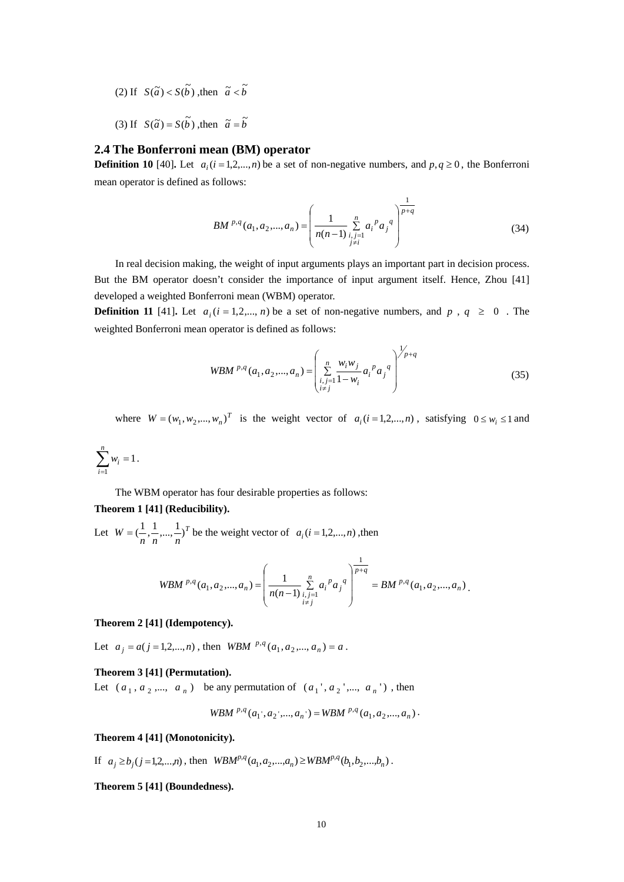- $(2)$  If  $S(\tilde{a}) < S(\tilde{b})$ , then  $\tilde{a} < \tilde{b}$
- (3) If  $S(\tilde{a}) = S(\tilde{b})$ , then  $\tilde{a} = \tilde{b}$

# **2.4 The Bonferroni mean (BM) operator**

**Definition 10** [40]**.** Let  $a_i$  ( $i = 1,2,...,n$ ) be a set of non-negative numbers, and  $p, q \ge 0$ , the Bonferroni mean operator is defined as follows:

$$
BM^{p,q}(a_1, a_2, ..., a_n) = \left(\frac{1}{n(n-1)} \sum_{\substack{i,j=1 \ i \neq i}}^n a_i^p a_j^q\right)^{\frac{1}{p+q}}
$$
(34)

In real decision making, the weight of input arguments plays an important part in decision process. But the BM operator doesn't consider the importance of input argument itself. Hence, Zhou [41] developed a weighted Bonferroni mean (WBM) operator.

**Definition 11** [41]. Let  $a_i$  ( $i = 1, 2, ..., n$ ) be a set of non-negative numbers, and  $p$ ,  $q \ge 0$ . The weighted Bonferroni mean operator is defined as follows:

$$
WBM^{p,q}(a_1, a_2, ..., a_n) = \left(\sum_{\substack{i,j=1 \ i \neq j}}^n \frac{w_i w_j}{1 - w_i} a_i^p a_j^q\right)^{\frac{1}{p} + q}
$$
(35)

where  $W = (w_1, w_2, ..., w_n)^T$  is the weight vector of  $a_i (i = 1, 2, ..., n)$ , satisfying  $0 \le w_i \le 1$  and

$$
\sum_{i=1}^n w_i = 1.
$$

The WBM operator has four desirable properties as follows:

#### **Theorem 1 [41] (Reducibility).**

Let  $W = (\frac{1}{n}, \frac{1}{n}, ..., \frac{1}{n})^T$  be the weight vector of  $a_i$  (*i* = 1,2,...,*n*), then

$$
WBM^{p,q}(a_1, a_2,..., a_n) = \left(\frac{1}{n(n-1)} \sum_{\substack{i,j=1 \ i \neq j}}^n a_i^p a_j^q\right)^{\frac{1}{p+q}} = BM^{p,q}(a_1, a_2,..., a_n).
$$

# **Theorem 2 [41] (Idempotency).**

Let  $a_j = a(j = 1, 2, ..., n)$ , then *WBM*  $^{p,q}(a_1, a_2, ..., a_n) = a$ .

# **Theorem 3 [41] (Permutation).**

Let  $(a_1, a_2, ..., a_n)$  be any permutation of  $(a_1, a_2, ..., a_n)$ , then

$$
WBM^{p,q}(a_1, a_2, ..., a_n) = WBM^{p,q}(a_1, a_2, ..., a_n).
$$

## **Theorem 4 [41] (Monotonicity).**

If  $a_j \ge b_j$  (j = 1,2,...,n), then  $WBM^{p,q}(a_1, a_2, ..., a_n) \ge WBM^{p,q}(b_1, b_2, ..., b_n)$ .

## **Theorem 5 [41] (Boundedness).**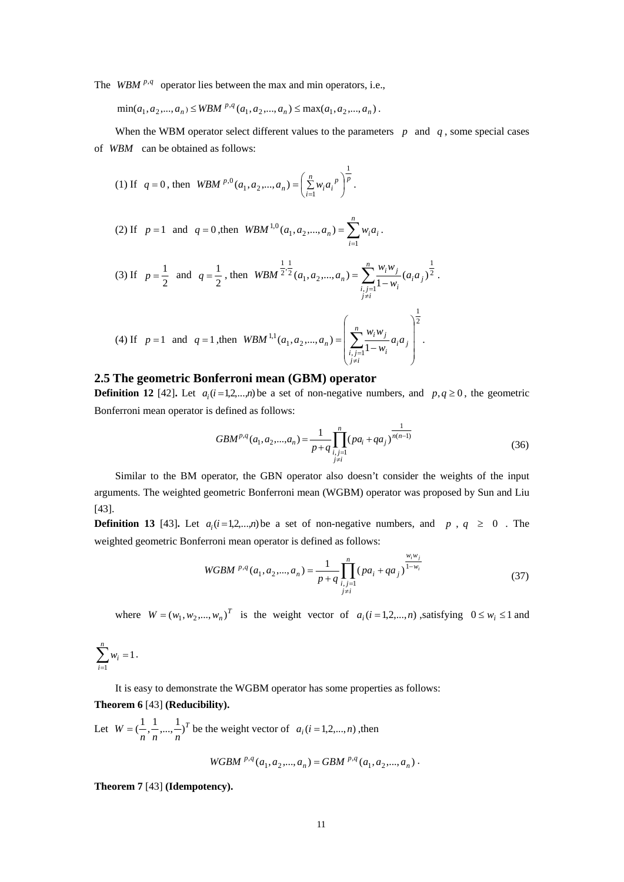The *WBM*  $^{p,q}$  operator lies between the max and min operators, i.e.,

 $\min(a_1, a_2, ..., a_n) \le WBM^{p,q}(a_1, a_2, ..., a_n) \le \max(a_1, a_2, ..., a_n).$ 

When the WBM operator select different values to the parameters  $p$  and  $q$ , some special cases of *WBM* can be obtained as follows:

(1) If 
$$
q = 0
$$
, then *WBM* <sup>p,0</sup>  $(a_1, a_2, ..., a_n) = \left(\sum_{i=1}^n w_i a_i^p\right)^{\frac{1}{p}}$ .

(2) If 
$$
p = 1
$$
 and  $q = 0$ , then  $WBM^{1,0}(a_1, a_2,..., a_n) = \sum_{i=1}^{n} w_i a_i$ .

(3) If 
$$
p = \frac{1}{2}
$$
 and  $q = \frac{1}{2}$ , then  $WBM^{\frac{1}{2}, \frac{1}{2}}(a_1, a_2, ..., a_n) = \sum_{\substack{i,j=1 \ i \neq i}}^n \frac{w_i w_j}{1 - w_i} (a_i a_j)^{\frac{1}{2}}$ .

(4) If 
$$
p = 1
$$
 and  $q = 1$ , then  $WBM^{1,1}(a_1, a_2,..., a_n) = \left(\sum_{\substack{i,j=1 \ i \neq i}}^n \frac{w_i w_j}{1 - w_i} a_i a_j\right)^{\frac{1}{2}}$ .

# **2.5 The geometric Bonferroni mean (GBM) operator**

**Definition 12** [42]. Let  $a_i$  ( $i = 1, 2, \ldots, n$ ) be a set of non-negative numbers, and  $p, q \ge 0$ , the geometric Bonferroni mean operator is defined as follows:

$$
GBM^{p,q}(a_1, a_2,..., a_n) = \frac{1}{p+q} \prod_{\substack{i,j=1 \ j \neq i}}^n (pa_i + qa_j)^{\frac{1}{n(n-1)}}
$$
(36)

Similar to the BM operator, the GBN operator also doesn't consider the weights of the input arguments. The weighted geometric Bonferroni mean (WGBM) operator was proposed by Sun and Liu [43].

**Definition 13** [43]. Let  $a_i$  ( $i = 1, 2, ..., n$ ) be a set of non-negative numbers, and  $p$ ,  $q \ge 0$ . The weighted geometric Bonferroni mean operator is defined as follows:

WGBM <sup>p,q</sup>(a<sub>1</sub>, a<sub>2</sub>,..., a<sub>n</sub>) = 
$$
\frac{1}{p+q} \prod_{\substack{i,j=1 \ j \neq i}}^{n} (pa_i + qa_j)^{\frac{w_i w_j}{1-w_i}}
$$
(37)

where  $W = (w_1, w_2, ..., w_n)^T$  is the weight vector of  $a_i$  (*i* = 1,2,...,*n*), satisfying  $0 \le w_i \le 1$  and

$$
\sum_{i=1}^n w_i = 1.
$$

It is easy to demonstrate the WGBM operator has some properties as follows: **Theorem 6** [43] **(Reducibility).**

Let  $W = (\frac{1}{n}, \frac{1}{n}, ..., \frac{1}{n})^T$  be the weight vector of  $a_i$  (*i* = 1,2,..., *n*), then

$$
WGBM^{p,q}(a_1,a_2,...,a_n)=GBM^{p,q}(a_1,a_2,...,a_n).
$$

**Theorem 7** [43] **(Idempotency).**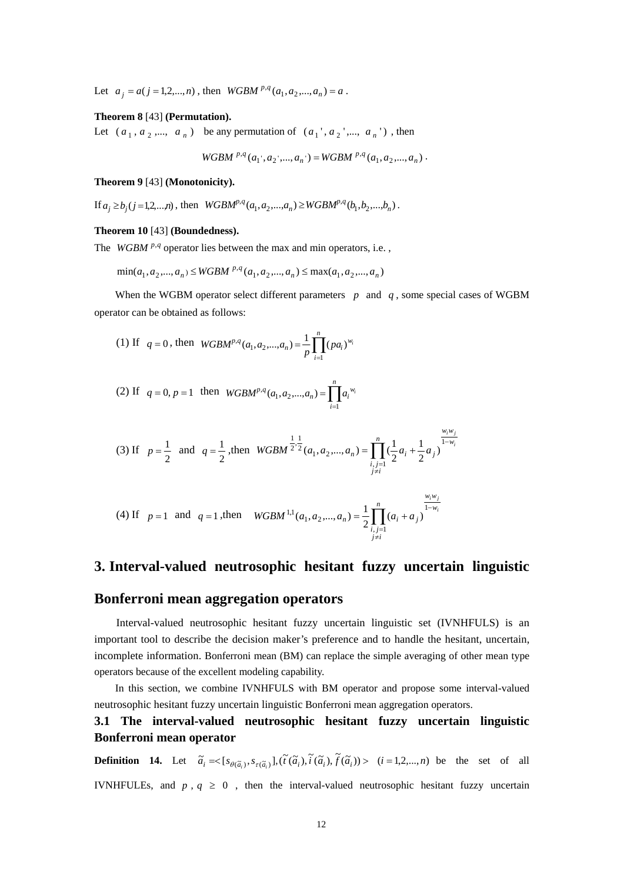Let  $a_j = a(j = 1, 2, ..., n)$ , then  $WGBM^{p,q}(a_1, a_2, ..., a_n) = a$ .

#### **Theorem 8** [43] **(Permutation).**

Let  $(a_1, a_2, ..., a_n)$  be any permutation of  $(a_1, a_2, ..., a_n)$ , then

$$
WGBM\ ^{p,q}(a_1^{\cdot},a_2^{\cdot},...,a_n^{\cdot})=WGBM\ ^{p,q}(a_1,a_2,...,a_n)\ .
$$

#### **Theorem 9** [43] **(Monotonicity).**

If  $a_i \ge b_i (j=1,2,...,n)$ , then  $WGBM^{p,q}(a_1,a_2,...,a_n) \ge WGBM^{p,q}(b_1,b_2,...,b_n)$ .

#### **Theorem 10** [43] **(Boundedness).**

The *WGBM*  $^{p,q}$  operator lies between the max and min operators, i.e.,

 $\min(a_1, a_2, ..., a_n) \leq WGBM^{p,q}(a_1, a_2, ..., a_n) \leq \max(a_1, a_2, ..., a_n)$ 

When the WGBM operator select different parameters  $p$  and  $q$ , some special cases of WGBM operator can be obtained as follows:

(1) If 
$$
q = 0
$$
, then  $WGBM^{p,q}(a_1, a_2,..., a_n) = \frac{1}{p} \prod_{i=1}^{n} (pa_i)^{w_i}$ 

(2) If 
$$
q = 0, p = 1
$$
 then  $WGBM^{p,q}(a_1, a_2,..., a_n) = \prod_{i=1}^{n} a_i^{w_i}$ 

(3) If 
$$
p = \frac{1}{2}
$$
 and  $q = \frac{1}{2}$ , then  $WGBM^{\frac{1}{2} \cdot \frac{1}{2}}(a_1, a_2, ..., a_n) = \prod_{\substack{i,j=1 \ i \neq i}}^{n} (\frac{1}{2}a_i + \frac{1}{2}a_j)^{\frac{w_i w_j}{1 - w_i}}$ 

(4) If 
$$
p = 1
$$
 and  $q = 1$ , then  $WGBM^{1,1}(a_1, a_2,..., a_n) = \frac{1}{2} \prod_{\substack{i,j=1 \ i \neq i}}^n (a_i + a_j)^{\frac{w_i w_j}{1 - w_i}}$ 

# **3. Interval-valued neutrosophic hesitant fuzzy uncertain linguistic**

# **Bonferroni mean aggregation operators**

Interval-valued neutrosophic hesitant fuzzy uncertain linguistic set (IVNHFULS) is an important tool to describe the decision maker's preference and to handle the hesitant, uncertain, incomplete information. Bonferroni mean (BM) can replace the simple averaging of other mean type operators because of the excellent modeling capability.

In this section, we combine IVNHFULS with BM operator and propose some interval-valued neutrosophic hesitant fuzzy uncertain linguistic Bonferroni mean aggregation operators.

# **3.1 The interval-valued neutrosophic hesitant fuzzy uncertain linguistic Bonferroni mean operator**

**Definition 14.** Let  $\tilde{a}_i = \begin{cases} s_{\theta(\tilde{a}_i)}, s_{\tau(\tilde{a}_i)} \end{cases}, \begin{cases} \tilde{t}(\tilde{a}_i), \tilde{t}(\tilde{a}_i), \tilde{f}(\tilde{a}_i) \end{cases} > (i = 1, 2, ..., n)$  be the set of all IVNHFULEs, and  $p$ ,  $q \ge 0$ , then the interval-valued neutrosophic hesitant fuzzy uncertain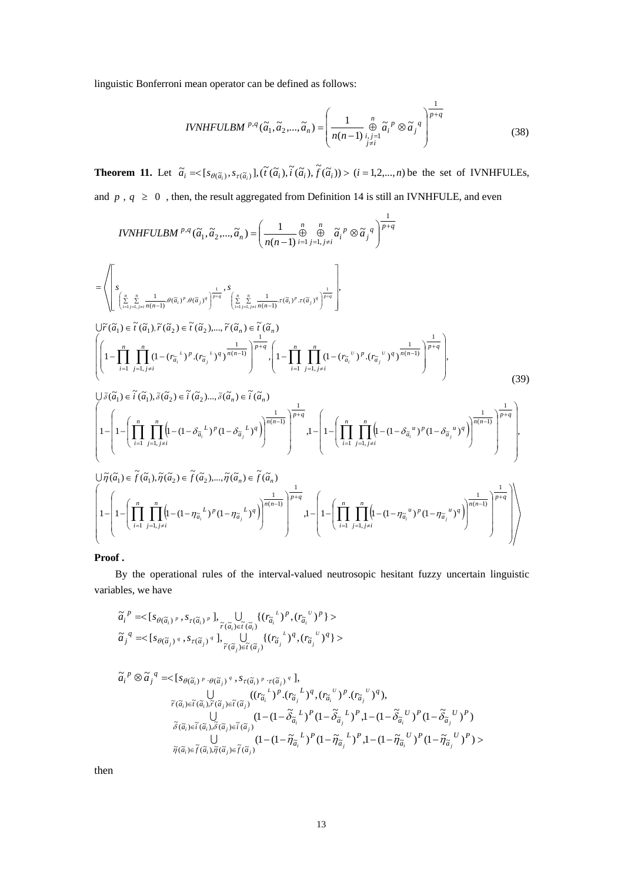linguistic Bonferroni mean operator can be defined as follows:

$$
IVNHFULBM^{p,q}(\tilde{a}_1, \tilde{a}_2, \dots, \tilde{a}_n) = \left(\frac{1}{n(n-1)} \underset{j \neq i}{\overset{n}{\oplus}} \tilde{a}_i^p \otimes \tilde{a}_j^q\right)^{\frac{1}{p+q}}
$$
(38)

**Theorem 11.** Let  $\tilde{a}_i = \langle [s_{\theta(\tilde{a}_i)}, s_{\tau(\tilde{a}_i)}], (\tilde{t}(\tilde{a}_i), \tilde{t}(\tilde{a}_i), \tilde{f}(\tilde{a}_i)) \rangle \rangle$  (*i* = 1,2,..., *n*) be the set of IVNHFULEs, and  $p$ ,  $q \ge 0$ , then, the result aggregated from Definition 14 is still an IVNHFULE, and even

IVNHFULBM<sup>p,q</sup>(
$$
\tilde{a}_1, \tilde{a}_2, ..., \tilde{a}_n
$$
) =  $\left(\frac{1}{n(n-1)} \oplus_{i=1}^n \oplus_{j=1, j \neq i}^n \tilde{a}_i^p \otimes \tilde{a}_j^q\right)^{\frac{1}{p+q}}$   
\n= $\left\langle \left[\sum_{\substack{\frac{n}{n} \leq \frac{n}{n-1, j \neq i}}^n \frac{1}{n(n-1)}, \theta(\tilde{a}_i)^p \cdot \theta(\tilde{a}_j)^q \right]^{\frac{1}{p+q}}}^{\frac{1}{p+q}} \cdot \sum_{\substack{\frac{n}{n} \leq \frac{n}{n-1, j \neq i}}^n \frac{1}{n(n-1)}, \tau(\tilde{a}_i)^p \cdot \tau(\tilde{a}_j)^q \right]^{\frac{1}{p+q}}}^{\frac{1}{p+q}}\right],$   
\n $\bigcup \widetilde{r}(\tilde{a}_1) \in \widetilde{t}(\tilde{a}_1), \widetilde{r}(\tilde{a}_2) \in \widetilde{t}(\tilde{a}_2), ..., \widetilde{r}(\tilde{a}_n) \in \widetilde{t}(\tilde{a}_n)$   
\n $\left(1 - \prod_{i=1}^n \prod_{j=1, j \neq i}^n (1 - (r_{\tilde{a}_i}^{\ t})^p \cdot (r_{\tilde{a}_j}^{\ t})^q)^{\frac{1}{n(n-1)}}\right)^{\frac{1}{p+q}}, \left(1 - \prod_{i=1}^n \prod_{j=1, j \neq i}^n (1 - (r_{\tilde{a}_i}^{\ t})^p \cdot (r_{\tilde{a}_j}^{\ t})^q)^{\frac{1}{n(n-1)}}\right)^{\frac{1}{p+q}}$   
\n $\left(39\right)$   
\n $\bigcup \widetilde{\sigma}(\tilde{a}_1) \in \widetilde{t}(\tilde{a}_1), \widetilde{\sigma}(\tilde{a}_2) \in \widetilde{t}(\tilde{a}_2), ..., \widetilde{\sigma}(\tilde{a}_n) \in \widetilde{t}(\tilde{a}_n)$   
\n $\left[1 - \left(1 - \left(\prod_{i=1}^n \prod_{j=1, j \neq$ 

$$
\left(1-\left(1-\left(\prod_{i=1}^{n}\prod_{j=1,j\neq i}^{n}\left(1-(1-\eta_{\tilde{a}_{i}}^{L})^{p}(1-\eta_{\tilde{a}_{j}}^{L})^{q}\right)\right)^{\frac{1}{n(n-1)}}\right)^{\frac{1}{p+q}},1-\left(1-\left(\prod_{i=1}^{n}\prod_{j=1,j\neq i}^{n}\left(1-(1-\eta_{\tilde{a}_{i}}^{u})^{p}(1-\eta_{\tilde{a}_{j}}^{u})^{q}\right)\right)^{\frac{1}{n(n-1)}}\right)^{\frac{1}{p+q}}\right)\right)
$$

#### **Proof .**

By the operational rules of the interval-valued neutrosopic hesitant fuzzy uncertain linguistic variables, we have

$$
\widetilde{a}_i^p \approx [s_{\theta(\widetilde{a}_i)^p}, s_{\tau(\widetilde{a}_i)^p}], \bigcup_{\widetilde{r}(\widetilde{a}_i) \in \widetilde{t}(\widetilde{a}_i)} \{(r_{\widetilde{a}_i}^{\iota})^p, (r_{\widetilde{a}_i}^{\iota})^p\} > \widetilde{a}_j^q \approx [s_{\theta(\widetilde{a}_j)^q}, s_{\tau(\widetilde{a}_j)^q}], \bigcup_{\widetilde{r}(\widetilde{a}_j) \in \widetilde{t}(\widetilde{a}_j)} \{(r_{\widetilde{a}_j}^{\iota})^q, (r_{\widetilde{a}_j}^{\iota})^q\} >
$$

$$
\tilde{a}_{i}^{p} \otimes \tilde{a}_{j}^{q} = \langle [s_{\theta(\tilde{a}_{i})^{p}} \cdot \theta(\tilde{a}_{j})^{q}}, s_{\tau(\tilde{a}_{i})^{p}} \cdot \tau(\tilde{a}_{j})^{q} ],
$$
\n
$$
\bigcup_{\tilde{r}(\tilde{a}_{i}) \in \tilde{t}(\tilde{a}_{i}), \tilde{r}(\tilde{a}_{j}) \in \tilde{t}(\tilde{a}_{j})} ((r_{\tilde{a}_{i}}^{L})^{p} \cdot (r_{\tilde{a}_{j}}^{L})^{q}, (r_{\tilde{a}_{i}}^{U})^{p} \cdot (r_{\tilde{a}_{j}}^{U})^{q} ),
$$
\n
$$
\tilde{\delta}(\tilde{a}_{i}) \in \tilde{t}(\tilde{a}_{i}), \tilde{\delta}(\tilde{a}_{j}) \in \tilde{t}(\tilde{a}_{j})} (1 - (1 - \tilde{\delta}_{\tilde{a}_{i}}^{L})^{p} (1 - \tilde{\delta}_{\tilde{a}_{j}}^{L})^{p}, 1 - (1 - \tilde{\delta}_{\tilde{a}_{i}}^{U})^{p} (1 - \tilde{\delta}_{\tilde{a}_{j}}^{U})^{p})
$$
\n
$$
\tilde{\delta}(\tilde{a}_{i}) \in \tilde{t}(\tilde{a}_{i}), \tilde{\delta}(\tilde{a}_{j}) \in \tilde{t}(\tilde{a}_{j})} (1 - (1 - \tilde{\eta}_{\tilde{a}_{i}}^{L})^{p} (1 - \tilde{\eta}_{\tilde{a}_{j}}^{L})^{p}, 1 - (1 - \tilde{\eta}_{\tilde{a}_{i}}^{U})^{p} (1 - \tilde{\eta}_{\tilde{a}_{j}}^{U})^{p}) >
$$
\n
$$
\tilde{\eta}(\tilde{a}_{i}) \in \tilde{t}(\tilde{a}_{i}), \tilde{\eta}(\tilde{a}_{j}) \in \tilde{t}(\tilde{a}_{j})
$$

then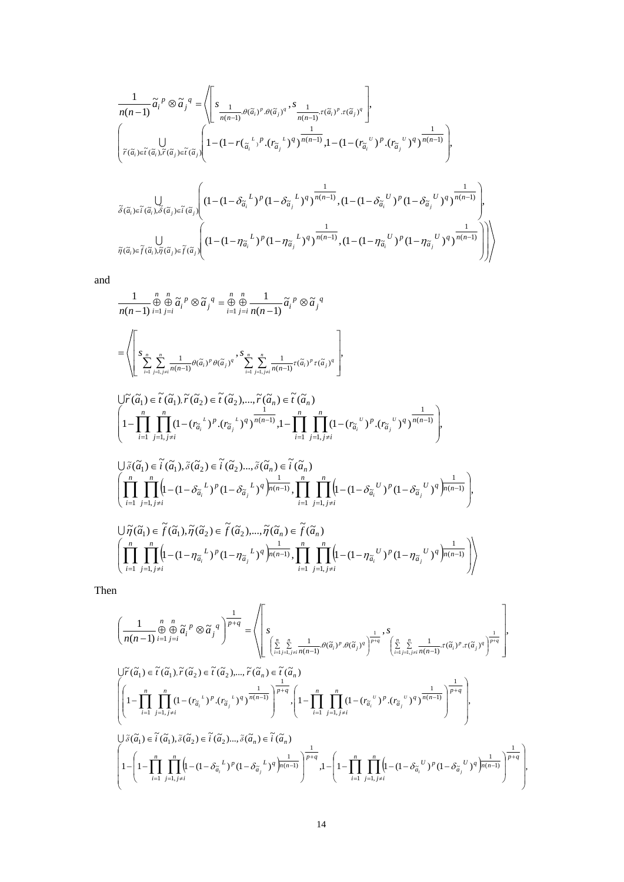$$
\frac{1}{n(n-1)}\widetilde{\alpha}_i^p \otimes \widetilde{\alpha}_j^q = \left\langle \left[ s_{\frac{1}{n(n-1)}\cdot \theta(\widetilde{\alpha}_i)^p \cdot \theta(\widetilde{\alpha}_j)^q}, s_{\frac{1}{n(n-1)}\cdot \tau(\widetilde{\alpha}_i)^p \cdot \tau(\widetilde{\alpha}_j)^q} \right],
$$
\n
$$
\left\{ \bigcup_{\widetilde{r}(\widetilde{\alpha}_i) \in \widetilde{t}(\widetilde{\alpha}_i), \widetilde{r}(\widetilde{\alpha}_j) \in \widetilde{t}(\widetilde{\alpha}_j)} \left\{ 1 - (1 - r(\frac{\iota}{\widetilde{\alpha}_i}^p) \cdot (r_{\widetilde{\alpha}_j}^p)^q)^{\frac{1}{n(n-1)}} , 1 - (1 - (r_{\widetilde{\alpha}_i}^p) \cdot (r_{\widetilde{\alpha}_j}^p)^q)^{\frac{1}{n(n-1)}} \right\},
$$
\n
$$
\widetilde{\delta}(\widetilde{\alpha}_i) \in \widetilde{t}(\widetilde{\alpha}_i), \widetilde{\delta}(\widetilde{\alpha}_j) \in \widetilde{t}(\widetilde{\alpha}_j)} \left\{ (1 - (1 - \delta_{\widetilde{\alpha}_i}^L)^p (1 - \delta_{\widetilde{\alpha}_j}^L)^q)^{\frac{1}{n(n-1)}}, (1 - (1 - \delta_{\widetilde{\alpha}_i}^U)^p (1 - \delta_{\widetilde{\alpha}_j}^U)^q)^{\frac{1}{n(n-1)}} \right\},
$$
\n
$$
\widetilde{\delta}(\widetilde{\alpha}_i) \in \widetilde{t}(\widetilde{\alpha}_i), \widetilde{\delta}(\widetilde{\alpha}_j) \in \widetilde{t}(\widetilde{\alpha}_j)} \left\{ (1 - (1 - \eta_{\widetilde{\alpha}_i}^L)^p (1 - \eta_{\widetilde{\alpha}_j}^L)^q)^{\frac{1}{n(n-1)}}, (1 - (1 - \eta_{\widetilde{\alpha}_i}^U)^p (1 - \eta_{\widetilde{\alpha}_j}^U)^q)^{\frac{1}{n(n-1)}} \right\} \right\}
$$

and

$$
\frac{1}{n(n-1)} \mathop{\oplus}\limits_{i=1}^{n} \mathop{\oplus}\limits_{j=i}^{n} \widetilde{a}_{i}^{p} \otimes \widetilde{a}_{j}^{q} = \mathop{\oplus}\limits_{i=1}^{n} \mathop{\oplus}\limits_{j=i}^{n} \frac{1}{n(n-1)} \widetilde{a}_{i}^{p} \otimes \widetilde{a}_{j}^{q}
$$
\n
$$
= \left\langle \left[ S_{\sum_{i=1}^{n} \sum_{j=1, j \neq i}^{n} \frac{1}{n(n-1)} \theta(\widetilde{a}_{i})^{p} \theta(\widetilde{a}_{j})^{q}}, S_{\sum_{i=1}^{n} \sum_{j=1, j \neq i}^{n} \frac{1}{n(n-1)} \tau(\widetilde{a}_{i})^{p} \tau(\widetilde{a}_{j})^{q} \right],
$$

$$
\bigcup \widetilde{r}(\widetilde{a}_1) \in \widetilde{t}(\widetilde{a}_1), \widetilde{r}(\widetilde{a}_2) \in \widetilde{t}(\widetilde{a}_2), \dots, \widetilde{r}(\widetilde{a}_n) \in \widetilde{t}(\widetilde{a}_n)
$$
\n
$$
\left(1 - \prod_{i=1}^n \prod_{j=1, j \neq i}^n (1 - (r_{\widetilde{a}_i}^{\ \ L})^p \cdot (r_{\widetilde{a}_j}^{\ \ L})^q)^{\frac{1}{n(n-1)}} , 1 - \prod_{i=1}^n \prod_{j=1, j \neq i}^n (1 - (r_{\widetilde{a}_i}^{\ \ U})^p \cdot (r_{\widetilde{a}_j}^{\ \ U})^q)^{\frac{1}{n(n-1)}} \right),
$$

$$
\bigcup \tilde{\delta}(\tilde{a}_1) \in \tilde{i}(\tilde{a}_1), \tilde{\delta}(\tilde{a}_2) \in \tilde{i}(\tilde{a}_2) \dots, \tilde{\delta}(\tilde{a}_n) \in \tilde{i}(\tilde{a}_n)
$$
\n
$$
\left( \prod_{i=1}^n \prod_{j=1, j \neq i}^n \left( 1 - (1 - \delta_{\tilde{a}_i}^L)^p (1 - \delta_{\tilde{a}_j}^L)^q \right) \frac{1}{n(n-1)}, \prod_{i=1}^n \prod_{j=1, j \neq i}^n \left( 1 - (1 - \delta_{\tilde{a}_i}^U)^p (1 - \delta_{\tilde{a}_j}^U)^q \right) \frac{1}{n(n-1)} \right),
$$

$$
\left\langle \prod_{i=1}^n \prod_{j=1, j\neq i}^n \left( \tilde{a}_1), \tilde{\eta}(\tilde{a}_2) \in \tilde{f}(\tilde{a}_2), \ldots, \tilde{\eta}(\tilde{a}_n) \in \tilde{f}(\tilde{a}_n) \right) \right\langle \prod_{i=1}^n \prod_{j=1, j\neq i}^n \left( 1 - \eta_{\tilde{a}_i}^{\quad \ \ \, L} \right)^p (1 - \eta_{\tilde{a}_j}^{\quad \ \ L})^q \left| \prod_{i=1}^n \prod_{j=1, j\neq i}^n \left( 1 - \eta_{\tilde{a}_i}^{\quad \ \ U} \right)^p (1 - \eta_{\tilde{a}_j}^{\quad \ \ U})^q \right| \right\rangle
$$

Then

$$
\left(\frac{1}{n(n-1)}\bigoplus_{i=1}^{n}\bigoplus_{j=i}^{n}\tilde{a}_{i}^{p}\otimes\tilde{a}_{j}^{q}\right)^{\frac{1}{p+q}}=\left\langle\left[s_{\left(\sum_{i=1}^{n}\sum_{j=1, j\neq i}^{n}\frac{1}{n(n-1)}\cdot\theta(\tilde{a}_{i})^{p}\cdot\theta(\tilde{a}_{j})^{q}\right)^{\frac{1}{p+q}}},s_{\left(\sum_{i=1}^{n}\sum_{j=1, j\neq i}^{n}\frac{1}{n(n-1)}\cdot\tau(\tilde{a}_{i})^{p}\cdot\tau(\tilde{a}_{j})^{q}\right)^{\frac{1}{p+q}}}\right\rangle,
$$
\n
$$
\bigcup_{i=1}^{n}\tilde{f}(\tilde{a}_{1})\cdot\tilde{f}(\tilde{a}_{2})\in\tilde{t}(\tilde{a}_{2})\text{,..., }\tilde{f}(\tilde{a}_{n})\in\tilde{t}(\tilde{a}_{n})
$$
\n
$$
\left(\left(1-\prod_{i=1}^{n}\prod_{j=1, j\neq i}^{n}(1-(r_{\tilde{a}_{i}}^{L})^{p}\cdot(r_{\tilde{a}_{j}}^{L})^{q})^{\frac{1}{n(n-1)}}\right)^{\frac{1}{p+q}}\cdot\left(1-\prod_{i=1}^{n}\prod_{j=1, j\neq i}^{n}(1-(r_{\tilde{a}_{i}}^{U})^{p}\cdot(r_{\tilde{a}_{j}}^{U})^{q})^{\frac{1}{n(n-1)}}\right)^{\frac{1}{p+q}}\right),
$$
\n
$$
\bigcup_{i=1}^{n}\tilde{\delta}(\tilde{a}_{1})\in\tilde{t}(\tilde{a}_{1}),\tilde{\delta}(\tilde{a}_{2})\in\tilde{t}(\tilde{a}_{2})\text{,..., }\tilde{\delta}(\tilde{a}_{n})\in\tilde{t}(\tilde{a}_{n})
$$
\n
$$
\left(1-\left(1-\prod_{i=1}^{n}\prod_{j=1, j\neq i}^{n}\left(1-(1-\delta_{\tilde{a}_{i}}^{L})^{p}(1-\delta_{\tilde{a}_{j}}^{L})^{q}\right)^{\frac{1}{n(n-1)}}\right)^{\frac{1}{p+q}},1-\left(1-\prod_{i=1}^{n}\
$$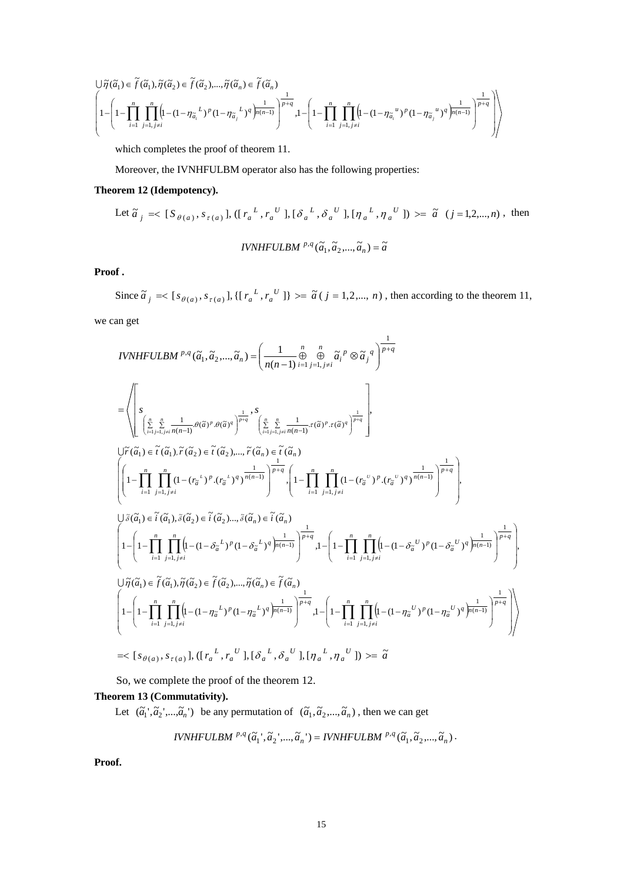$$
\left\{\begin{aligned}&1-\left(1-\prod_{i=1}^n\prod_{j=1,\,j\neq i}^n\left(l-(1-\eta_{\widetilde{a}_i}^{\quad L})^p(1-\eta_{\widetilde{a}_j}^{\quad L})^q\right)^{\frac{1}{p+q}}\right),\\&\left(1-\left(1-\prod_{i=1}^n\prod_{j=1,\,j\neq i}^n\left(l-(1-\eta_{\widetilde{a}_i}^{\quad L})^p(1-\eta_{\widetilde{a}_j}^{\quad L})^q\right)^{\frac{1}{p+(q-1)}}\right)^{\frac{1}{p+q}}\right),\\&1-\left(1-\prod_{i=1}^n\prod_{j=1,\,j\neq i}^n\left(l-(1-\eta_{\widetilde{a}_i}^{\quad u})^p(1-\eta_{\widetilde{a}_j}^{\quad u})^q\right)^{\frac{1}{p+(q-1)}}\right)^{\frac{1}{p+q}}\right)\right\}\end{aligned}
$$

which completes the proof of theorem 11.

Moreover, the IVNHFULBM operator also has the following properties:

# **Theorem 12 (Idempotency).**

Let 
$$
\tilde{a}_j = \langle [S_{\theta(a)}, s_{\tau(a)}], ([r_a^L, r_a^U], [\delta_a^L, \delta_a^U], [\eta_a^L, \eta_a^U] \rangle \rangle = \tilde{a} \ (j = 1, 2, ..., n),
$$
 then  
\n
$$
IVNHFULBM^{p,q}(\tilde{a}_1, \tilde{a}_2, ..., \tilde{a}_n) = \tilde{a}
$$

**Proof .** 

Since  $\tilde{a}_j = \{ [s_{\theta(a)}, s_{\tau(a)}], \{ [r_a^L, r_a^U] \} \rangle = \tilde{a} (j = 1, 2, ..., n)$ , then according to the theorem 11,

we can get

$$
IVNHFULBM^{p,q}(\tilde{a}_{1}, \tilde{a}_{2}, ..., \tilde{a}_{n}) = \left(\frac{1}{n(n-1)} \bigoplus_{i=1}^{n} \bigoplus_{j=i, j \neq i}^{n} \tilde{a}_{i}^{p} \otimes \tilde{a}_{j}^{q}\right)^{\frac{1}{p+q}}
$$
\n
$$
= \left\{\n\begin{bmatrix}\n\sum_{i=1, j \neq i}^{n} \sum_{j=1, j \neq i}^{n} \frac{1}{n(n-1)} \theta(\tilde{a})^{p} \theta(\tilde{a})^{q}\right)^{\frac{1}{p+q}},\n\sum_{i=1, j \neq i, j \neq n}^{n} \left(\sum_{i=1, j \neq i}^{n} \sum_{j=1, j \neq i}^{n} \frac{1}{n(n-1)} \tau(\tilde{a})^{p} \cdot \tau(\tilde{a})^{q}\right)^{\frac{1}{p+q}},\n\end{bmatrix},
$$
\n
$$
U\tilde{r}(\tilde{a}_{1}) \in \tilde{r}(\tilde{a}_{1}), \tilde{r}(\tilde{a}_{2}) \in \tilde{r}(\tilde{a}_{2}), \dots, \tilde{r}(\tilde{a}_{n}) \in \tilde{r}(\tilde{a}_{n})
$$
\n
$$
\left(\n\begin{bmatrix}\n1 - \prod_{i=1}^{n} \prod_{j=1, j \neq i}^{n} (1 - (r_{\tilde{a}}^{k})^{p} \cdot (r_{\tilde{a}}^{k})^{q} \right)^{\frac{1}{n(n-1)}}\n\end{bmatrix}^{\frac{1}{p+q}},\n\begin{bmatrix}\n1 - \prod_{i=1}^{n} \prod_{j=1, j \neq i}^{n} (1 - (r_{\tilde{a}}^{v})^{p} \cdot (r_{\tilde{a}}^{v})^{q} \right)^{\frac{1}{n(n-1)}}\n\end{bmatrix}^{\frac{1}{p+q}}.
$$
\n
$$
U\tilde{\delta}(\tilde{a}_{1}) \in \tilde{t}(\tilde{a}_{1}), \tilde{\delta}(\tilde{a}_{2}) \in \tilde{t}(\tilde{a}_{2}), \dots, \tilde{\delta}(\tilde{a}_{n}) \in \tilde{t}(\tilde{a}_{n})
$$
\n
$$
\left(1 -
$$

So, we complete the proof of the theorem 12.

# **Theorem 13 (Commutativity).**

Let  $(\tilde{a}_1', \tilde{a}_2', ..., \tilde{a}_n')$  be any permutation of  $(\tilde{a}_1, \tilde{a}_2, ..., \tilde{a}_n)$ , then we can get

$$
IVNHFULBM \stackrel{p,q}{\sim} (\widetilde{a}_1^{\;\cdot},\widetilde{a}_2^{\;\cdot},...,\widetilde{a}_n^{\;\cdot}) = IVNHFULBM \stackrel{p,q}{\sim} (\widetilde{a}_1,\widetilde{a}_2^{\;\cdot},...,\widetilde{a}_n^{\;\cdot}).
$$

**Proof.**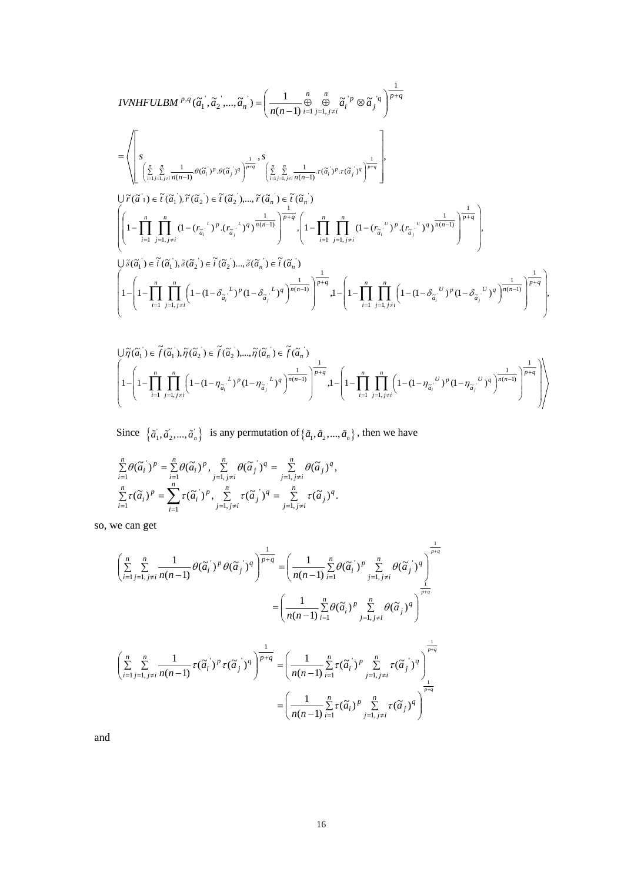$$
IVNHFULBM^{p,q}(\tilde{a}_{1}, \tilde{a}_{2}, ..., \tilde{a}_{n}) = \left(\frac{1}{n(n-1)} \bigoplus_{i=1}^{n} \bigoplus_{j=1, j \neq i}^{n} \tilde{a}_{i}^{\top p} \otimes \tilde{a}_{j}^{\top q}\right)^{\frac{1}{p+q}}
$$
\n
$$
= \left(\left[\sum_{j=1, j \neq i}^{n} \frac{1}{\tilde{a}_{j}! \sum_{j=1, j \neq i}^{n} \frac{1}{n(n-1)} \theta(\tilde{a}_{i}^{\top p} \cdot \theta(\tilde{a}_{j}^{\top q})^{q}\right]^{\frac{1}{p+q}}, \sum_{j=1, j \neq i}^{s} \left(\frac{n}{\tilde{a}_{j}! \sum_{j=1, j \neq i}^{n} \frac{1}{n(n-1)} \cdot \tau(\tilde{a}_{i}^{\top p} \cdot \tau(\tilde{a}_{j}^{\top q})^{q}\right)^{\frac{1}{p+q}}\right],
$$
\n
$$
\cup \tilde{r}(\tilde{a}_{1}) \in \tilde{t}(\tilde{a}_{1}) \cdot \tilde{r}(\tilde{a}_{2}) \in \tilde{t}(\tilde{a}_{2}^{\top}) \dots, \tilde{r}(\tilde{a}_{n}^{\top}) \in \tilde{t}(\tilde{a}_{n}^{\top})
$$
\n
$$
\left(\left[1 - \prod_{i=1}^{n} \prod_{j=1, j \neq i}^{n} (1 - (r_{\tilde{a}_{i}}^{\top} \cdot)^{p} \cdot (r_{\tilde{a}_{j}}^{\top} \cdot)^{q}\right)^{\frac{1}{n(n-1)}}\right)^{\frac{1}{p+q}} \cdot \left(1 - \prod_{i=1}^{n} \prod_{j=1, j \neq i}^{n} (1 - (r_{\tilde{a}_{i}}^{\top} \cdot)^{p} \cdot (r_{\tilde{a}_{j}}^{\top} \cdot)^{q}\right)^{\frac{1}{n(n-1)}}\right)^{\frac{1}{p+q}}
$$
\n
$$
\cup \tilde{s}(\tilde{a}_{1}) \in \tilde{t}(\tilde{a}_{1}), \tilde{s}(\tilde{a}_{2}) \in \tilde{t}(\tilde{a}_{2}) \dots, \tilde{s}(\tilde{a}_{n
$$

$$
\left\{ \begin{aligned} &\bigcup \widetilde{\eta}(\widetilde{a}_1^{\phantom i}) \in \widetilde{f}(\widetilde{a}_1^{\phantom i}), \widetilde{\eta}(\widetilde{a}_2^{\phantom i}) \in \widetilde{f}(\widetilde{a}_2^{\phantom i}),..., \widetilde{\eta}(\widetilde{a}_n^{\phantom i}) \in \widetilde{f}(\widetilde{a}_n^{\phantom i}) \\ &\bigg\lbrack 1-\left(1-\prod_{i=1}^n\prod_{j=1,j\neq i}^n\left(1-(1-\eta_{\widetilde{a}_i^{\phantom i}}^{\phantom i})^p(1-\eta_{\widetilde{a}_j^{\phantom i}}^{\phantom i})^q\right)^{\frac{1}{n(n-1)}}\right)^{\frac{1}{p+q}}, \end{aligned} \right\}^{-1} = \left(1-\prod_{i=1}^n\prod_{j=1,j\neq i}^n\left(1-(1-\eta_{\widetilde{a}_i^{\phantom i}}^{\phantom i}^{\phantom i})^p(1-\eta_{\widetilde{a}_j^{\phantom i}}^{\phantom i})^q\right)^{\frac{1}{n(n-1)}}\right)^{\frac{1}{p+q}}\right) \right\}
$$

Since  $\{\tilde{a}_1, \tilde{a}_2, ..., \tilde{a}_n\}$  is any permutation of  $\{\tilde{a}_1, \tilde{a}_2, ..., \tilde{a}_n\}$ , then we have

$$
\sum_{i=1}^n \theta(\tilde{a}_i^{\cdot})^p = \sum_{i=1}^n \theta(\tilde{a}_i^{\cdot})^p, \sum_{j=1, j\neq i}^n \theta(\tilde{a}_j^{\cdot})^q = \sum_{j=1, j\neq i}^n \theta(\tilde{a}_j^{\cdot})^q,
$$
  

$$
\sum_{i=1}^n \tau(\tilde{a}_i^{\cdot})^p = \sum_{i=1}^n \tau(\tilde{a}_i^{\cdot})^p, \sum_{j=1, j\neq i}^n \tau(\tilde{a}_j^{\cdot})^q = \sum_{j=1, j\neq i}^n \tau(\tilde{a}_j^{\cdot})^q.
$$

so, we can get

$$
\left(\sum_{i=1}^{n} \sum_{j=1, j\neq i}^{n} \frac{1}{n(n-1)} \theta(\tilde{a}_{i})^{p} \theta(\tilde{a}_{j})^{q}\right)^{\frac{1}{p+q}} = \left(\frac{1}{n(n-1)} \sum_{i=1}^{n} \theta(\tilde{a}_{i})^{p} \sum_{j=1, j\neq i}^{n} \theta(\tilde{a}_{j})^{q}\right)^{\frac{1}{p+q}}
$$

$$
= \left(\frac{1}{n(n-1)} \sum_{i=1}^{n} \theta(\tilde{a}_{i})^{p} \sum_{j=1, j\neq i}^{n} \theta(\tilde{a}_{j})^{q}\right)^{\frac{1}{p+q}}
$$

$$
\left(\sum_{i=1}^{n} \sum_{j=1, j\neq i}^{n} \frac{1}{n(n-1)} \tau(\tilde{a}_{i})^{p} \tau(\tilde{a}_{j})^{q}\right)^{\frac{1}{p+q}} = \left(\frac{1}{n(n-1)} \sum_{i=1}^{n} \tau(\tilde{a}_{i})^{p} \sum_{j=1, j\neq i}^{n} \tau(\tilde{a}_{j})^{q}\right)^{\frac{1}{p+q}}
$$

$$
= \left(\frac{1}{n(n-1)} \sum_{i=1}^{n} \tau(\tilde{a}_{i})^{p} \sum_{j=1, j\neq i}^{n} \tau(\tilde{a}_{j})^{q}\right)^{\frac{1}{p+q}}
$$

and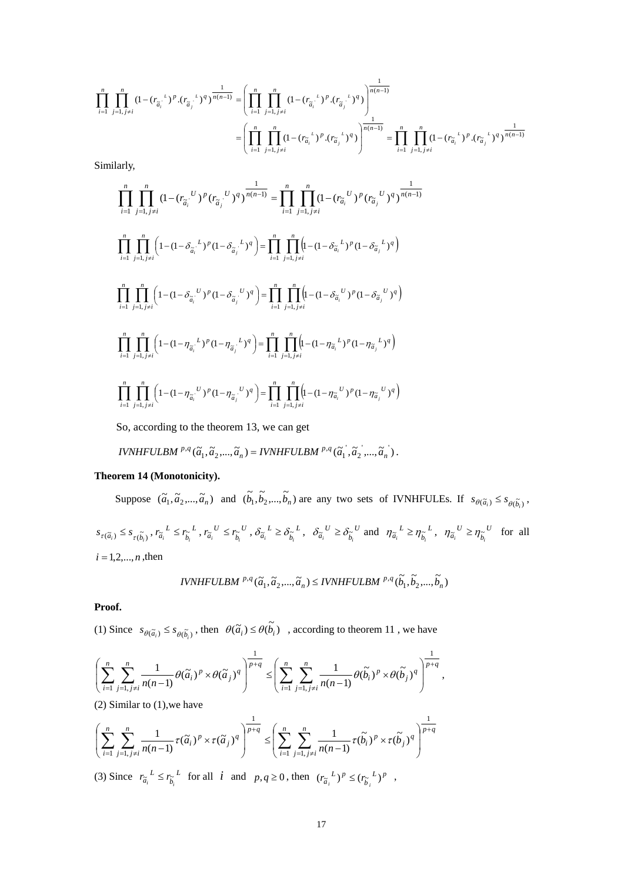$$
\prod_{i=1}^{n} \prod_{j=1, j\neq i}^{n} (1 - (r_{\tilde{a}_{i}}^{i})^{p} \cdot (r_{\tilde{a}_{j}}^{i})^{q})^{\frac{1}{n(n-1)}} = \left(\prod_{i=1}^{n} \prod_{j=1, j\neq i}^{n} (1 - (r_{\tilde{a}_{i}}^{i})^{p} \cdot (r_{\tilde{a}_{j}}^{i})^{q})\right)^{\frac{1}{n(n-1)}}
$$
\n
$$
= \left(\prod_{i=1}^{n} \prod_{j=1, j\neq i}^{n} (1 - (r_{\tilde{a}_{i}}^{i})^{p} \cdot (r_{\tilde{a}_{j}}^{i})^{q})\right)^{\frac{1}{n(n-1)}}
$$
\n
$$
= \prod_{i=1}^{n} \prod_{j=1, j\neq i}^{n} (1 - (r_{\tilde{a}_{i}}^{i})^{p} \cdot (r_{\tilde{a}_{j}}^{i})^{q})^{\frac{1}{n(n-1)}}
$$

Similarly,

$$
\prod_{i=1}^{n} \prod_{j=1, j\neq i}^{n} (1 - (r_{\tilde{a}_{i}}^{U})^{p} (r_{\tilde{a}_{j}}^{U})^{q})^{\frac{1}{n(n-1)}} = \prod_{i=1}^{n} \prod_{j=1, j\neq i}^{n} (1 - (r_{\tilde{a}_{i}}^{U})^{p} (r_{\tilde{a}_{j}}^{U})^{q})^{\frac{1}{n(n-1)}}
$$
\n
$$
\prod_{i=1}^{n} \prod_{j=1, j\neq i}^{n} \left(1 - (1 - \delta_{\tilde{a}_{i}}^{L})^{p} (1 - \delta_{\tilde{a}_{j}}^{L})^{q}\right) = \prod_{i=1}^{n} \prod_{j=1, j\neq i}^{n} \left(1 - (1 - \delta_{\tilde{a}_{i}}^{L})^{p} (1 - \delta_{\tilde{a}_{j}}^{L})^{q}\right)
$$
\n
$$
\prod_{i=1}^{n} \prod_{j=1, j\neq i}^{n} \left(1 - (1 - \delta_{\tilde{a}_{i}}^{U})^{p} (1 - \delta_{\tilde{a}_{j}}^{U})^{q}\right) = \prod_{i=1}^{n} \prod_{j=1, j\neq i}^{n} \left(1 - (1 - \delta_{\tilde{a}_{i}}^{U})^{p} (1 - \delta_{\tilde{a}_{j}}^{U})^{q}\right)
$$
\n
$$
\prod_{i=1}^{n} \prod_{j=1, j\neq i}^{n} \left(1 - (1 - \eta_{\tilde{a}_{i}}^{L})^{p} (1 - \eta_{\tilde{a}_{j}}^{L})^{q}\right) = \prod_{i=1}^{n} \prod_{j=1, j\neq i}^{n} \left(1 - (1 - \eta_{\tilde{a}_{i}}^{L})^{p} (1 - \eta_{\tilde{a}_{j}}^{L})^{q}\right)
$$
\n
$$
\prod_{i=1}^{n} \prod_{j=1, j\neq i}^{n} \left(1 - (1 - \eta_{\tilde{a}_{i}}^{U})^{p} (1 - \eta_{\tilde{a}_{j}}^{U})^{q}\right) = \prod_{i=1}^{n} \prod_{j=1, j\neq i}^{n} \left(1 - (1 - \eta_{\tilde{a}_{i}}^{U})^{p} (1 - \eta_{\tilde{a}_{
$$

So, according to the theorem 13, we can get

IVNHFULBM <sup>p,q</sup> (
$$
\tilde{a}_1, \tilde{a}_2, ..., \tilde{a}_n
$$
) = IVNHFULBM <sup>p,q</sup> ( $\tilde{a}_1, \tilde{a}_2, ..., \tilde{a}_n$ ).

# **Theorem 14 (Monotonicity).**

Suppose  $(\tilde{a}_1, \tilde{a}_2, ..., \tilde{a}_n)$  and  $(\tilde{b}_1, \tilde{b}_2, ..., \tilde{b}_n)$  are any two sets of IVNHFULEs. If  $s_{\theta(\tilde{a}_i)} \leq s_{\theta(\tilde{b}_i)}$ ,

 $s_{\tau(\widetilde{a}_{i})} \leq s_{\tau(\widetilde{b}_{i})}, r_{\widetilde{a}_{i}}^{L} \leq r_{\widetilde{b}_{i}}^{L}$  $r_{\widetilde{a}_i}^L \leq r_{\widetilde{b}_i}^L$ ,  $r_{\widetilde{a}_i}^U \leq r_{\widetilde{b}_i}^U$  $r_{\widetilde{a}_i}^{\phantom{a}U} \leq r_{\widetilde{b}_i}^{\phantom{a}U}$ ,  $\delta_{\widetilde{a}_i}^{\phantom{a}L} \geq \delta_{\widetilde{b}_i}^{\phantom{b}L}$  $\delta_{\tilde{a}_i}^L \geq \delta_{\tilde{b}_i}^L$ ,  $\delta_{\tilde{a}_i}^U \geq \delta_{\tilde{b}_i}^U$  $\delta_{\tilde{a}_i}^{\ U} \geq \delta_{\tilde{b}_i}^{\ U}$  and  $\eta_{\tilde{a}_i}^{\ L} \geq \eta_{\tilde{b}_i}^{\ L}$  $\eta_{\tilde{a}_i}^L \geq \eta_{\tilde{b}_i}^L$ ,  $\eta_{\tilde{a}_i}^U \geq \eta_{\tilde{b}_i}^U$  $\eta_{\tilde{a}_i}^{\quad U} \geq \eta_{\tilde{b}_i}^{\quad U}$  for all  $i = 1, 2, ..., n$ , then

$$
IVNHFULBM \stackrel{p,q}{\ldots} (\widetilde{a}_1, \widetilde{a}_2, ..., \widetilde{a}_n) \leq IVNHFULBM \stackrel{p,q}{\ldots} (\widetilde{b}_1, \widetilde{b}_2, ..., \widetilde{b}_n)
$$

**Proof.** 

(1) Since  $s_{\theta(\tilde{a}_i)} \leq s_{\theta(\tilde{b}_i)}$ , then  $\theta(\tilde{a}_i) \leq \theta(\tilde{b}_i)$ , according to theorem 11, we have

$$
\left(\sum_{i=1}^n \sum_{j=1, j\neq i}^n \frac{1}{n(n-1)} \theta(\widetilde{a}_i)^p \times \theta(\widetilde{a}_j)^q\right)^{\frac{1}{p+q}} \leq \left(\sum_{i=1}^n \sum_{j=1, j\neq i}^n \frac{1}{n(n-1)} \theta(\widetilde{b}_i)^p \times \theta(\widetilde{b}_j)^q\right)^{\frac{1}{p+q}},
$$

(2) Similar to  $(1)$ , we have

$$
\left(\sum_{i=1}^n \sum_{j=1, j\neq i}^n \frac{1}{n(n-1)} \tau(\widetilde{a}_i)^p \times \tau(\widetilde{a}_j)^q\right)^{\frac{1}{p+q}} \leq \left(\sum_{i=1}^n \sum_{j=1, j\neq i}^n \frac{1}{n(n-1)} \tau(\widetilde{b}_i)^p \times \tau(\widetilde{b}_j)^q\right)^{\frac{1}{p+q}}
$$

(3) Since  $r_{\tilde{a}_i}^L \leq r_{\tilde{b}_i}^L$  $r_{\tilde{a}_i}^L \leq r_{\tilde{b}_i}^L$  for all *i* and  $p, q \geq 0$ , then  $(r_{\tilde{a}_i}^L)^p \leq (r_{\tilde{b}_i}^L)^p$  $(r_{\widetilde{a}_i}^L)^p \le (r_{\widetilde{b}_i}^L)^p$ ,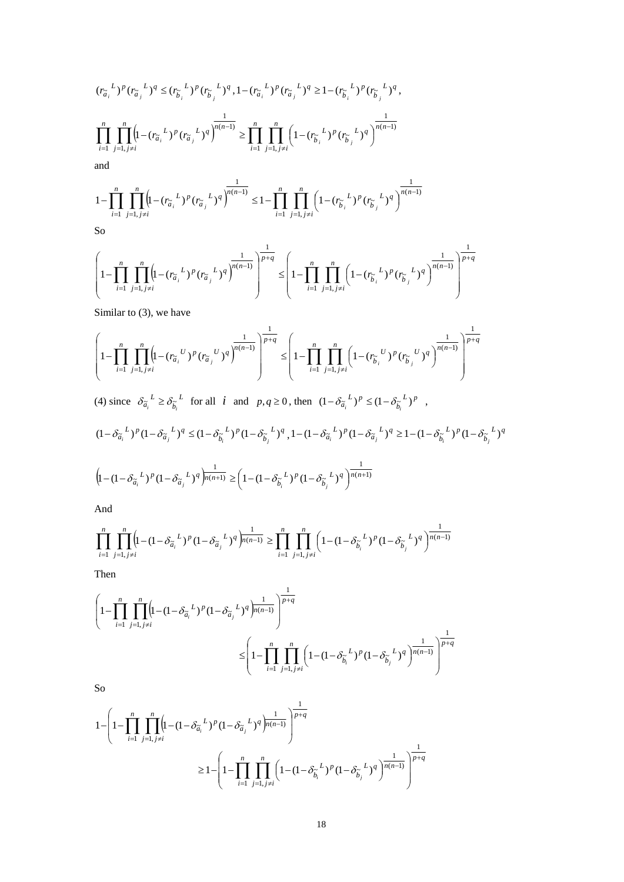$$
(r_{\tilde{a}_i}^{L})^p (r_{\tilde{a}_j}^{L})^q \leq (r_{\tilde{b}_i}^{L})^p (r_{\tilde{b}_j}^{L})^q, 1 - (r_{\tilde{a}_i}^{L})^p (r_{\tilde{a}_j}^{L})^q \geq 1 - (r_{\tilde{b}_i}^{L})^p (r_{\tilde{b}_j}^{L})^q,
$$
  

$$
\prod_{i=1}^n \prod_{j=1, j \neq i}^n \left(1 - (r_{\tilde{a}_i}^{L})^p (r_{\tilde{a}_j}^{L})^q\right)^{\frac{1}{n(n-1)}} \geq \prod_{i=1}^n \prod_{j=1, j \neq i}^n \left(1 - (r_{\tilde{b}_i}^{L})^p (r_{\tilde{b}_j}^{L})^q\right)^{\frac{1}{n(n-1)}}
$$
  
and  

$$
\prod_{j=1}^n \prod_{j=1, j \neq i}^n (r_{\tilde{a}_j}^{L})^p (r_{\tilde{a}_j}^{L})^q
$$

$$
1 - \prod_{i=1}^{n} \prod_{j=1, j \neq i}^{n} \left( 1 - (r_{\widetilde{a}_i}^{L})^p (r_{\widetilde{a}_j}^{L})^q \right)^{\frac{1}{n(n-1)}} \leq 1 - \prod_{i=1}^{n} \prod_{j=1, j \neq i}^{n} \left( 1 - (r_{\widetilde{b}_i}^{L})^p (r_{\widetilde{b}_j}^{L})^q \right)^{\frac{1}{n(n-1)}}
$$

So

$$
\left(1 - \prod_{i=1}^{n} \prod_{j=1, j \neq i}^{n} \left(1 - \left(r_{\widetilde{a}_i}^L\right)^p \left(r_{\widetilde{a}_j}^L\right)^q\right)^{\frac{1}{p+q}} \leq \left(1 - \prod_{i=1}^{n} \prod_{j=1, j \neq i}^{n} \left(1 - \left(r_{\widetilde{b}_i}^L\right)^p \left(r_{\widetilde{b}_j}^L\right)^q\right)^{\frac{1}{n(n-1)}}\right)^{\frac{1}{p+q}}
$$

Similar to (3), we have

$$
\left(1-\prod_{i=1}^n\prod_{j=1,\,j\neq i}^n\left(1-(r_{\widetilde{a}_i}^{\quad U})^p(r_{\widetilde{a}_j}^{\quad U})^q\right)^{\frac{1}{p+q}}\leq\left(1-\prod_{i=1}^n\prod_{j=1,\,j\neq i}^n\left(1-(r_{\widetilde{b}_i}^{\quad U})^p(r_{\widetilde{b}_j}^{\quad U})^q\right)^{\frac{1}{n(n-1)}}\right)^{\frac{1}{p+q}}
$$

(4) since  $\delta_{\tilde{a}_i}^L \geq \delta_{\tilde{b}_i}^L$  $\delta_{\tilde{a}_i}^L \ge \delta_{\tilde{b}_i}^L$  for all *i* and  $p, q \ge 0$ , then  $(1 - \delta_{\tilde{a}_i}^L)^p \le (1 - \delta_{\tilde{b}_i}^L)^p$ ,

$$
(1 - \delta_{\tilde{a}_i}^L)^p (1 - \delta_{\tilde{a}_j}^L)^q \le (1 - \delta_{\tilde{b}_i}^L)^p (1 - \delta_{\tilde{b}_j}^L)^q, 1 - (1 - \delta_{\tilde{a}_i}^L)^p (1 - \delta_{\tilde{a}_j}^L)^q \ge 1 - (1 - \delta_{\tilde{b}_i}^L)^p (1 - \delta_{\tilde{b}_j}^L)^q
$$

$$
\left(1 - (1 - \delta_{\tilde{a}_i}{}^L)^p (1 - \delta_{\tilde{a}_j}{}^L)^q\right)^{\frac{1}{n(n+1)}} \ge \left(1 - (1 - \delta_{\tilde{b}_i}{}^L)^p (1 - \delta_{\tilde{b}_j}{}^L)^q\right)^{\frac{1}{n(n+1)}}
$$

And

$$
\prod_{i=1}^n \prod_{j=1, j\neq i}^n \left( 1- \left(1- \delta_{\widetilde{a}_i}^{\ \ L}\right)^p (1- \delta_{\widetilde{a}_j}^{\ \ L})^q\right)^{\frac{1}{n(n-1)}} \geq \prod_{i=1}^n \prod_{j=1, j\neq i}^n \left( 1- \left(1- \delta_{\widetilde{b}_i}^{\ \ L}\right)^p (1- \delta_{\widetilde{b}_j}^{\ \ L})^q\right)^{\frac{1}{n(n-1)}}
$$

Then

$$
\left(1-\prod_{i=1}^{n}\prod_{j=1,\,j\neq i}^{n}\left(1-(1-\delta_{\widetilde{a}_{i}}{^{L}})^{p}(1-\delta_{\widetilde{a}_{j}}{^{L}})^{q}\right)^{\frac{1}{n(n-1)}}\right)^{\frac{1}{p+q}}\\ \leq\left(1-\prod_{i=1}^{n}\prod_{j=1,\,j\neq i}^{n}\left(1-(1-\delta_{\widetilde{b}_{i}}{^{L}})^{p}(1-\delta_{\widetilde{b}_{j}}{^{L}})^{q}\right)^{\frac{1}{n(n-1)}}\right)^{\frac{1}{p+q}}
$$

So

$$
1 - \left(1 - \prod_{i=1}^{n} \prod_{j=1, j \neq i}^{n} \left(1 - (1 - \delta_{\widetilde{a}_i}^L)^p (1 - \delta_{\widetilde{a}_j}^L)^q\right)^{\frac{1}{p(n-1)}}\right)^{\frac{1}{p+q}}
$$
  

$$
\geq 1 - \left(1 - \prod_{i=1}^{n} \prod_{j=1, j \neq i}^{n} \left(1 - (1 - \delta_{\widetilde{b}_i}^L)^p (1 - \delta_{\widetilde{b}_j}^L)^q\right)^{\frac{1}{p(n-1)}}\right)^{\frac{1}{p+q}}
$$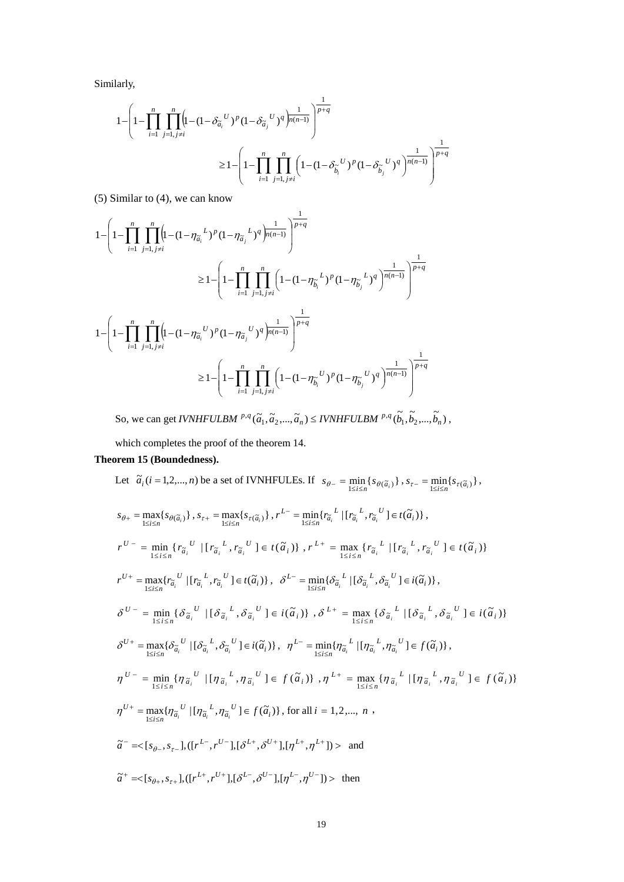Similarly,

$$
1 - \left(1 - \prod_{i=1}^{n} \prod_{j=1, j \neq i}^{n} \left(1 - (1 - \delta_{\widetilde{a}_i}^{U})^p (1 - \delta_{\widetilde{a}_j}^{U})^q\right)^{\frac{1}{n(n-1)}}\right)^{\frac{1}{p+q}}
$$
  

$$
\geq 1 - \left(1 - \prod_{i=1}^{n} \prod_{j=1, j \neq i}^{n} \left(1 - (1 - \delta_{\widetilde{b}_i}^{U})^p (1 - \delta_{\widetilde{b}_j}^{U})^q\right)^{\frac{1}{n(n-1)}}\right)^{\frac{1}{p+q}}
$$

(5) Similar to (4), we can know

$$
\begin{split} 1 - \left(1 - \prod_{i=1}^{n} \prod_{j=1, j\neq i}^{n} \left(1 - (1 - \eta_{\widetilde{a}_{i}}^{L})^{p} (1 - \eta_{\widetilde{a}_{j}}^{L})^{q}\right)^{\frac{1}{p(n-1)}}\right)^{\frac{1}{p+q}} \\ \geq & 1 - \left(1 - \prod_{i=1}^{n} \prod_{j=1, j\neq i}^{n} \left(1 - (1 - \eta_{\widetilde{b}_{i}}^{L})^{p} (1 - \eta_{\widetilde{b}_{j}}^{L})^{q}\right)^{\frac{1}{n(n-1)}}\right)^{\frac{1}{p+q}} \\ 1 - \left(1 - \prod_{i=1}^{n} \prod_{j=1, j\neq i}^{n} \left(1 - (1 - \eta_{\widetilde{a}_{i}}^{U})^{p} (1 - \eta_{\widetilde{a}_{j}}^{U})^{q}\right)^{\frac{1}{n(n-1)}}\right)^{\frac{1}{p+q}} \\ \geq & 1 - \left(1 - \prod_{i=1}^{n} \prod_{j=1, j\neq i}^{n} \left(1 - (1 - \eta_{\widetilde{b}_{i}}^{U})^{p} (1 - \eta_{\widetilde{b}_{j}}^{U})^{q}\right)^{\frac{1}{n(n-1)}}\right)^{\frac{1}{p+q}} \end{split}
$$

So, we can get *IVNHFULBM*  $^{p,q}(\tilde{a}_1, \tilde{a}_2, ..., \tilde{a}_n) \leq IVMHFULBM$   $^{p,q}(\tilde{b}_1, \tilde{b}_2, ..., \tilde{b}_n)$ ,

which completes the proof of the theorem 14.

# **Theorem 15 (Boundedness).**

Let 
$$
\tilde{a}_i (i = 1, 2, ..., n)
$$
 be a set of IVNHFULEs. If  $s_{\theta-} = \min_{1 \leq i \leq n} \{s_{\theta(\tilde{a}_i)}\}, s_{\tau-} = \min_{1 \leq i \leq n} \{s_{\tau(\tilde{a}_i)}\},$   
\n
$$
s_{\theta+} = \max_{1 \leq i \leq n} \{s_{\theta(\tilde{a}_i)}\}, s_{\tau+} = \max_{1 \leq i \leq n} \{s_{\tau(\tilde{a}_i)}\}, r^{L-} = \min_{1 \leq i \leq n} \{r_{\tilde{a}_i}^L \mid [r_{\tilde{a}_i}^L, r_{\tilde{a}_i}^U] \in t(\tilde{a}_i)\},
$$
  
\n
$$
r^{U-} = \min_{1 \leq i \leq n} \{r_{\tilde{a}_i}^U \mid [r_{\tilde{a}_i}^L, r_{\tilde{a}_i}^U] \in t(\tilde{a}_i)\}, r^{L+} = \max_{1 \leq i \leq n} \{r_{\tilde{a}_i}^L \mid [r_{\tilde{a}_i}^L, r_{\tilde{a}_i}^U] \in t(\tilde{a}_i)\}
$$
  
\n
$$
r^{U+} = \max_{1 \leq i \leq n} \{r_{\tilde{a}_i}^U \mid [r_{\tilde{a}_i}^L, r_{\tilde{a}_i}^U] \in t(\tilde{a}_i)\}, \delta^{L-} = \min_{1 \leq i \leq n} \{\delta_{\tilde{a}_i}^L \mid [\delta_{\tilde{a}_i}^L, \delta_{\tilde{a}_i}^U] \in t(\tilde{a}_i)\}
$$
  
\n
$$
\delta^{U-} = \min_{1 \leq i \leq n} \{\delta_{\tilde{a}_i}^U \mid [\delta_{\tilde{a}_i}^L, \delta_{\tilde{a}_i}^U] \in t(\tilde{a}_i)\}, \delta^{L+} = \max_{1 \leq i \leq n} \{\delta_{\tilde{a}_i}^L \mid [\delta_{\tilde{a}_i}^L, \delta_{\tilde{a}_i}^U] \in t(\tilde{a}_i)\}
$$
  
\n
$$
\delta^{U+
$$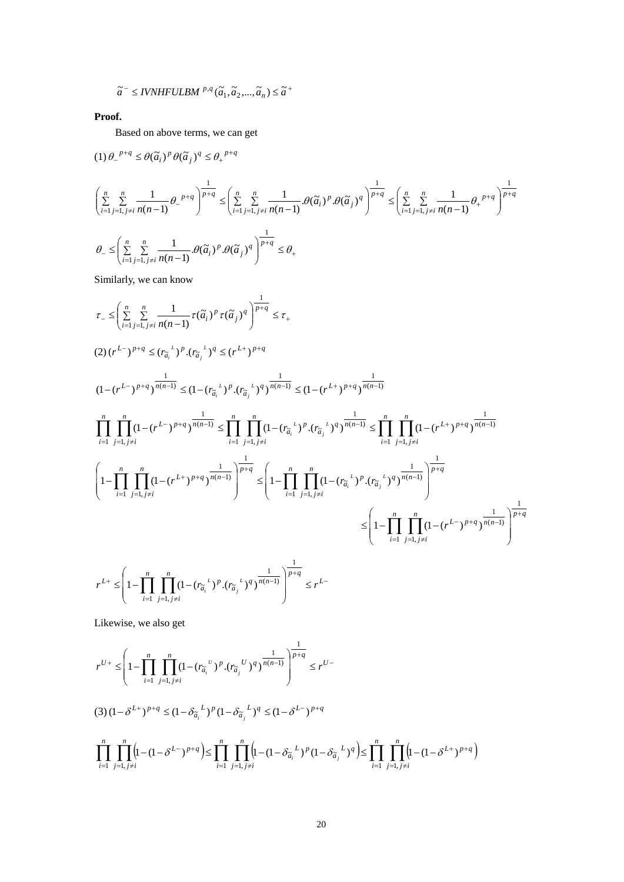$$
\widetilde{a}^{-} \leq IVNHFULBM \stackrel{p,q}{\ldots}(\widetilde{a}_1, \widetilde{a}_2, \ldots, \widetilde{a}_n) \leq \widetilde{a}^{+}
$$

**Proof.**

Based on above terms, we can get

$$
\label{eq:1.1} \begin{split} &\left(1\right)\theta_{-}{}^{p+q}\leq\theta(\widetilde{a}_i)^p\,\theta(\widetilde{a}_j)^q\leq\theta_{+}{}^{p+q}\\ &\left(\sum_{i=1}^n\sum_{j=1,\,j\neq i}^n\frac{1}{n(n-1)}\theta_{-}{}^{p+q}\right)^{\frac{1}{p+q}}\leq\left(\sum_{i=1}^n\sum_{j=1,\,j\neq i}^n\frac{1}{n(n-1)}.\theta(\widetilde{a}_i)^p.\theta(\widetilde{a}_j)^q\right)^{\frac{1}{p+q}}\leq\left(\sum_{i=1}^n\sum_{j=1,\,j\neq i}^n\frac{1}{n(n-1)}\theta_{+}{}^{p+q}\right)^{\frac{1}{p+q}}\\ &\theta_{-}\leq\left(\sum_{i=1}^n\sum_{j=1,\,j\neq i}^n\frac{1}{n(n-1)}.\theta(\widetilde{a}_i)^p.\theta(\widetilde{a}_j)^q\right)^{\frac{1}{p+q}}\leq\theta_{+} \end{split}
$$

Similarly, we can know

$$
\tau_{-} \leq \left( \sum_{i=1}^{n} \sum_{j=1, j\neq i}^{n} \frac{1}{n(n-1)} \tau(\tilde{a}_{i})^{p} \tau(\tilde{a}_{j})^{q} \right)^{\frac{1}{p+q}} \leq \tau_{+}
$$
\n
$$
(2) (r^{L-})^{p+q} \leq (r_{\tilde{a}_{i}}^{+})^{p} \cdot (r_{\tilde{a}_{j}}^{+})^{q} \leq (r^{L+})^{p+q}
$$
\n
$$
(1 - (r^{L-})^{p+q})^{\frac{1}{n(n-1)}} \leq (1 - (r_{\tilde{a}_{i}}^{+})^{p} \cdot (r_{\tilde{a}_{j}}^{+})^{q})^{\frac{1}{n(n-1)}} \leq (1 - (r^{L+})^{p+q})^{\frac{1}{n(n-1)}}
$$
\n
$$
\prod_{i=1}^{n} \prod_{j=1, j\neq i}^{n} (1 - (r^{L-})^{p+q})^{\frac{1}{n(n-1)}} \leq \prod_{i=1}^{n} \prod_{j=1, j\neq i}^{n} (1 - (r_{\tilde{a}_{i}}^{+})^{p} \cdot (r_{\tilde{a}_{j}}^{+})^{q})^{\frac{1}{n(n-1)}} \leq \prod_{i=1}^{n} \prod_{j=1, j\neq i}^{n} (1 - (r^{L+})^{p+q})^{\frac{1}{n(n-1)}}
$$
\n
$$
\left( 1 - \prod_{i=1}^{n} \prod_{j=1, j\neq i}^{n} (1 - (r^{L+})^{p+q})^{\frac{1}{n(n-1)}} \right)^{\frac{1}{p+q}} \leq \left( 1 - \prod_{i=1}^{n} \prod_{j=1, j\neq i}^{n} (1 - (r_{\tilde{a}_{i}}^{+})^{p} \cdot (r_{\tilde{a}_{j}}^{+})^{q})^{\frac{1}{n(n-1)}} \right)^{\frac{1}{p+q}}
$$
\n
$$
\leq \left( 1 - \prod_{i=1}^{n} \prod_{j=1, j\neq i}^{n} (1 - (r^{L-})^{p+q})^{\frac{1}{n(n-1)}} \right)^{\frac{1}{p+q}}
$$
\n
$$
r^{L+} \leq \left( 1 - \prod_{i=1}
$$

Likewise, we also get

 $i=1$   $j=1, j\neq i$ 

$$
r^{U+} \leq \left(1 - \prod_{i=1}^{n} \prod_{j=1, j \neq i}^{n} (1 - (r_{\tilde{a}_{i}}^{U})^{p} \cdot (r_{\tilde{a}_{j}}^{U})^{q})^{\frac{1}{n(n-1)}}\right)^{\frac{1}{p+q}} \leq r^{U-}
$$
  
\n(3)  $(1 - \delta^{L+})^{p+q} \leq (1 - \delta_{\tilde{a}_{i}}^{L})^{p} (1 - \delta_{\tilde{a}_{j}}^{L})^{q} \leq (1 - \delta^{L-})^{p+q}$   
\n
$$
\prod_{i=1}^{n} \prod_{j=1, j \neq i}^{n} \left(1 - (1 - \delta^{L-})^{p+q}\right) \leq \prod_{i=1}^{n} \prod_{j=1, j \neq i}^{n} \left(1 - (1 - \delta_{\tilde{a}_{i}}^{L})^{p} (1 - \delta_{\tilde{a}_{j}}^{L})^{q}\right) \leq \prod_{i=1}^{n} \prod_{j=1, j \neq i}^{n} \left(1 - (1 - \delta^{L+})^{p+q}\right)
$$

J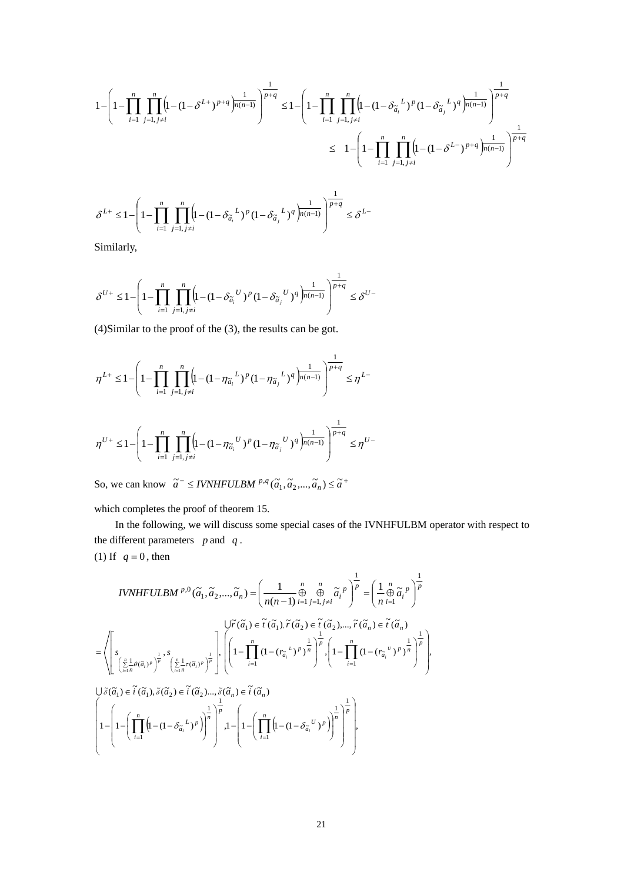$$
\begin{aligned} 1 - \left(1 - \prod_{i=1}^n \prod_{j=1, j\neq i}^n \left(1 - (1-\delta^{L+})^{p+q}\right)^{\frac{1}{n(n-1)}}\right)^{\frac{1}{p+q}} &\leq 1 - \left(1 - \prod_{i=1}^n \prod_{j=1, j\neq i}^n \left(1 - (1-\delta_{\widetilde{a}_i}^{\;\;L})^p (1-\delta_{\widetilde{a}_j}^{\;\;L})^q\right)^{\frac{1}{n(n-1)}}\right)^{\frac{1}{p+q}} \\ &\leq \;\; 1 - \left(1 - \prod_{i=1}^n \prod_{j=1, j\neq i}^n \left(1 - (1-\delta^{L-})^{p+q}\right)^{\frac{1}{n(n-1)}}\right)^{\frac{1}{p+q}} \end{aligned}
$$

$$
\delta^{L+} \leq 1 - \left(1 - \prod_{i=1}^{n} \prod_{j=1, j \neq i}^{n} \left(1 - (1 - \delta_{\tilde{a}_i}^L)^p (1 - \delta_{\tilde{a}_j}^L)^q \right)^{\frac{1}{n(n-1)}} \right)^{\frac{1}{p+q}} \leq \delta^{L-1}
$$

Similarly,

$$
\delta^{U+}\leq 1-\left(1-\prod_{i=1}^n\prod_{j=1,\,j\neq i}^n\left(1-(1-\delta_{\widetilde{a}_i}^{\quad U})^p(1-\delta_{\widetilde{a}_j}^{\quad U})^q\right)^{\frac{1}{n(n-1)}}\right)^{\frac{1}{p+q}}\leq \delta^{U-1}
$$

(4)Similar to the proof of the (3), the results can be got.

$$
\begin{aligned}\n\eta^{L+} &\leq 1 - \left(1 - \prod_{i=1}^n \prod_{j=1, j \neq i}^n \left(1 - (1 - \eta_{\widetilde{a}_i}^L)^p (1 - \eta_{\widetilde{a}_j}^L)^q \right)^{\frac{1}{p(n-1)}}\right)^{\frac{1}{p+q}} \leq \eta^{L-1} \\
\eta^{U+} &\leq 1 - \left(1 - \prod_{i=1}^n \prod_{j=1, j \neq i}^n \left(1 - (1 - \eta_{\widetilde{a}_i}^U)^p (1 - \eta_{\widetilde{a}_j}^U)^q \right)^{\frac{1}{p(n-1)}}\right)^{\frac{1}{p+q}} \leq \eta^{U-1}\n\end{aligned}
$$

So, we can know  $\tilde{a}^{-} \leq IVMHFULBM^{p,q}(\tilde{a}_1, \tilde{a}_2, ..., \tilde{a}_n) \leq \tilde{a}^{+}$ 

which completes the proof of theorem 15.

 $-1$   $j=1$ ,

In the following, we will discuss some special cases of the IVNHFULBM operator with respect to the different parameters *p* and *q* .

J

(1) If  $q = 0$ , then

l

$$
IVNHFULBM^{p,0}(\tilde{a}_1, \tilde{a}_2, ..., \tilde{a}_n) = \left(\frac{1}{n(n-1)} \underset{i=1}{\overset{n}{\oplus}} \underset{j=1, j \neq i}{\overset{n}{\oplus}} \tilde{a}_i^p\right)^{\frac{1}{p}} = \left(\frac{1}{n} \underset{n=1}{\overset{n}{\oplus}} \tilde{a}_i^p\right)^{\frac{1}{p}}
$$
\n
$$
= \left\langle \left[\underset{\sum_{i=1}^n \mu(\tilde{a}_i)^p}{s} \right]_{\tilde{a}_i} s_{\tilde{a}_i} \right\rangle^{\frac{1}{\oplus}} \cdot S_{\tilde{a}_i} \right\rangle^{\frac{1}{\oplus}} \cdot \left\langle \left[\widetilde{a}_1 \right]_{\tilde{a}_i} \tilde{a}_i^p \right\rangle^{\frac{1}{\oplus}} \cdot \left\langle \left(\widetilde{a}_1 \right) \tilde{a}_i^p \right\rangle^{\frac{1}{\oplus}} \cdot \left\langle \left(\widetilde{a}_1 \right) \tilde{a}_i^p \right\rangle^{\frac{1}{\oplus}} \right) \cdot \left\langle \left(1 - \prod_{i=1}^n (1 - (r_{\tilde{a}_i}^L)^p)^{\frac{1}{n}}\right)^{\frac{1}{p}} \cdot \left(1 - \prod_{i=1}^n (1 - (r_{\tilde{a}_i}^L)^p)^{\frac{1}{n}}\right)^{\frac{1}{\oplus}} \cdot \left(1 - \prod_{i=1}^n (1 - (r_{\tilde{a}_i}^L)^p)^{\frac{1}{n}}\right)^{\frac{1}{\oplus}} \cdot \left(1 - \left(\prod_{i=1}^n (1 - (1 - \delta_{\tilde{a}_i}^L)^p)^{\frac{1}{n}}\right)^{\frac{1}{\oplus}} \cdot \left(1 - \left(\prod_{i=1}^n (1 - (1 - \delta_{\tilde{a}_i}^L)^p)^{\frac{1}{n}}\right)^{\frac{1}{\oplus}}\right)^{\frac{1}{\oplus}} \cdot \left(1 - \left(\prod_{i=1}^n (1 - (1 - \delta_{\tilde{a}_i}^L)^p)^{\frac{1}{n}}\right)^{\frac{1}{\oplus}}\right) \cdot \left(1 - \left(\prod
$$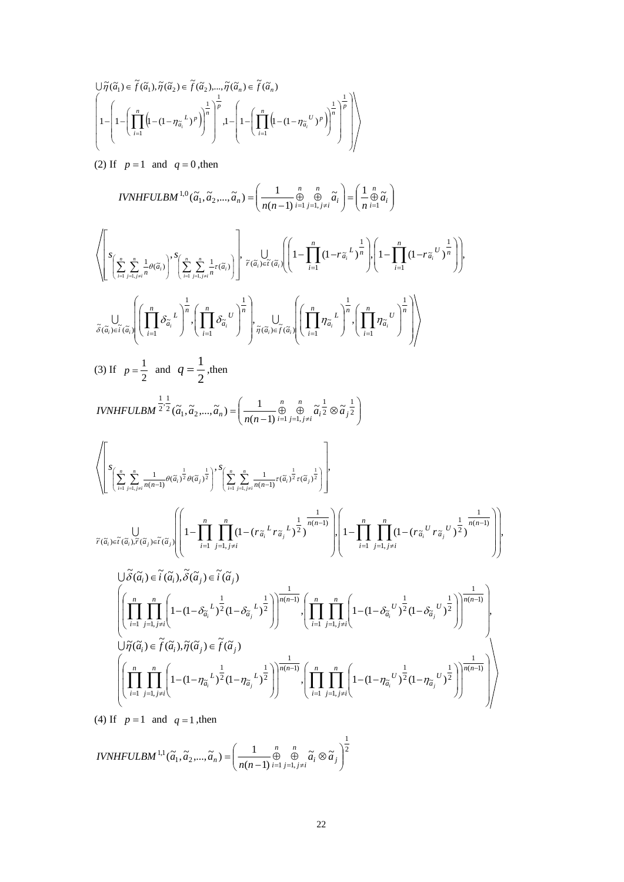$$
\bigg\|\tilde{\eta}(\tilde{a}_1) \in \tilde{f}(\tilde{a}_1), \tilde{\eta}(\tilde{a}_2) \in \tilde{f}(\tilde{a}_2), ..., \tilde{\eta}(\tilde{a}_n) \in \tilde{f}(\tilde{a}_n)
$$
\n
$$
\left(1 - \left(1 - \left(\prod_{i=1}^n \left(1 - (1 - \eta_{\tilde{a}_i}^L)^p\right)\right)^{\frac{1}{n}}\right)^{\frac{1}{p}} , 1 - \left(1 - \left(\prod_{i=1}^n \left(1 - (1 - \eta_{\tilde{a}_i}^U)^p\right)\right)^{\frac{1}{n}}\right)^{\frac{1}{p}}\right)\right)
$$

(2) If  $p=1$  and  $q=0$ , then

$$
IVNHFULBM^{1,0}(\tilde{a}_{1}, \tilde{a}_{2}, ..., \tilde{a}_{n}) = \left(\frac{1}{n(n-1)} \sum_{i=1}^{n} \sum_{j=1, j \neq i}^{n} \tilde{a}_{i} \right) = \left(\frac{1}{n} \sum_{i=1}^{n} \tilde{a}_{i} \right)
$$
\n
$$
\left\langle \left[ \sum_{i=1}^{n} \sum_{j=1, j \neq i}^{n} \frac{1}{\sigma(\tilde{a}_{i})} \right]^{s} \sum_{i=1}^{n} \sum_{j=1, j \neq i}^{n} \tau(\tilde{a}_{i}) \right] \right\rangle_{\tilde{r}(\tilde{a}_{i})} = \left( \frac{1}{n(1-1)} \frac{n}{(1-r\tilde{a}_{i}} + \sum_{j=1}^{n} \left| \left( 1 - \prod_{i=1}^{n} (1-r\tilde{a}_{i} \right)^{j} \right) \right),
$$
\n
$$
\frac{1}{\tilde{\delta}(\tilde{a}_{i}) \in \tilde{t}(\tilde{a}_{i})} \left( \prod_{i=1}^{n} \sum_{j=1}^{n} \sum_{j=1, j \neq i}^{n} \tau(\tilde{a}_{i}) \right) = \frac{1}{\tilde{\eta}(\tilde{a}_{i}) \in \tilde{t}(\tilde{a}_{i})} \left( \prod_{i=1}^{n} \prod_{j=1}^{n} \sum_{j=1}^{n} \left( \prod_{i=1}^{n} \prod_{j=1}^{n} \sum_{j=1}^{n} \left( \prod_{i=1}^{n} \prod_{j=1}^{n} \frac{1}{\tilde{a}_{i}} \right) \right) \right)
$$
\n
$$
(3) \text{ If } p = \frac{1}{2} \text{ and } q = \frac{1}{2}, \text{then}
$$
\n
$$
IVNHFULBM^{\frac{1}{2}, \frac{1}{2}}(\tilde{a}_{i}, \tilde{a}_{2}, ..., \tilde{a}_{n}) = \left(\frac{1}{n(n-1)} \sum_{i=1}^{n} \sum_{j=1, j \neq i}^{n} \frac{1}{\tilde{a}_{i} \tilde{a}_{i}} \otimes \tilde{a}_{j} \frac{1}{2} \right)
$$
\n
$$
\left\langle
$$

(4) If  $p=1$  and  $q=1$ , then

2 1  $a_1, a_2, ..., a_n$ ) =  $\frac{1}{n(n-1)} \bigoplus_{i=1}^{n} a_i$  $\tilde{a}^{1,1}(\tilde{a} \quad \tilde{a} \quad \tilde{a}) = \begin{pmatrix} 1 & n & n \\ -1 & \theta & \theta & \tilde{a} \\ 0 & 0 & \tilde{a} \end{pmatrix}$  $(\widetilde{a}_1, \widetilde{a}_2, ..., \widetilde{a}_n) = \left( \frac{1}{n(n-1)} \bigoplus_{i=1}^n \bigoplus_{j=1, j \neq i}^n \widetilde{a}_i \otimes \widetilde{a}_j \right)$ J  $\backslash$  $\mid$  $=\left(\frac{1}{n(n-1)}\bigoplus_{i=1}^n\bigoplus_{j=1,\,j\neq i}^n \widetilde{a}_i\otimes \widetilde{a}_j\right)$  $j=1, j\neq i$  $IVMHFULBM$ <sup>1,1</sup> $(\widetilde{a}_1, \widetilde{a}_2, ..., \widetilde{a}_n) = \left(\frac{1}{n(n-1)} \oplus_{i=1}^{n} \oplus_{j=1, j\neq i}^{n} \widetilde{a}_i \otimes \widetilde{a}_j\right)^2$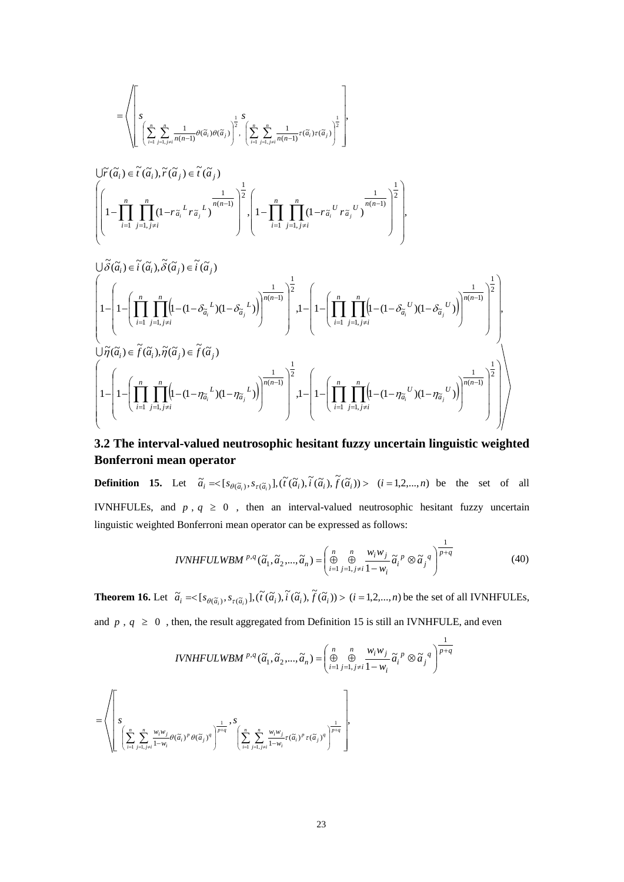$$
= \left\langle \left[ \left. \int_{\sum_{i=1}^n \sum_{j=1, j \neq i}^n \frac{1}{n(n-1)} \theta(\widetilde{\alpha}_i) \theta(\widetilde{\alpha}_j)} \right]^{\frac{1}{2}} , \left. \left( \sum_{i=1}^n \sum_{j=1, j \neq i}^n \frac{1}{n(n-1)} \tau(\widetilde{\alpha}_i) \tau(\widetilde{\alpha}_j) \right)^{\frac{1}{2}} \right] \right\}
$$

$$
\biggl\{\left(1-\prod_{i=1}^n\prod_{j=1,j\neq i}^n(1-r_{\widetilde{a}_i}^{\quad L}r_{\widetilde{a}_j}^{\quad L})^{\frac{1}{n(n-1)}}\right)^{\frac{1}{2}}\left(1-\prod_{i=1}^n\prod_{j=1,j\neq i}^n(1-r_{\widetilde{a}_i}^{\quad U}r_{\widetilde{a}_j}^{\quad U})^{\frac{1}{n(n-1)}}\right)^{\frac{1}{2}}\right\},
$$

$$
\begin{split} &\bigcup \widetilde{\delta}(\widetilde{a}_i) \in \widetilde{i}(\widetilde{a}_i), \widetilde{\delta}(\widetilde{a}_j) \in \widetilde{i}(\widetilde{a}_j)\\ &\left(1-\left(1-\left(\prod_{i=1}^n\prod_{j=1, j\neq i}^n\Bigl(1-(1-\delta_{\widetilde{a}_i}^{\ L})(1-\delta_{\widetilde{a}_j}^{\ L})\Bigr)\right)^{\frac{1}{n(n-1)}}\right)^{\frac{1}{2}} , 1-\left(1-\left(\prod_{i=1}^n\prod_{j=1, j\neq i}^n\Bigl(1-(1-\delta_{\widetilde{a}_i}^{\ \ U})(1-\delta_{\widetilde{a}_j}^{\ \ U})\Bigr)\right)^{\frac{1}{n(n-1)}}\right)^{\frac{1}{2}}\right),\\ &\bigcup \widetilde{\eta}(\widetilde{a}_i) \in \widetilde{f}(\widetilde{a}_i), \widetilde{\eta}(\widetilde{a}_j) \in \widetilde{f}(\widetilde{a}_j)\\ &\left(1-\left(1-\left(\prod_{i=1}^n\prod_{j=1, j\neq i}^n\Bigl(1-(1-\eta_{\widetilde{a}_i}^{\ \ L})(1-\eta_{\widetilde{a}_j}^{\ \ L})\Bigr)\right)^{\frac{1}{n(n-1)}}\right)^{\frac{1}{2}} , 1-\left(1-\left(\prod_{i=1}^n\prod_{j=1, j\neq i}^n\Bigl(1-(1-\eta_{\widetilde{a}_i}^{\ \ U})(1-\eta_{\widetilde{a}_j}^{\ \ U})\Bigr)\right)^{\frac{1}{n(n-1)}}\right)^{\frac{1}{2}}\right)\end{split}
$$

# **3.2 The interval-valued neutrosophic hesitant fuzzy uncertain linguistic weighted Bonferroni mean operator**

**Definition 15.** Let  $\tilde{a}_i = \langle [s_{\theta(\tilde{a}_i)}, s_{\tau(\tilde{a}_i)}], (\tilde{t}(\tilde{a}_i), \tilde{t}(\tilde{a}_i), \tilde{f}(\tilde{a}_i)) \rangle$  (*i* = 1,2,...,*n*) be the set of all IVNHFULEs, and  $p$ ,  $q \ge 0$ , then an interval-valued neutrosophic hesitant fuzzy uncertain linguistic weighted Bonferroni mean operator can be expressed as follows:

$$
IVNHFULWBM^{p,q}(\tilde{a}_1, \tilde{a}_2, ..., \tilde{a}_n) = \left(\bigoplus_{i=1}^n \bigoplus_{j=1, j\neq i}^n \frac{w_i w_j}{1 - w_i} \tilde{a}_i^p \otimes \tilde{a}_j^q\right)^{\frac{1}{p+q}}
$$
(40)

**Theorem 16.** Let  $\tilde{a}_i = \langle [s_{\theta(\tilde{a}_i)}, s_{\tau(\tilde{a}_i)}], (\tilde{t}(\tilde{a}_i), \tilde{t}(\tilde{a}_i), \tilde{f}(\tilde{a}_i)) \rangle \ (i = 1, 2, ..., n)$  be the set of all IVNHFULEs, and  $p$ ,  $q \ge 0$ , then, the result aggregated from Definition 15 is still an IVNHFULE, and even

$$
IVNHFLILWBM^{p,q}(\tilde{a}_1, \tilde{a}_2, ..., \tilde{a}_n) = \left(\bigoplus_{i=1}^n \bigoplus_{j=1, j\neq i}^n \frac{w_i w_j}{1 - w_i} \tilde{a}_i^p \otimes \tilde{a}_j^q\right)^{\frac{1}{p+q}}
$$

$$
= \left(\left[\sum_{i=1}^n \sum_{j=1, j\neq i}^n \frac{w_i w_j}{1 - w_i} \theta(\tilde{a}_i)^p \theta(\tilde{a}_j)^q\right]^{\frac{1}{p+q}}, \left[\sum_{i=1}^n \sum_{j=1, j\neq i}^n \frac{w_i w_j}{1 - w_i} \tau(\tilde{a}_i)^p \tau(\tilde{a}_j)^q\right]^{\frac{1}{p+q}},
$$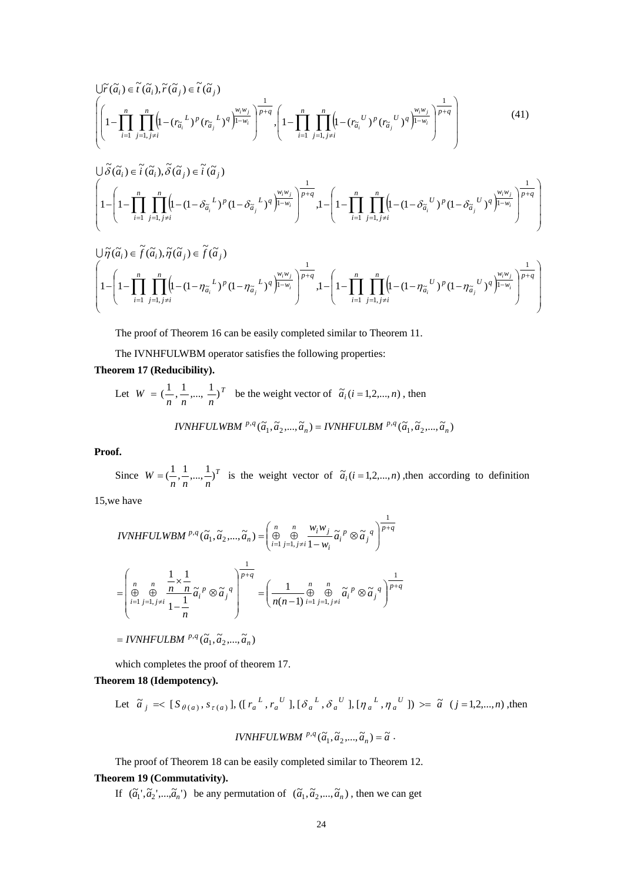$$
\bigg|\int_{\tilde{r}(\tilde{a}_{i})} \tilde{r}(\tilde{a}_{i}), \tilde{r}(\tilde{a}_{j}) \in \tilde{t}(\tilde{a}_{j})
$$
\n
$$
\left|\left(1 - \prod_{i=1}^{n} \prod_{j=1, j \neq i}^{n} \left(1 - \left(r_{\tilde{a}_{i}}^{L}\right)^{p}\left(r_{\tilde{a}_{j}}^{L}\right)^{q}\right)^{\frac{w_{i}w_{j}}{1-w_{i}}}\right)^{\frac{1}{p+q}}, \left(1 - \prod_{i=1}^{n} \prod_{j=1, j \neq i}^{n} \left(1 - \left(r_{\tilde{a}_{i}}^{U}\right)^{p}\left(r_{\tilde{a}_{j}}^{U}\right)^{q}\right)^{\frac{w_{i}w_{j}}{1-w_{i}}}\right)^{\frac{1}{p+q}}\right|\right|
$$
\n
$$
(41)
$$

$$
\begin{split} &\bigcup \widetilde{\delta}(\widetilde{a}_{i}) \in \widetilde{i}(\widetilde{a}_{i}), \widetilde{\delta}(\widetilde{a}_{j}) \in \widetilde{i}(\widetilde{a}_{j}) \\ &\left(1 - \left(1 - \prod_{i=1}^{n} \prod_{j=1, j \neq i}^{n} \left(1 - (1 - \delta_{\widetilde{a}_{i}}^{L})^{p} (1 - \delta_{\widetilde{a}_{j}}^{L})^{q}\right)^{\frac{W_{i}W_{j}}{\left(1 - W_{i}\right)}}\right)^{\frac{1}{p+q}}, 1 - \left(1 - \prod_{i=1}^{n} \prod_{j=1, j \neq i}^{n} \left(1 - (1 - \delta_{\widetilde{a}_{i}}^{U})^{p} (1 - \delta_{\widetilde{a}_{j}}^{U})^{q}\right)^{\frac{W_{i}W_{j}}{\left(1 - W_{i}\right)}}\right)^{\frac{1}{p+q}}\right) \end{split}
$$

$$
\bigcup \widetilde{\eta}(\widetilde{a}_i) \in \widetilde{f}(\widetilde{a}_i), \widetilde{\eta}(\widetilde{a}_j) \in \widetilde{f}(\widetilde{a}_j)
$$
\n
$$
\left(1 - \left(1 - \prod_{i=1}^n \prod_{j=1, j \neq i}^n \left(1 - (1 - \eta_{\widetilde{a}_i}^L)^p (1 - \eta_{\widetilde{a}_j}^L)^q\right)^{\frac{1}{p-q}}\right)^{\frac{1}{p+q}}, 1 - \left(1 - \prod_{i=1}^n \prod_{j=1, j \neq i}^n \left(1 - (1 - \eta_{\widetilde{a}_i}^U)^p (1 - \eta_{\widetilde{a}_j}^U)^q\right)^{\frac{1}{p+q}}\right)^{\frac{1}{p+q}}
$$

The proof of Theorem 16 can be easily completed similar to Theorem 11.

The IVNHFULWBM operator satisfies the following properties:

## **Theorem 17 (Reducibility).**

Let 
$$
W = (\frac{1}{n}, \frac{1}{n}, ..., \frac{1}{n})^T
$$
 be the weight vector of  $\tilde{a}_i$  ( $i = 1, 2, ..., n$ ), then  
\n*IVNHFULWBM* <sup>p,q</sup> ( $\tilde{a}_1, \tilde{a}_2, ..., \tilde{a}_n$ ) = *IVNHFULBM* <sup>p,q</sup> ( $\tilde{a}_1, \tilde{a}_2, ..., \tilde{a}_n$ )

## **Proof.**

Since  $W = \left(\frac{1}{n}, \frac{1}{n}, \dots, \frac{1}{n}\right)^T$  is the weight vector of  $\tilde{a}_i (i = 1, 2, \dots, n)$ , then according to definition

1

15,we have

$$
IVNHFULWBM^{p,q}(\tilde{a}_1, \tilde{a}_2, ..., \tilde{a}_n) = \left(\bigoplus_{i=1}^n \bigoplus_{j=1, j\neq i}^n \frac{w_i w_j}{1 - w_i} \tilde{a}_i^p \otimes \tilde{a}_j^q\right)^{\frac{1}{p+q}}
$$
  
\n
$$
= \left(\bigoplus_{i=1}^n \bigoplus_{j=1, j\neq i}^n \frac{1}{1 - \frac{1}{n}} \tilde{a}_i^p \otimes \tilde{a}_j^q\right)^{\frac{1}{p+q}} = \left(\frac{1}{n(n-1)} \bigoplus_{i=1, j\neq i}^n \bigoplus_{j=1, j\neq i}^n \tilde{a}_i^p \otimes \tilde{a}_j^q\right)^{\frac{1}{p+q}}
$$
  
\n= IVNHFULBM  $^{p,q}(\tilde{a}_1, \tilde{a}_2, ..., \tilde{a}_n)$ 

which completes the proof of theorem 17.

## **Theorem 18 (Idempotency).**

Let 
$$
\tilde{a}_j = \langle [S_{\theta(a)}, s_{\tau(a)}], ([r_a^L, r_a^U], [\delta_a^L, \delta_a^U], [\eta_a^L, \eta_a^U] \rangle \rangle = \tilde{a} \ (j = 1, 2, ..., n),
$$
 then

$$
IVNHFULWBM \stackrel{p,q}{\ldots}(\widetilde{a}_1, \widetilde{a}_2, ..., \widetilde{a}_n) = \widetilde{a}.
$$

The proof of Theorem 18 can be easily completed similar to Theorem 12.

# **Theorem 19 (Commutativity).**

If  $(\tilde{a}_1', \tilde{a}_2', ..., \tilde{a}_n')$  be any permutation of  $(\tilde{a}_1, \tilde{a}_2', ..., \tilde{a}_n)$ , then we can get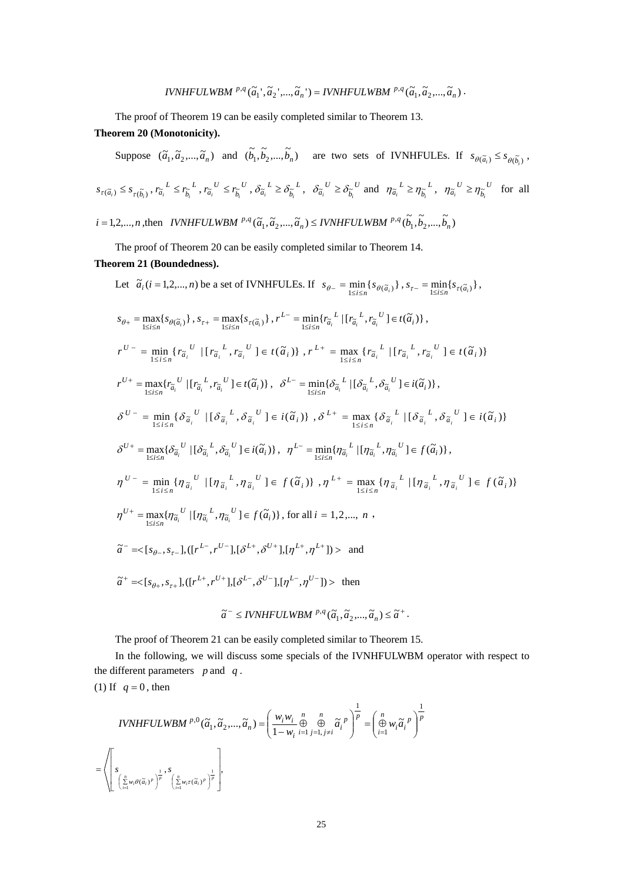$$
IVNHFULWBM^{p,q}(\widetilde{a}_1^{\ \prime},\widetilde{a}_2^{\ \prime},...,\widetilde{a}_n^{\ \prime})=IVNHFULWBM^{p,q}(\widetilde{a}_1,\widetilde{a}_2,...,\widetilde{a}_n).
$$

The proof of Theorem 19 can be easily completed similar to Theorem 13.

# **Theorem 20 (Monotonicity).**

Suppose 
$$
(\tilde{a}_1, \tilde{a}_2, ..., \tilde{a}_n)
$$
 and  $(\tilde{b}_1, \tilde{b}_2, ..., \tilde{b}_n)$  are two sets of IVNHFULEs. If  $s_{\theta(\tilde{a}_i)} \le s_{\theta(\tilde{b}_i)}$ ,  
\n
$$
s_{\tau(\tilde{a}_i)} \le s_{\tau(\tilde{b}_i)}, r_{\tilde{a}_i} L \le r_{\tilde{b}_i} L, r_{\tilde{a}_i} U \le r_{\tilde{b}_i} U, \delta_{\tilde{a}_i} L \ge \delta_{\tilde{b}_i} L, \delta_{\tilde{a}_i} U \ge \delta_{\tilde{b}_i} U
$$
 and  $\eta_{\tilde{a}_i} L \ge \eta_{\tilde{b}_i} L, \eta_{\tilde{a}_i} U \ge \eta_{\tilde{b}_i} U$  for all  $i = 1, 2, ..., n$ , then *IVNHFULWBM*  $^{p,q}(\tilde{a}_1, \tilde{a}_2, ..., \tilde{a}_n) \le IVNHFULWBM$   $^{p,q}(\tilde{b}_1, \tilde{b}_2, ..., \tilde{b}_n)$ 

The proof of Theorem 20 can be easily completed similar to Theorem 14.

# **Theorem 21 (Boundedness).**

Let 
$$
\tilde{a}_i(i = 1, 2, ..., n)
$$
 be a set of IVNHFULEs. If  $s_{\theta-} = \min_{1 \leq i \leq n} \{s_{\theta(\tilde{a}_i)}\}, s_{\tau-} = \min_{1 \leq i \leq n} \{s_{\theta(\tilde{a}_i)}\}, s_{\tau-} = \min_{1 \leq i \leq n} \{s_{\theta(\tilde{a}_i)}\}, s_{\tau+} = \max_{1 \leq i \leq n} \{s_{\tau(\tilde{a}_i)}\}, r^{L-} = \min_{1 \leq i \leq n} \{r_{\tilde{a}_i}^L \mid [r_{\tilde{a}_i}^L, r_{\tilde{a}_i}^U] \in t(\tilde{\alpha}_i)\},$   
\n $r^{U-} = \min_{1 \leq i \leq n} \{r_{\tilde{a}_i}^U \mid [r_{\tilde{a}_i}^L, r_{\tilde{a}_i}^U] \in t(\tilde{\alpha}_i)\}, r^{L+} = \max_{1 \leq i \leq n} \{r_{\tilde{a}_i}^L \mid [r_{\tilde{a}_i}^L, r_{\tilde{a}_i}^U] \in t(\tilde{\alpha}_i)\}$   
\n $r^{U+} = \max_{1 \leq i \leq n} \{r_{\tilde{a}_i}^U \mid [r_{\tilde{a}_i}^L, r_{\tilde{a}_i}^U] \in t(\tilde{\alpha}_i)\}, \delta^{L-} = \min_{1 \leq i \leq n} \{\delta_{\tilde{a}_i}^L \mid [\delta_{\tilde{a}_i}^L, \delta_{\tilde{a}_i}^U] \in i(\tilde{\alpha}_i)\}$ ,  
\n $\delta^{U-} = \min_{1 \leq i \leq n} \{\delta_{\tilde{a}_i}^U \mid [\delta_{\tilde{a}_i}^L, \delta_{\tilde{a}_i}^U] \in i(\tilde{\alpha}_i)\}, r^{L-} = \max_{1 \leq i \leq n} \{\delta_{\tilde{a}_i}^L \mid [\delta_{\tilde{a}_i}^L, \delta_{\tilde{a}_i}^U] \in t(\tilde{\alpha}_i)\}$   
\n $\delta^{U+} = \max_{1 \leq i \leq n} \{\delta_{\tilde{a}_i}$ 

The proof of Theorem 21 can be easily completed similar to Theorem 15.

In the following, we will discuss some specials of the IVNHFULWBM operator with respect to the different parameters *p* and *q* . (1) If  $q = 0$ , then

1

 $\overline{\phantom{a}}$  $\bigg)$  $\setminus$ 

$$
IVNHFULWBM^{p,0}(\tilde{a}_1, \tilde{a}_2, ..., \tilde{a}_n) = \left(\frac{w_i w_i}{1 - w_i} \bigoplus_{i=1}^n \bigoplus_{j=1, j \neq i}^n \tilde{a}_i^p\right)^{\frac{1}{p}} = \left(\bigoplus_{i=1}^n w_i \tilde{a}_i^p\right)^{\frac{1}{p}}
$$

$$
= \left\langle \left[\sum_{i=1}^n w_i \theta(\tilde{a}_i)^p\right]^{\frac{1}{p}}, \sum_{i=1}^n w_i \tau(\tilde{a}_i)^p\right]^{\frac{1}{p}},
$$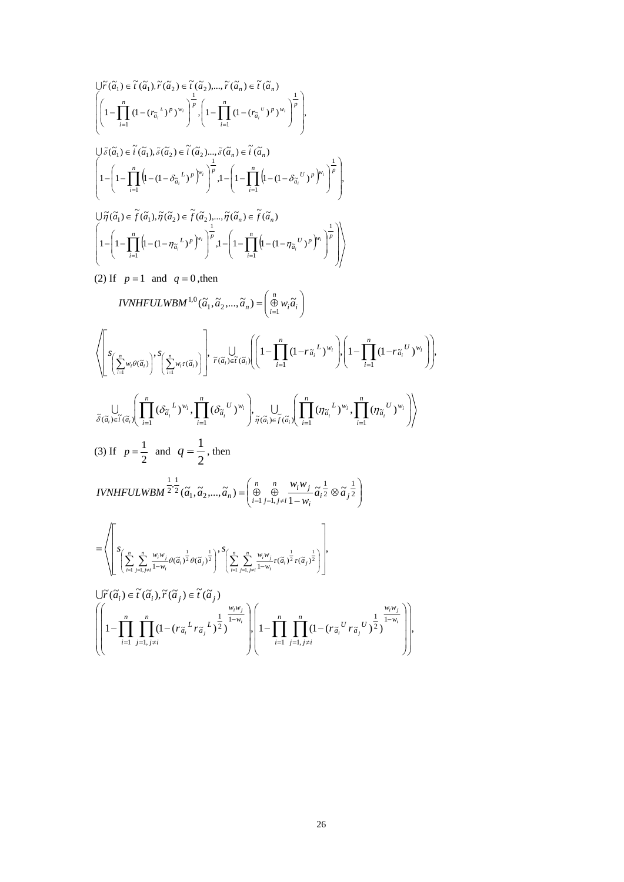$$
\begin{split}\label{eq:2.1} &\int \limits_{i=1}^{i=1} \widetilde{G}_{i}^{T}(\widetilde{a}_{1}),\widetilde{r}(\widetilde{a}_{2})\in \widetilde{r}(\widetilde{a}_{2}),...,\widetilde{r}(\widetilde{a}_{n})\in \widetilde{r}(\widetilde{a}_{n})\\ &\left(\left[1-\prod_{i=1}^{n}\left(1-(r_{\widetilde{a}_{i}}^{T})^{P}\right)^{w_{i}}\right]^{p},\left[1-\prod_{i=1}^{n}\left(1-(r_{\widetilde{a}_{i}}^{T})^{P}\right)^{w_{i}}\right]^{p}\right),\\ &\int \limits_{i=1}^{i=1}\left(1-\prod_{i=1}^{n}\left(1-(1-\delta_{\widetilde{a}_{i}}^{T})^{P}\right)^{w_{i}}\right)^{p},\\ &\int \limits_{i=1}^{i=1}\left(1-\prod_{i=1}^{n}\left(1-(1-\delta_{\widetilde{a}_{i}}^{T})^{P}\right)^{w_{i}}\right)^{p},\\ &\int \limits_{i=1}^{i=1}\left(1-\prod_{i=1}^{n}\left(1-(1-\delta_{\widetilde{a}_{i}}^{T})^{P}\right)^{w_{i}}\right)^{p},\\ &\int \limits_{i=1}^{i=1}\left(1-\prod_{i=1}^{n}\left(1-(1-\eta_{\widetilde{a}_{i}}^{T})^{P}\right)^{w_{i}}\right)^{p},\\ &\int \limits_{i=1}^{i=1}\left(1-\left(1-\prod_{i=1}^{n}\left(1-(1-\eta_{\widetilde{a}_{i}}^{T})^{P}\right)^{w_{i}}\right)^{p},\\ &\int \limits_{i=1}^{i=1}\left(1-(1-\eta_{\widetilde{a}_{i}}^{T})^{P}\right)^{w_{i}}\right)^{p},\\ &\int \limits_{i=1}^{i=1}\left(1-\prod_{i=1}^{n}\left(1-(1-\eta_{\widetilde{a}_{i}}^{T})^{P}\right)^{w_{i}}\right)^{p},\\ &\int \limits_{i=1}^{i=1}\left(1-\prod_{i=1}^{n}\left(1-(1-\eta_{\widetilde{a}_{i}}^{T})^{P}\right)^{w}\right)^{p},\\ &\int \limits_{i=1}^{i=1}\left(1-\prod_{i=1}^{n}\left(1
$$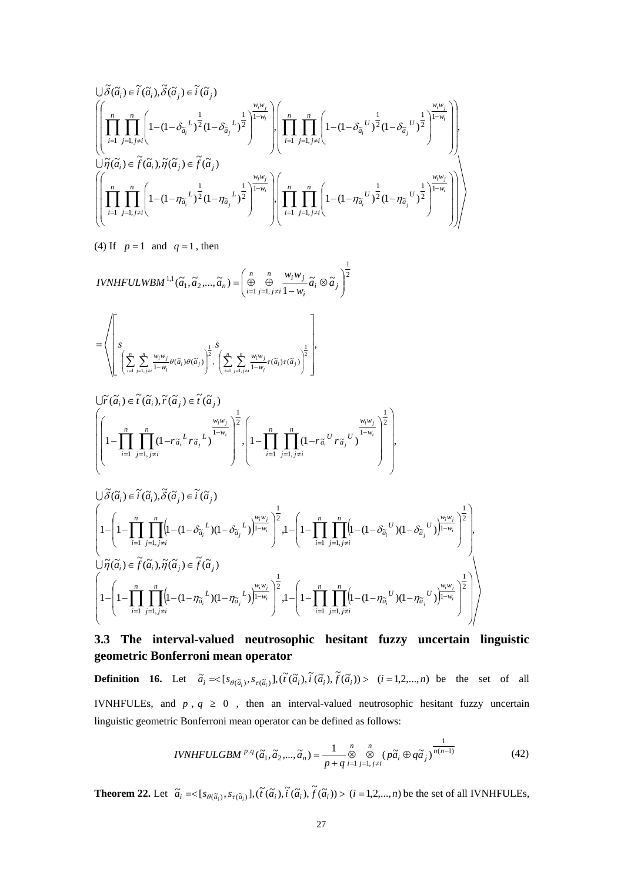$$
\begin{split} &\bigcup \widetilde{\delta}(\widetilde{a}_i) \in \widetilde{i}(\widetilde{a}_i), \widetilde{\delta}(\widetilde{a}_j) \in \widetilde{i}(\widetilde{a}_j)\\ &\quad \left(\left[\prod_{i=1}^n \prod_{j=1, j\neq i}^n \left(1-(1-\delta_{\widetilde{a}_i}^L)^{\frac{1}{2}}(1-\delta_{\widetilde{a}_j}^L)^{\frac{1}{2}}\right)^{\frac{w_iw_j}{1-w_i}}\right)\right) \left(\prod_{i=1}^n \prod_{j=1, j\neq i}^n \left(1-(1-\delta_{\widetilde{a}_i}^U)^{\frac{1}{2}}(1-\delta_{\widetilde{a}_j}^U)^{\frac{1}{2}}\right)^{\frac{w_iw_j}{1-w_i}}\right)\right),\\ &\quad \bigcup \widetilde{\eta}(\widetilde{a}_i) \in \widetilde{f}(\widetilde{a}_i), \widetilde{\eta}(\widetilde{a}_j) \in \widetilde{f}(\widetilde{a}_j)\\ &\quad \left(\left[\prod_{i=1}^n \prod_{j=1, j\neq i}^n \left(1-(1-\eta_{\widetilde{a}_i}^L)^{\frac{1}{2}}(1-\eta_{\widetilde{a}_j}^L)^{\frac{1}{2}}\right)^{\frac{w_iw_j}{1-w_i}}\right)\right) \left(\prod_{i=1}^n \prod_{j=1, j\neq i}^n \left(1-(1-\eta_{\widetilde{a}_i}^U)^{\frac{1}{2}}(1-\eta_{\widetilde{a}_j}^U)^{\frac{1}{2}}\right)^{\frac{w_iw_j}{1-w_i}}\right)\right) \end{split}
$$

(4) If  $p=1$  and  $q=1$ , then

$$
IVNHFULWBM^{1,1}(\widetilde{a}_1, \widetilde{a}_2, ..., \widetilde{a}_n) = \left(\bigoplus_{i=1}^n \bigoplus_{j=1, j\neq i}^n \frac{w_i w_j}{1 - w_i} \widetilde{a}_i \otimes \widetilde{a}_j\right)^{\frac{1}{2}}
$$

$$
= \left\langle \left[ S \left( \sum_{i=1}^n \sum_{j=1, j\neq i}^n \frac{w_i w_j}{1-w_i} \theta(\widetilde{\alpha}_i) \theta(\widetilde{\alpha}_j) \right)^{\frac{1}{2}}, \left( \sum_{i=1}^n \sum_{j=1, j\neq i}^n \frac{w_i w_j}{1-w_i} \tau(\widetilde{\alpha}_i) \tau(\widetilde{\alpha}_j) \right)^{\frac{1}{2}} \right],
$$

$$
\bigg|\left(1-\prod_{i=1}^n\prod_{j=1,j\neq i}^n(1-r_{\widetilde{a}_i}^{\;L}r_{\widetilde{a}_j}^{\;L})^{\frac{w_iw_j}{1-w_i}}\right)^{\frac{1}{2}}\cdot\left(1-\prod_{i=1}^n\prod_{j=1,j\neq i}^n(1-r_{\widetilde{a}_i}^{\;U}r_{\widetilde{a}_j}^{\;U})^{\frac{w_iw_j}{1-w_i}}\right)^{\frac{1}{2}}\right),
$$

$$
\begin{split} &\bigcup \widetilde{\delta}(\widetilde{a}_{i}) \in \widetilde{i}(\widetilde{a}_{i}), \widetilde{\delta}(\widetilde{a}_{j}) \in \widetilde{i}(\widetilde{a}_{j})\\ &\left(1-\left(1-\prod_{i=1}^{n}\prod_{j=1, j\neq i}^{n}\Bigl[1-(1-\delta_{\widetilde{a}_{i}}^{L})(1-\delta_{\widetilde{a}_{j}}^{L})\Bigr)^{\frac{1}{1-w_{i}}}\right)^{\frac{1}{2}}, 1-\left(1-\prod_{i=1}^{n}\prod_{j=1, j\neq i}^{n}\Bigl[1-(1-\delta_{\widetilde{a}_{i}}^{U})(1-\delta_{\widetilde{a}_{j}}^{U})\Bigr)^{\frac{1}{1-w_{i}}}\right)^{\frac{1}{2}}\right),\\ &\bigcup \widetilde{\eta}(\widetilde{a}_{i}) \in \widetilde{f}(\widetilde{a}_{i}), \widetilde{\eta}(\widetilde{a}_{j}) \in \widetilde{f}(\widetilde{a}_{j})\\ &\left(1-\left(1-\prod_{i=1}^{n}\prod_{j=1, j\neq i}^{n}\Bigl(1-(1-\eta_{\widetilde{a}_{i}}^{L})(1-\eta_{\widetilde{a}_{j}}^{L})\Bigr)^{\frac{w_{i}w_{j}}{1-w_{i}}}\right)^{\frac{1}{2}}, 1-\left(1-\prod_{i=1}^{n}\prod_{j=1, j\neq i}^{n}\Bigl(1-(1-\eta_{\widetilde{a}_{i}}^{U})(1-\eta_{\widetilde{a}_{j}}^{U})\Bigr)^{\frac{w_{i}w_{j}}{1-w_{i}}}\right)^{\frac{1}{2}}\right) \end{split}
$$

# **3.3 The interval-valued neutrosophic hesitant fuzzy uncertain linguistic geometric Bonferroni mean operator**

**Definition 16.** Let  $\tilde{a}_i = \begin{cases} s_{\theta(\tilde{a}_i)}, s_{\tau(\tilde{a}_i)} \end{cases}, \begin{cases} \tilde{t}(\tilde{a}_i), \tilde{t}(\tilde{a}_i), \tilde{t}(\tilde{a}_i) \end{cases} > (i = 1, 2, ..., n)$  be the set of all IVNHFULEs, and  $p$ ,  $q \ge 0$ , then an interval-valued neutrosophic hesitant fuzzy uncertain linguistic geometric Bonferroni mean operator can be defined as follows:

*IVNHFULGBM* 
$$
^{p,q}(\tilde{a}_1, \tilde{a}_2, ..., \tilde{a}_n) = \frac{1}{p+q} \underset{i=1}{\overset{n}{\otimes}} \underset{j=1, j\neq i}{\overset{n}{\otimes}} (\tilde{pa}_i \oplus q\tilde{a}_j)^{\frac{1}{n(n-1)}}
$$
 (42)

**Theorem 22.** Let  $\tilde{a}_i = \langle [s_{\theta(\tilde{a}_i)}, s_{\tau(\tilde{a}_i)}], (\tilde{t}(\tilde{a}_i), \tilde{t}(\tilde{a}_i), \tilde{f}(\tilde{a}_i)) \rangle \ (i = 1, 2, ..., n)$  be the set of all IVNHFULEs,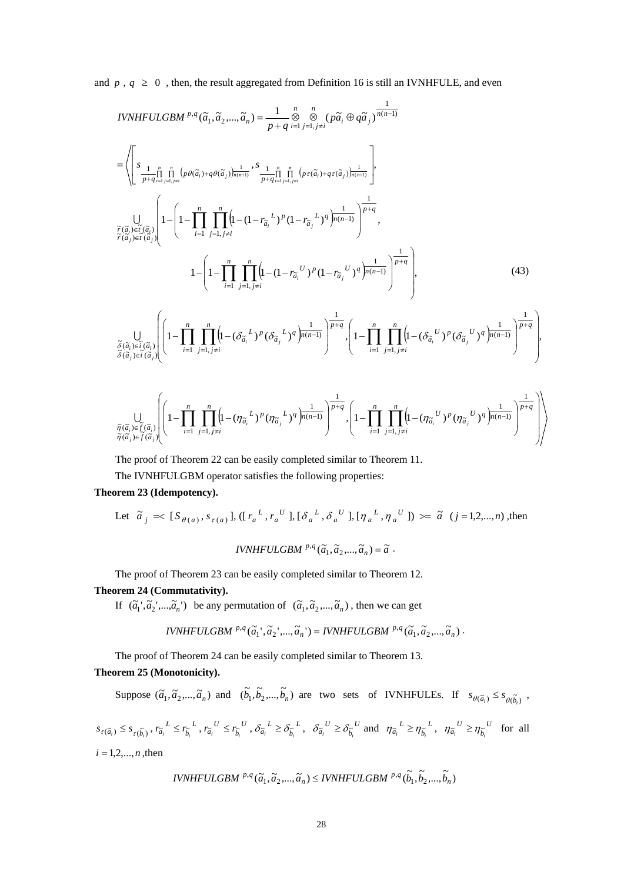and  $p$ ,  $q \ge 0$ , then, the result aggregated from Definition 16 is still an IVNHFULE, and even

$$
IVNHFULGBM^{p,q}(\tilde{a}_{1},\tilde{a}_{2},...,\tilde{a}_{n}) = \frac{1}{p+q} \int_{\tilde{B}}^{n} (p\tilde{a}_{i} \oplus q\tilde{a}_{j})^{\frac{1}{n(n-1)}}
$$
\n
$$
= \left\langle \left[ \sum_{\substack{J=1\\j=1, j=1, j\neq i}}^{n} \prod_{j=1, j=1}^{n} (p\theta(\tilde{a}_{i}) + q\theta(\tilde{a}_{j}))^{\frac{1}{n(n+1)}} , \sum_{\substack{J=1\\j=1, j\neq i}}^{n} \prod_{j=1, j\neq i}^{n} (p\tau(\tilde{a}_{i}) + q\tau(\tilde{a}_{j}))^{\frac{1}{n(n+1)}} \right],
$$
\n
$$
\int_{\tilde{r}(\tilde{a}_{i}) \in \tilde{r}(\tilde{a}_{i})} \left[ 1 - \left( 1 - \prod_{i=1}^{n} \prod_{j=1, j\neq i}^{n} \left( 1 - (1 - r_{\tilde{a}_{i}}^{L})^{p} (1 - r_{\tilde{a}_{j}}^{L})^{q} \right) \frac{1}{n(n-1)} \right)^{\frac{1}{p+q}},
$$
\n
$$
1 - \left( 1 - \prod_{i=1}^{n} \prod_{j=1, j\neq i}^{n} \left( 1 - (1 - r_{\tilde{a}_{i}}^{U})^{p} (1 - r_{\tilde{a}_{j}}^{U})^{q} \right) \frac{1}{n(n-1)} \right)^{\frac{1}{p+q}},
$$
\n
$$
\int_{\tilde{\delta}(\tilde{a}_{i}) \in \tilde{r}(\tilde{a}_{i})} \left( 1 - \prod_{i=1}^{n} \prod_{j=1, j\neq i}^{n} \left( 1 - (\delta_{\tilde{a}_{i}}^{L})^{p} (\delta_{\tilde{a}_{j}}^{L})^{q} \right) \frac{1}{n(n-1)} \right)^{\frac{1}{p+q}}, \left( 1 - \prod_{i=1}^{n} \prod_{j=1, j\neq i}^{n} \left( 1 - (\delta_{\tilde{a}_{i}}^{U})^{p} (\delta_{\tilde{a}_{j}}^{U})^{q} \right) \frac{1}{n(n-1)} \right)^{\frac{1
$$

$$
\bigcup_{\substack{\widetilde{\eta}(\widetilde{\alpha}_i)\in \widetilde{f}(\widetilde{\alpha}_i)\\ \widetilde{\eta}(\widetilde{\alpha}_j)\in \widetilde{f}(\widetilde{\alpha}_j)}}\left[\left(1-\prod_{i=1}^n\prod_{j=1,\,j\neq i}^n\!\!\!\left(\!1\!-\!(\eta_{\widetilde{\alpha}_i}{}^L)^p(\eta_{\widetilde{\alpha}_j}{}^L)^q\right)^{\!\!\frac{1}{p(n-1)}}\right)^{\!\!\frac{1}{p+q}}\!\!,\!\left(1-\prod_{i=1}^n\prod_{j=1,\,j\neq i}^n\!\!\!\left(\!1\!-\!(\eta_{\widetilde{\alpha}_i}{}^U)^p(\eta_{\widetilde{\alpha}_j}{}^U)^q\right)^{\!\!\frac{1}{p(n-1)}}\right)^{\!\!\frac{1}{p+q}}\right)\right)
$$

J

The proof of Theorem 22 can be easily completed similar to Theorem 11.

The IVNHFULGBM operator satisfies the following properties:

## **Theorem 23 (Idempotency).**

Y

*j j*

Let  $\tilde{a}_j = \langle [S_{\theta(a)}, s_{\tau(a)}], ([r_a^L, r_a^U], [\delta_a^L, \delta_a^U], [\eta_a^L, \eta_a^U] \rangle \rangle = \tilde{a}$   $(j=1,2,...,n)$ , then

$$
IVNHFULGBM \stackrel{p,q}{\ldots}(\widetilde{a}_1, \widetilde{a}_2, ..., \widetilde{a}_n) = \widetilde{a}.
$$

The proof of Theorem 23 can be easily completed similar to Theorem 12. **Theorem 24 (Commutativity).** 

If  $(\tilde{a}_1', \tilde{a}_2', ..., \tilde{a}_n')$  be any permutation of  $(\tilde{a}_1, \tilde{a}_2', ..., \tilde{a}_n)$ , then we can get

 $IVNHFULGBM \, {}^{p,q}(\tilde{a}_1, \tilde{a}_2, ..., \tilde{a}_n) = IVNHFULGBM \, {}^{p,q}(\tilde{a}_1, \tilde{a}_2, ..., \tilde{a}_n)$ .

The proof of Theorem 24 can be easily completed similar to Theorem 13. **Theorem 25 (Monotonicity).** 

Suppose  $(\tilde{a}_1, \tilde{a}_2, ..., \tilde{a}_n)$  and  $(\tilde{b}_1, \tilde{b}_2, ..., \tilde{b}_n)$  are two sets of IVNHFULEs. If  $s_{\theta(\tilde{a}_i)} \leq s_{\theta(\tilde{b}_i)}$ ,  $s_{\tau(\widetilde{a}_{i})} \leq s_{\tau(\widetilde{b}_{i})}, r_{\widetilde{a}_{i}}^{L} \leq r_{\widetilde{b}_{i}}^{L}$  $r_{\widetilde{a}_i}^L \leq r_{\widetilde{b}_i}^L$ ,  $r_{\widetilde{a}_i}^U \leq r_{\widetilde{b}_i}^U$  $r_{\widetilde{a}_i}^{\ \ U} \leq r_{\widetilde{b}_i}^{\ \ U}$ ,  $\delta_{\widetilde{a}_i}^{\ \ L} \geq \delta_{\widetilde{b}_i}^{\ \ L}$  $\delta_{\tilde{a}_i}^L \geq \delta_{\tilde{b}_i}^L$ ,  $\delta_{\tilde{a}_i}^U \geq \delta_{\tilde{b}_i}^U$  $\delta_{\tilde{a}_i}^{\ U} \geq \delta_{\tilde{b}_i}^{\ U}$  and  $\eta_{\tilde{a}_i}^{\ L} \geq \eta_{\tilde{b}_i}^{\ L}$  $\eta_{\tilde{a}_i}^L \geq \eta_{\tilde{b}_i}^L$ ,  $\eta_{\tilde{a}_i}^U \geq \eta_{\tilde{b}_i}^U$  $\eta_{\tilde{a}_i}^{\ U} \geq \eta_{\tilde{b}_i}^{\ U}$  for all  $i = 1, 2, ..., n$ , then

$$
IVNHFULGBM \stackrel{p,q}{\sim} (\widetilde{a}_1, \widetilde{a}_2, ..., \widetilde{a}_n) \leq IVNHFULGBM \stackrel{p,q}{\sim} (\widetilde{b}_1, \widetilde{b}_2, ..., \widetilde{b}_n)
$$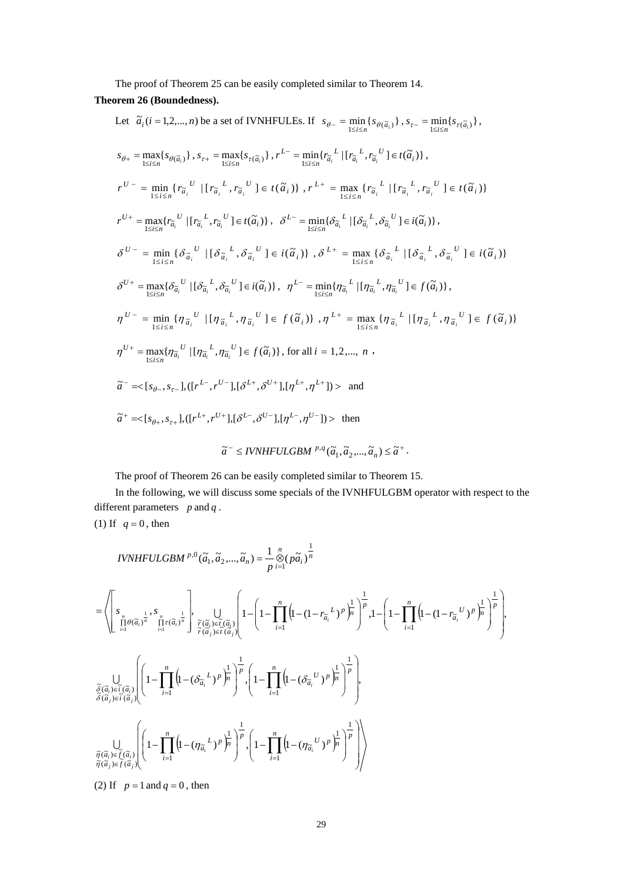The proof of Theorem 25 can be easily completed similar to Theorem 14.

**Theorem 26 (Boundedness).**

Let 
$$
\tilde{a}_i(i = 1, 2, ..., n)
$$
 be a set of IVNHFULEs. If  $s_{\theta-} = \min_{1 \le i \le n} \{s_{\theta(\tilde{a}_i)}\}, s_{\tau-} = \min_{1 \le i \le n} \{s_{\theta(\tilde{a}_i)}\}, s_{\tau-} = \min_{1 \le i \le n} \{s_{\theta(\tilde{a}_i)}\}, s_{\tau-} = \min_{1 \le i \le n} \{s_{\theta(\tilde{a}_i)}\}, s_{\tau+} = \max_{1 \le i \le n} \{s_{\tau(\tilde{a}_i)}\}, r^{L-} = \min_{1 \le i \le n} \{r_{\tilde{a}_i}^L \mid [r_{\tilde{a}_i}^L, r_{\tilde{a}_i}^U] \in t(\tilde{a}_i)\}, r^{L+} = \max_{1 \le i \le n} \{r_{\tilde{a}_i}^L \mid [r_{\tilde{a}_i}^L, r_{\tilde{a}_i}^U] \in t(\tilde{a}_i)\}$   
\n
$$
r^{U-} = \min_{1 \le i \le n} \{r_{\tilde{a}_i}^U \mid [r_{\tilde{a}_i}^L, r_{\tilde{a}_i}^U] \in t(\tilde{a}_i)\}, \delta^{L-} = \min_{1 \le i \le n} \{\delta_{\tilde{a}_i}^L \mid [\delta_{\tilde{a}_i}^L, \delta_{\tilde{a}_i}^U] \in i(\tilde{a}_i)\},
$$
  
\n
$$
\delta^{U-} = \min_{1 \le i \le n} \{\delta_{\tilde{a}_i}^U \mid [\delta_{\tilde{a}_i}^L, \delta_{\tilde{a}_i}^U] \in t(\tilde{a}_i)\}, \delta^{L+} = \max_{1 \le i \le n} \{\delta_{\tilde{a}_i}^L \mid [\delta_{\tilde{a}_i}^L, \delta_{\tilde{a}_i}^U] \in i(\tilde{a}_i)\}
$$
  
\n
$$
\delta^{U+} = \max_{1 \le i \le n} \{\delta_{\tilde{a}_i}^U \mid [\delta_{\tilde{a}_i}^L, \delta_{\tilde{a}_i}^U] \in i(\tilde{a}_i)\}, n^{L-} = \min_{1 \le i \le
$$

The proof of Theorem 26 can be easily completed similar to Theorem 15.

In the following, we will discuss some specials of the IVNHFULGBM operator with respect to the different parameters *p* and *q* .

(1) If  $q=0$ , then

IVNHFULGBM <sup>p,0</sup> 
$$
(\tilde{a}_1, \tilde{a}_2, ..., \tilde{a}_n) = \frac{1}{p} \sum_{i=1}^n (p\tilde{a}_i)^{\frac{1}{n}}
$$
  
\n
$$
= \left\langle \left[ \sum_{\substack{n=1 \ n \text{ odd}}}^s \frac{1}{p^{\alpha}}, \sum_{\substack{n=1 \ n \text{ odd}}}^n \frac{1}{p^{\alpha}} \right], \bigcup_{\substack{n \text{ odd} \ n \text{ odd}}}^n \left[ 1 - \left( 1 - \prod_{i=1}^n \left( 1 - (1 - r_{\tilde{a}_i}^L)^p \right)_n^{\frac{1}{p}} \right)_n^{\frac{1}{p}} , 1 - \left( 1 - \prod_{i=1}^n \left( 1 - (1 - r_{\tilde{a}_i}^L)^p \right)_n^{\frac{1}{p}} \right)_n^{\frac{1}{p}} \right\rangle
$$
\n
$$
\frac{\partial}{\partial} (\overline{a}_i) = \tilde{i}(\tilde{a}_i) \left( 1 - \prod_{i=1}^n \left( 1 - (\delta_{\tilde{a}_i}^L)^p \right)_n^{\frac{1}{p}} \right)_n^{\frac{1}{p}} , \left( 1 - \prod_{i=1}^n \left( 1 - (\delta_{\tilde{a}_i}^L)^p \right)_n^{\frac{1}{p}} \right)_n^{\frac{1}{p}} , \left( 1 - \prod_{i=1}^n \left( 1 - (\delta_{\tilde{a}_i}^L)^p \right)_n^{\frac{1}{p}} \right)_n^{\frac{1}{p}} , \left( 1 - \prod_{i=1}^n \left( 1 - (\delta_{\tilde{a}_i}^L)^p \right)_n^{\frac{1}{p}} \right)_n^{\frac{1}{p}} , \left( 1 - \prod_{i=1}^n \left( 1 - (\eta_{\tilde{a}_i}^L)^p \right)_n^{\frac{1}{p}} \right)_n^{\frac{1}{p}} , \left( 1 - \prod_{i=1}^n \left( 1 - (\eta_{\tilde{a}_i}^L)^p \right)_n^{\frac{1}{p}} \right)_n^{\frac{1}{p}} , \left( 1 - \prod_{i=1}^n \left( 1 - (\eta_{\tilde{a}_i}^L)^p \right)_n^{\frac{1}{
$$

(2) If  $p = 1$  and  $q = 0$ , then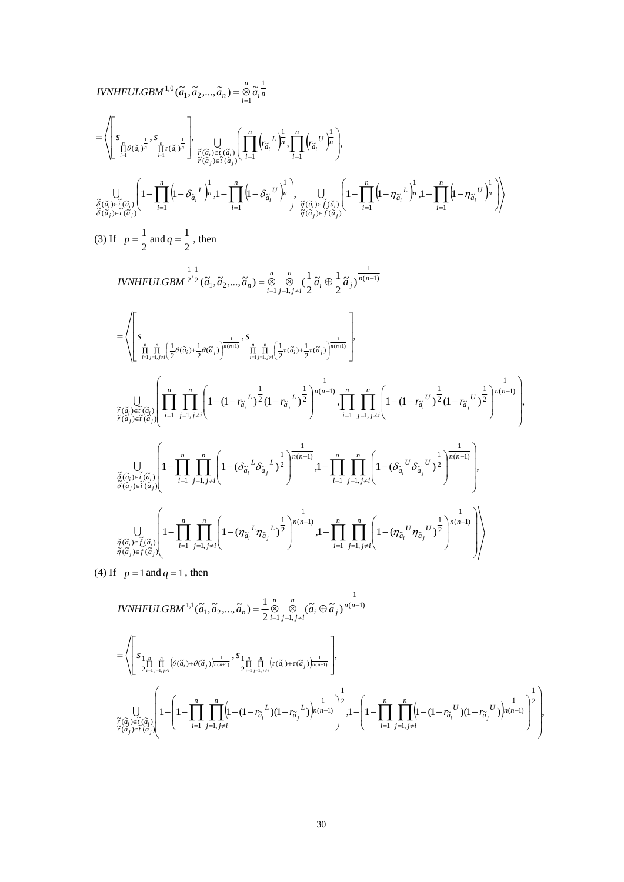$$
IVNHFULGBM^{1,0}(\tilde{a}_{1},\tilde{a}_{2},...,\tilde{a}_{n}) = \sum_{i=1}^{n} \tilde{a}_{i,n}^{-1}
$$
\n
$$
= \left\langle \left[ s_{\substack{\tilde{a}_{i} \text{ odd } j \in \tilde{a}_{i} \text{ odd}}} \right]_{\substack{\tilde{r}(\tilde{a}_{i}) \in \tilde{r}(\tilde{a}_{i})} \left[ 1 - \int_{\tilde{r}(\tilde{a}_{i})}^{\tilde{r}(\tilde{a}_{i}) \in \tilde{r}(\tilde{a}_{i})} \left[ 1 - \int_{i=1}^{n} \left( 1 - \delta_{\tilde{a}_{i}} \right)^{i} \frac{1}{\tilde{r}(\tilde{a}_{i}) \in \tilde{r}(\tilde{a}_{i})} \right) \frac{1}{\tilde{r}(\tilde{a}_{i}) \in \tilde{r}(\tilde{a}_{i})} \right] \times \frac{1}{\tilde{r}(\tilde{a}_{i}) \in \tilde{r}(\tilde{a}_{i})} \left[ 1 - \prod_{i=1}^{n} \left( 1 - \delta_{\tilde{a}_{i}} \right)^{i} \frac{1}{\tilde{r}(\tilde{a}_{i}) \in \tilde{r}(\tilde{a}_{i})} \right] \times \frac{1}{\tilde{r}(\tilde{a}_{i}) \in \tilde{r}(\tilde{a}_{i})} \left[ 1 - \prod_{i=1}^{n} \left( 1 - \eta_{\tilde{a}_{i}} \right)^{i} \frac{1}{\tilde{r}(\tilde{a}_{i}) \in \tilde{r}(\tilde{a}_{i})} \right] \times \frac{1}{\tilde{r}(\tilde{a}_{i}) \in \tilde{r}(\tilde{a}_{i})} \left[ 1 - \prod_{i=1}^{n} \left( 1 - \eta_{\tilde{a}_{i}} \right)^{i} \frac{1}{\tilde{r}(\tilde{a}_{i}) \in \tilde{r}(\tilde{a}_{i})} \right] \times \frac{1}{\tilde{r}(\tilde{a}_{i}) \in \tilde{r}(\tilde{a}_{i})} \right]
$$
\n
$$
= \left\langle \left[ s_{\tilde{b}_{i} \text{ find } \int_{\tilde{r}(\tilde{a}_{i})
$$

(4) If  $p = 1$  and  $q = 1$ , then

$$
\begin{split} &IVNHFULGBM \,^{1,1}(\widetilde{a}_1,\widetilde{a}_2,...,\widetilde{a}_n)=\frac{1}{2}\mathop{\otimes}\limits_{i=1}^n\mathop{\otimes}\limits_{j=1,j\neq i}(\widetilde{a}_i\oplus\widetilde{a}_j)^{\frac{1}{n(n-1)}}\\ =&\left\langle\left[\begin{matrix} s_{\frac{1}{2},\frac{n}{n-1}}\prod\limits_{j=1,j\neq i}^n\left(\theta(\widetilde{a}_i)+\theta(\widetilde{a}_j)\right)^{\frac{1}{n(n+1)}}\frac{s_{\frac{1}{2},\frac{n}{n-1}}\prod\limits_{j=1,j\neq i}^n\left(\tau(\widetilde{a}_i)+\tau(\widetilde{a}_j)\right)^{\frac{1}{n(n+1)}}}{2^{\frac{1}{n-1}}\prod\limits_{j=1,j\neq i}^n\left(1-(1-r_{\widetilde{a}_i}^L)(1-r_{\widetilde{a}_j}^L)\right)^{\frac{1}{n(n-1)}}\right)^{\frac{1}{2}},1-\left(1-\prod_{i=1}^n\prod\limits_{j=1,j\neq i}^n\left(1-(1-r_{\widetilde{a}_i}^U)(1-r_{\widetilde{a}_j}^U)\right)^{\frac{1}{n(n-1)}}\right)^{\frac{1}{2}}\right\rangle,\\ &\widetilde{r}(\widetilde{a}_i)\in \widetilde{r}(\widetilde{a}_j)}\end{split}
$$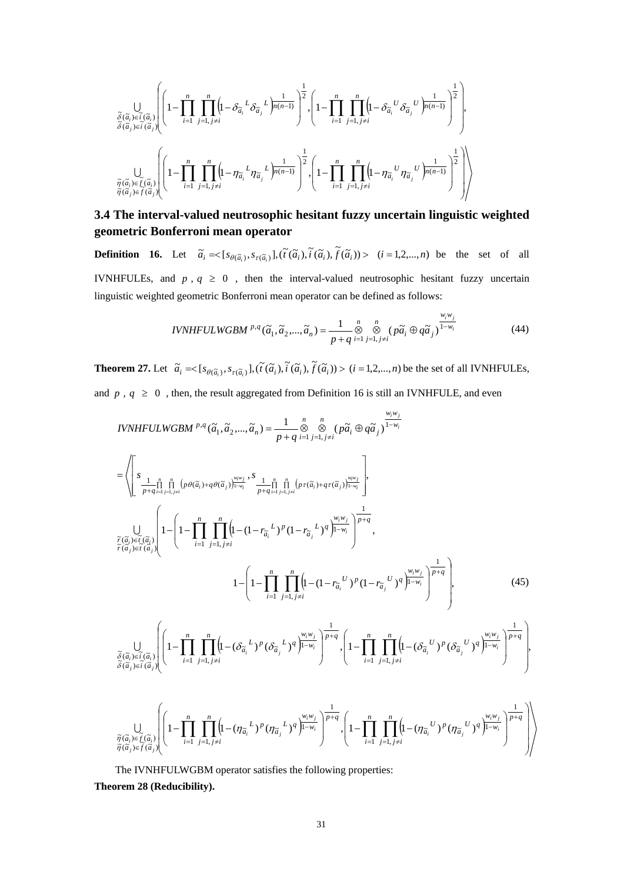$$
\underset{\substack{\widetilde{\sigma}(\widetilde{\alpha}_{i})\in \widetilde{i}(\widetilde{\alpha}_{i}) \\ \widetilde{\sigma}(\widetilde{\alpha}_{i})\in \widetilde{i}(\widetilde{\alpha}_{i})}}{\bigcup_{\widetilde{\sigma}(\widetilde{\alpha}_{i})\in \widetilde{i}(\widetilde{\alpha}_{i})}\left(\left(1-\prod_{i=1}^{n}\prod_{j=1,j\neq i}^{n}\left(l-\delta_{\widetilde{\alpha}_{i}}{}^{L}\delta_{\widetilde{\alpha}_{j}}{}^{L}\right)_{n(n-1)}^{\frac{1}{2}}\right)^{\frac{1}{2}},\left(1-\prod_{i=1}^{n}\prod_{j=1,j\neq i}^{n}\left(l-\delta_{\widetilde{\alpha}_{i}}{}^{U}\delta_{\widetilde{\alpha}_{j}}{}^{U}\right)_{n(n-1)}^{\frac{1}{2}}\right)^{\frac{1}{2}},
$$
\n
$$
\bigcup_{\substack{\widetilde{\eta}(\widetilde{\alpha}_{i})\in \widetilde{f}(\widetilde{\alpha}_{i}) \\ \widetilde{\eta}(\widetilde{\alpha}_{i})\in \widetilde{f}(\widetilde{\alpha}_{i})}}\left(\left(1-\prod_{i=1}^{n}\prod_{j=1,j\neq i}^{n}\left(l-\eta_{\widetilde{\alpha}_{i}}{}^{L}\eta_{\widetilde{\alpha}_{j}}{}^{L}\right)_{n(n-1)}^{\frac{1}{2}}\right)^{\frac{1}{2}},\left(1-\prod_{i=1}^{n}\prod_{j=1,j\neq i}^{n}\left(l-\eta_{\widetilde{\alpha}_{i}}{}^{U}\eta_{\widetilde{\alpha}_{j}}{}^{U}\right)_{n(n-1)}^{\frac{1}{2}}\right)^{\frac{1}{2}}\right)
$$

# **3.4 The interval-valued neutrosophic hesitant fuzzy uncertain linguistic weighted geometric Bonferroni mean operator**

**Definition 16.** Let  $\tilde{a}_i = \begin{cases} s_{\theta(\tilde{a}_i)}, s_{\tau(\tilde{a}_i)} \end{cases}, \begin{cases} \tilde{t}(\tilde{a}_i), \tilde{t}(\tilde{a}_i), \tilde{t}(\tilde{a}_i) \end{cases} > (i = 1, 2, ..., n)$  be the set of all IVNHFULEs, and  $p$ ,  $q \ge 0$ , then the interval-valued neutrosophic hesitant fuzzy uncertain linguistic weighted geometric Bonferroni mean operator can be defined as follows:

*IVNHFULWGBM* 
$$
^{p,q}(\tilde{a}_1, \tilde{a}_2, ..., \tilde{a}_n) = \frac{1}{p+q} \underset{i=1 \ j=1, j\neq i}{\overset{n}{\otimes}} (\tilde{pa}_i \oplus q\tilde{a}_j)^{\frac{w_i w_j}{1-w_i}}
$$
 (44)

**Theorem 27.** Let  $\tilde{a}_i = \langle [s_{\theta(\tilde{a}_i)}, s_{\tau(\tilde{a}_i)}], (\tilde{t}(\tilde{a}_i), \tilde{t}(\tilde{a}_i), \tilde{f}(\tilde{a}_i)) \rangle \ (i = 1, 2, ..., n)$  be the set of all IVNHFULEs, and  $p$ ,  $q \ge 0$ , then, the result aggregated from Definition 16 is still an IVNHFULE, and even

IVNHEULWGBM <sup>p,q</sup> (
$$
\tilde{a}_1, \tilde{a}_2, ..., \tilde{a}_n
$$
) =  $\frac{1}{p+q} \sum_{i=1}^{n} \sum_{j=1, j\neq i}^{n} (p\tilde{a}_i \oplus q\tilde{a}_j) \frac{w_i w_j}{1-w_i}$   
\n= $\left( \sum_{\substack{1 \text{odd } p+q \text{ odd } j \text{ odd}}}^{n} \prod_{j=1, j\neq i}^{n} (p\theta(\tilde{a}_i) + q\theta(\tilde{a}_j)) \frac{w_i w_j}{1-w_j} + \sum_{\substack{1 \text{odd } j \text{ odd } j \text{ odd}}}^{n} \prod_{j=1, j\neq i}^{n} (p\tau(\tilde{a}_i) + q\tau(\tilde{a}_j)) \frac{w_i w_j}{1-w_i} \right),$   
\n $\frac{1}{\tilde{r}(\tilde{a}_i) \in \tilde{r}(\tilde{a}_j)} \left( 1 - \left( 1 - \prod_{i=1}^{n} \prod_{j=1, j\neq i}^{n} (1 - (1 - r_{\tilde{a}_i}^L)^p (1 - r_{\tilde{a}_j}^L)^q)^{\frac{W_i W_j}{1-w_i}} \right)^{\frac{1}{p+q}},$   
\n $1 - \left( 1 - \prod_{i=1}^{n} \prod_{j=1, j\neq i}^{n} (1 - (1 - r_{\tilde{a}_i}^L)^p (1 - r_{\tilde{a}_j}^L)^q)^{\frac{1}{p+w_i}} \right),$   
\n $\frac{1}{\tilde{q}(\tilde{a}_i) \in \tilde{r}(\tilde{a}_i)} \left( 1 - \prod_{i=1}^{n} \prod_{j=1, j\neq i}^{n} (1 - (\delta_{\tilde{a}_i}^L)^p (\delta_{\tilde{a}_j}^L)^q)^{\frac{W_i W_j}{1-w_i}} \right)^{\frac{1}{p+q}},$   
\n $\frac{1}{\tilde{q}(\tilde{a}_j) \in \tilde{r}(\tilde{a}_j)} \left( 1 - \prod_{i=1}^{n} \prod_{j=1, j\neq i}^{n} (1 - (r_{\tilde{a}_i}^L)^p (r_{\tilde{a}_j}^L$ 

The IVNHFULWGBM operator satisfies the following properties:

**Theorem 28 (Reducibility).**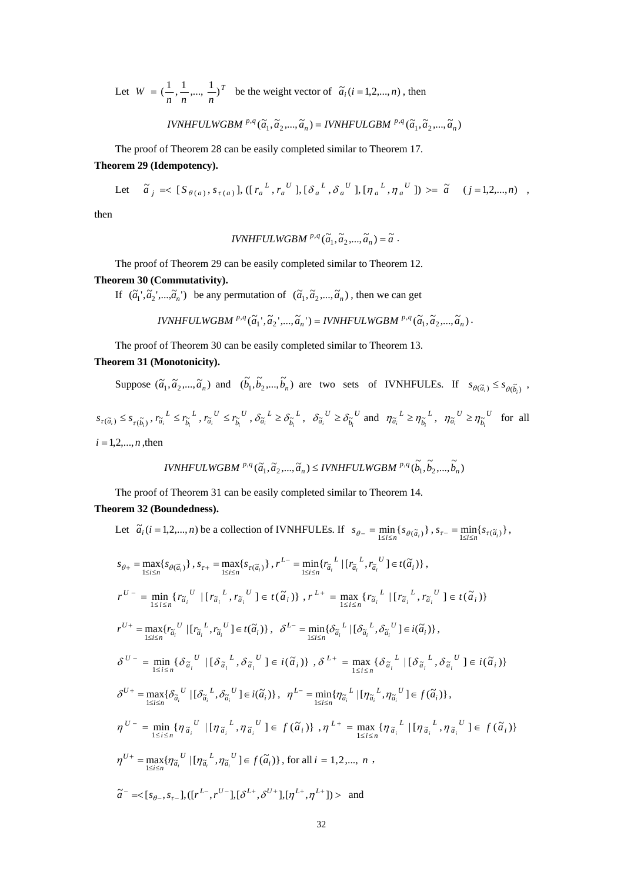Let  $W = \left(\frac{1}{n}, \frac{1}{n}, \dots, \frac{1}{n}\right)^T$  be the weight vector of  $\tilde{a}_i (i = 1, 2, \dots, n)$ , then

 $IVNHFULWGBM P,q(\tilde{a}_1, \tilde{a}_2, ..., \tilde{a}_n) = IVNHFULGBM P,q(\tilde{a}_1, \tilde{a}_2, ..., \tilde{a}_n)$ 

The proof of Theorem 28 can be easily completed similar to Theorem 17. **Theorem 29 (Idempotency).** 

Let 
$$
\tilde{a}_j = \langle [S_{\theta(a)}, s_{\tau(a)}], ([r_a^L, r_a^U], [\delta_a^L, \delta_a^U], [\eta_a^L, \eta_a^U] \rangle \rangle = \tilde{a} \quad (j = 1, 2, ..., n)
$$
,

then

$$
IVNHFULWGBM^{p,q}(\widetilde{a}_1,\widetilde{a}_2,...,\widetilde{a}_n)=\widetilde{a}.
$$

The proof of Theorem 29 can be easily completed similar to Theorem 12.

# **Theorem 30 (Commutativity).**

If  $(\tilde{a}_1', \tilde{a}_2', ..., \tilde{a}_n')$  be any permutation of  $(\tilde{a}_1, \tilde{a}_2', ..., \tilde{a}_n)$ , then we can get

$$
IVNHFULWGBM \stackrel{p,q}{\sim} (\widetilde{a}_1{}^{\cdot},\widetilde{a}_2{}^{\cdot},\!...\!,\widetilde{a}_n{}^{\cdot})=IVNHFULWGBM \stackrel{p,q}{\sim} (\widetilde{a}_1,\widetilde{a}_2,\!...,\widetilde{a}_n) \cdot
$$

The proof of Theorem 30 can be easily completed similar to Theorem 13.

# **Theorem 31 (Monotonicity).**

Suppose  $(\tilde{a}_1, \tilde{a}_2, ..., \tilde{a}_n)$  and  $(\tilde{b}_1, \tilde{b}_2, ..., \tilde{b}_n)$  are two sets of IVNHFULEs. If  $s_{\theta(\tilde{a}_i)} \leq s_{\theta(\tilde{b}_i)}$ ,

 $s_{\tau(\widetilde{a}_{i})} \leq s_{\tau(\widetilde{b}_{i})}, r_{\widetilde{a}_{i}}^{L} \leq r_{\widetilde{b}_{i}}^{L}$  $r_{\widetilde{a}_i}^L \leq r_{\widetilde{b}_i}^L$ ,  $r_{\widetilde{a}_i}^U \leq r_{\widetilde{b}_i}^U$  $r_{\widetilde{a}_i}^{\phantom{a}U} \leq r_{\widetilde{b}_i}^{\phantom{a}U}$ ,  $\delta_{\widetilde{a}_i}^{\phantom{a}L} \geq \delta_{\widetilde{b}_i}^{\phantom{b}L}$  $\delta_{\tilde{a}_i}^L \geq \delta_{\tilde{b}_i}^L$ ,  $\delta_{\tilde{a}_i}^U \geq \delta_{\tilde{b}_i}^U$  $\delta_{\tilde{a}_i}^{\ U} \geq \delta_{\tilde{b}_i}^{\ U}$  and  $\eta_{\tilde{a}_i}^{\ U} \geq \eta_{\tilde{b}_i}^{\ U}$  $\eta_{\tilde{a}_i}^L \geq \eta_{\tilde{b}_i}^L$ ,  $\eta_{\tilde{a}_i}^U \geq \eta_{\tilde{b}_i}^U$  $\eta_{\tilde{a}_i}^{\quad U} \geq \eta_{\tilde{b}_i}^{\quad U}$  for all  $i = 1, 2, ..., n$ , then

$$
IVNHFULWGBM \stackrel{p,q}{\sim} (\widetilde{a}_1, \widetilde{a}_2, ..., \widetilde{a}_n) \leq IVNHFULWGBM \stackrel{p,q}{\sim} (\widetilde{b}_1, \widetilde{b}_2, ..., \widetilde{b}_n)
$$

The proof of Theorem 31 can be easily completed similar to Theorem 14. **Theorem 32 (Boundedness).**

Let 
$$
\tilde{a}_i(i = 1,2,...,n)
$$
 be a collection of IVNHFULEs. If  $s_{\theta-} = \min_{1 \le i \le n} \{s_{\theta(\tilde{a}_i)}\}, s_{\tau-} = \min_{1 \le i \le n} \{s_{\tau(\tilde{a}_i)}\},$   
\n $s_{\theta+} = \max_{1 \le i \le n} \{s_{\theta(\tilde{a}_i)}\}, s_{\tau+} = \max_{1 \le i \le n} \{s_{\tau(\tilde{a}_i)}\}, r^{L-} = \min_{1 \le i \le n} \{r_{\tilde{a}_i}^L \mid [r_{\tilde{a}_i}^L, r_{\tilde{a}_i}^U] \in t(\tilde{a}_i)\},$   
\n $r^{U-} = \min_{1 \le i \le n} \{r_{\tilde{a}_i}^U \mid [r_{\tilde{a}_i}^L, r_{\tilde{a}_i}^U] \in t(\tilde{a}_i)\}, r^{L+} = \max_{1 \le i \le n} \{r_{\tilde{a}_i}^L \mid [r_{\tilde{a}_i}^L, r_{\tilde{a}_i}^U] \in t(\tilde{a}_i)\}$   
\n $r^{U+} = \max_{1 \le i \le n} \{r_{\tilde{a}_i}^U \mid [r_{\tilde{a}_i}^L, r_{\tilde{a}_i}^U] \in t(\tilde{a}_i)\}, \delta^{L-} = \min_{1 \le i \le n} \{\delta_{\tilde{a}_i}^L \mid [\delta_{\tilde{a}_i}^L, \delta_{\tilde{a}_i}^U] \in i(\tilde{a}_i)\}$ ,  
\n $\delta^{U-} = \min_{1 \le i \le n} \{\delta_{\tilde{a}_i}^U \mid [\delta_{\tilde{a}_i}^L, \delta_{\tilde{a}_i}^U] \in i(\tilde{a}_i)\}, \delta^{L+} = \max_{1 \le i \le n} \{\delta_{\tilde{a}_i}^L \mid [\delta_{\tilde{a}_i}^L, \delta_{\tilde{a}_i}^U] \in i(\tilde{a}_i)\}$   
\n $\delta^{U+} = \max_{1 \le i \le n} \{\delta_{\tilde{a}_i}^U \mid [\delta_{\tilde{a}_i}^$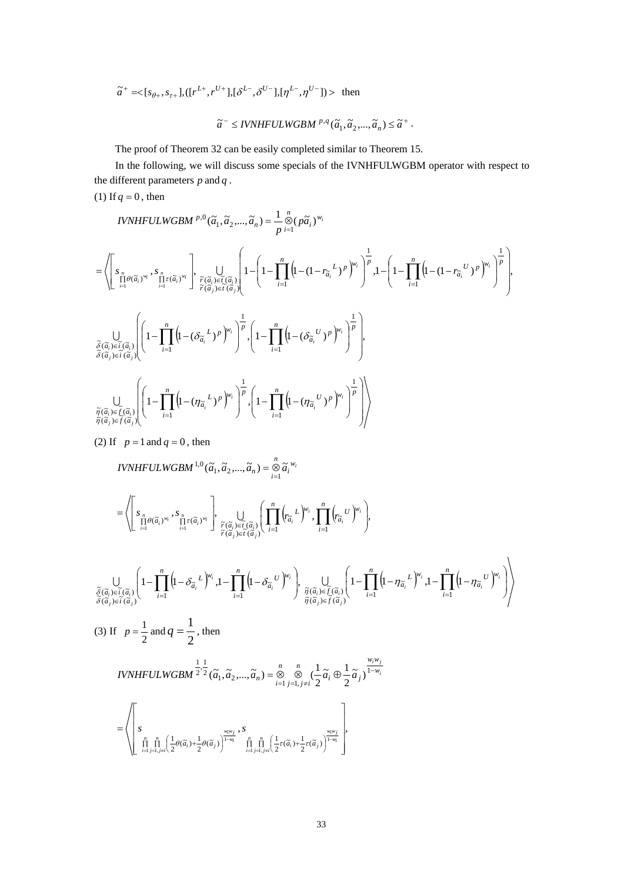$$
\tilde{a}^+ = <[s_{\theta+}, s_{\tau+}], ([r^{L+}, r^{U+}], [\delta^{L-}, \delta^{U-}], [\eta^{L-}, \eta^{U-}]) > \text{ then}
$$

$$
\widetilde{a}^- \leq \text{IVNHFULWGBM} \, {}^{p,q}(\widetilde{a}_1, \widetilde{a}_2, \ldots, \widetilde{a}_n) \leq \widetilde{a}^+ \, .
$$

The proof of Theorem 32 can be easily completed similar to Theorem 15.

In the following, we will discuss some specials of the IVNHFULWGBM operator with respect to the different parameters *p* and *q* .

(1) If  $q = 0$ , then

$$
IVNHFLLWGBM^{p,0}(\tilde{a}_{1},\tilde{a}_{2},...,\tilde{a}_{n}) = \frac{1}{p} \int_{i=1}^{n} (\tilde{p}\tilde{a}_{i})^{w_{i}}
$$
\n
$$
= \left\langle \left[ \sum_{\substack{n=1 \\ i=1}}^{n} \theta(\tilde{a}_{i})^{w_{i}}, \sum_{\substack{n=1 \\ i=1}}^{n} \theta(\tilde{a}_{i})^{w_{i}} \right], \bigcup_{\substack{\tilde{r}(\tilde{a}_{i}) \in \tilde{t}(\tilde{a}_{i}) \\ \tilde{r}(\tilde{a}_{j}) \in \tilde{t}(\tilde{a}_{j})}} \left[ 1 - \left( 1 - \prod_{i=1}^{n} \left( 1 - (1 - r_{\tilde{a}_{i}}^{L})^{p} \right)^{w_{i}} \right)^{\frac{1}{p}}, 1 - \left( 1 - \prod_{i=1}^{n} \left( 1 - (1 - r_{\tilde{a}_{i}}^{L})^{p} \right)^{w_{i}} \right)^{\frac{1}{p}} \right\rangle
$$
\n
$$
\int_{\tilde{\delta}(\tilde{a}_{i}) \in \tilde{t}(\tilde{a}_{i})} \left( 1 - \prod_{i=1}^{n} \left( 1 - (\delta_{\tilde{a}_{i}}^{L})^{p} \right)^{w_{i}} \right)^{\frac{1}{p}} \left( 1 - \prod_{i=1}^{n} \left( 1 - (\delta_{\tilde{a}_{i}}^{L})^{p} \right)^{w_{i}} \right)^{\frac{1}{p}} \right),
$$
\n
$$
\int_{\tilde{\delta}(\tilde{a}_{i}) \in \tilde{t}(\tilde{a}_{i})} \left( 1 - \prod_{i=1}^{n} \left( 1 - (\eta_{\tilde{a}_{i}}^{L})^{p} \right)^{w_{i}} \right)^{\frac{1}{p}} \left( 1 - \prod_{i=1}^{n} \left( 1 - (\eta_{\tilde{a}_{i}}^{U})^{p} \right)^{w_{i}} \right)^{\frac{1}{p}} \right)
$$
\n
$$
\int_{\tilde{\eta}(\tilde{a}_{i}) \in \tilde{t}(\tilde{a}_{i})} \left( 1 - \prod_{i=1}^{n} \left( 1 - (\eta_{\tilde{a}_{i}}^{L})^{p} \
$$

(2) If  $p = 1$  and  $q = 0$ , then

(3) If  $p = \frac{1}{2}$ 

$$
IVNHFULWGBM^{1,0}(\widetilde{a}_1,\widetilde{a}_2,...,\widetilde{a}_n)=\mathop{\otimes}\limits_{i=1}^n\widetilde{a}_i^{w_i}
$$

$$
= \left\langle \left[ s_{\prod\limits_{i=1}^n \theta(\widetilde{a}_i)^{w_i}}, s_{\prod\limits_{i=1}^n \tau(\widetilde{a}_i)^{w_i}} \right], \bigcup\limits_{\substack{\widetilde{r}(\widetilde{a}_i) \in \widetilde{r}(\widetilde{a}_i) \\ \widetilde{r}(\widetilde{a}_j) \in \widetilde{r}(\widetilde{a}_j)}} \left( \prod\limits_{i=1}^n \left( r_{\widetilde{a}_i} L \right)^{w_i}, \prod\limits_{i=1}^n \left( r_{\widetilde{a}_i} U \right)^{w_i} \right) \right\rangle
$$

$$
\bigcup_{\substack{\tilde{\delta}(\tilde{\alpha}_{i}) \in \tilde{i}(\tilde{\alpha}_{i}) \\ \tilde{\delta}(\tilde{\alpha}_{j}) \in \tilde{i}(\tilde{\alpha}_{j})}} \left(1 - \prod_{i=1}^{n} \left(1 - \delta_{\tilde{\alpha}_{i}}^{L}\right)^{w_{i}}, 1 - \prod_{i=1}^{n} \left(1 - \delta_{\tilde{\alpha}_{i}}^{U}\right)^{w_{i}}\right), \bigcup_{\substack{\tilde{\eta}(\tilde{\alpha}_{i}) \in \tilde{f}(\tilde{\alpha}_{i}) \\ \tilde{\eta}(\tilde{\alpha}_{j}) \in \tilde{f}(\tilde{\alpha}_{j})}} \left(1 - \prod_{i=1}^{n} \left(1 - \eta_{\tilde{\alpha}_{i}}^{L}\right)^{w_{i}}, 1 - \prod_{i=1}^{n} \left(1 - \eta_{\tilde{\alpha}_{i}}^{U}\right)^{w_{i}}\right)\right)
$$
\n(3) If  $p = \frac{1}{2}$  and  $q = \frac{1}{2}$ , then

*IVNHFULWGBM* 
$$
\frac{1}{2} \cdot \frac{1}{2} (\tilde{a}_1, \tilde{a}_2, ..., \tilde{a}_n) = \bigotimes_{i=1}^n \bigotimes_{j=1, j \neq i}^n (\frac{1}{2} \tilde{a}_i \oplus \frac{1}{2} \tilde{a}_j)^{\frac{w_i w_j}{1 - w_i}}
$$

$$
= \left\langle \left[ \begin{matrix} s & & & & \\ s & & & & \\ \frac{\prod\limits_{i=1}^{n} \prod\limits_{j=1, j\neq i}^{n} \left( \frac{1}{2} \theta(\widetilde{\alpha}_{i}) + \frac{1}{2} \theta(\widetilde{\alpha}_{j}) \right)^{\frac{W_{i}W_{j}}{1-W_{i}}}}, s & & & & \\ \frac{\prod\limits_{i=1}^{n} \prod\limits_{j=1, j\neq i}^{n} \left( \frac{1}{2} \tau(\widetilde{\alpha}_{i}) + \frac{1}{2} \tau(\widetilde{\alpha}_{j}) \right)^{\frac{W_{i}W_{j}}{1-W_{i}}}} \end{matrix} \right],
$$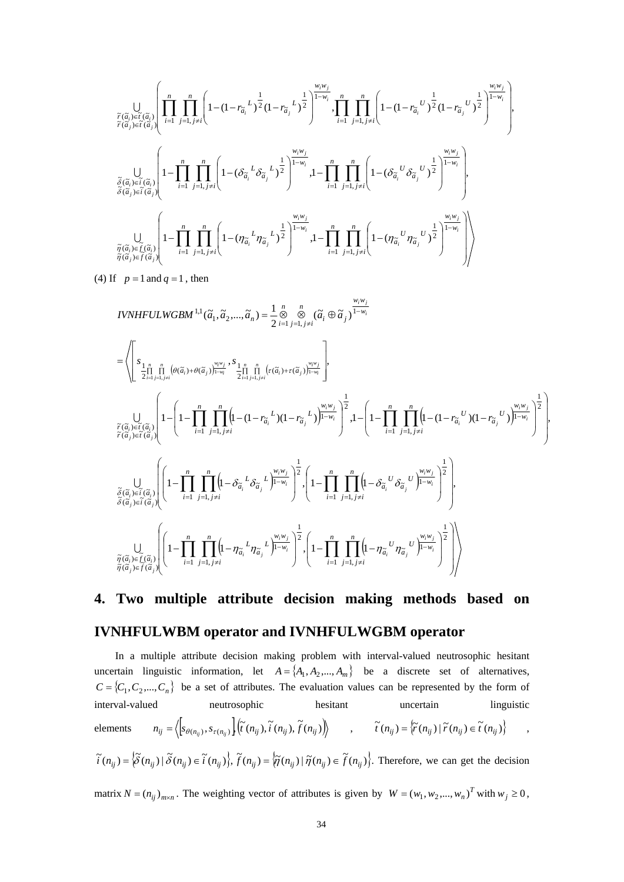$$
\underset{\tilde{r}(\tilde{a}_{i})\in \tilde{t}(\tilde{a}_{i})}{\bigcup_{\substack{\tilde{r}(\tilde{a}_{i})\in \tilde{t}(\tilde{a}_{i}) \\ \tilde{r}(\tilde{a}_{i})\in \tilde{t}(\tilde{a}_{i})}}\left[\prod_{i=1}^{n}\prod_{j=1,j\neq i}^{n}\left(1-(1-r_{\tilde{a}_{i}}^{L})^{\frac{1}{2}}(1-r_{\tilde{a}_{j}}^{L})^{\frac{1}{2}}\right)^{\frac{w_{i}w_{j}}{1-w_{i}}},\prod_{i=1}^{n}\prod_{j=1,j\neq i}^{n}\left(1-(1-r_{\tilde{a}_{i}}^{U})^{\frac{1}{2}}(1-r_{\tilde{a}_{j}}^{U})^{\frac{1}{2}}\right)^{\frac{w_{i}w_{j}}{1-w_{i}}},\\\underset{\tilde{\delta}(\tilde{a}_{i})\in \tilde{t}(\tilde{a}_{i})}{\bigcup_{\tilde{s}(\tilde{a}_{j})\in \tilde{t}(\tilde{a}_{j})}}\left(1-\prod_{i=1}^{n}\prod_{j=1,j\neq i}^{n}\left(1-(\delta_{\tilde{a}_{i}}^{L}\delta_{\tilde{a}_{j}}^{L})^{\frac{1}{2}}\right)^{\frac{w_{i}w_{j}}{1-w_{i}}},1-\prod_{i=1}^{n}\prod_{j=1,j\neq i}^{n}\left(1-(\delta_{\tilde{a}_{i}}^{U}\delta_{\tilde{a}_{j}}^{U})^{\frac{1}{2}}\right)^{\frac{w_{i}w_{j}}{1-w_{i}}}\right),\\\\\underset{\tilde{\eta}(\tilde{a}_{i})\in \tilde{f}(\tilde{a}_{i})}{\bigcup_{\tilde{\eta}(\tilde{a}_{j})\in \tilde{f}(\tilde{a}_{i})}}\left(1-\prod_{i=1}^{n}\prod_{j=1,j\neq i}^{n}\left(1-(\eta_{\tilde{a}_{i}}^{L}\eta_{\tilde{a}_{j}}^{L})^{\frac{1}{2}}\right)^{\frac{w_{i}w_{j}}{1-w_{i}}},1-\prod_{i=1}^{n}\prod_{j=1,j\neq i}^{n}\left(1-(\eta_{\tilde{a}_{i}}^{U}\eta_{\tilde{a}_{j}}^{U})^{\frac{1}{2}}\right
$$

(4) If  $p = 1$  and  $q = 1$ , then

$$
IVNHFLUWGBM^{1,1}(\tilde{a}_{1},\tilde{a}_{2},...,\tilde{a}_{n}) = \frac{1}{2} \int_{\tilde{a}_{1}}^{n} \int_{\tilde{a}_{2}}^{n} (\tilde{a}_{i} \oplus \tilde{a}_{j})^{\frac{W_{i}W_{j}}{1-W_{i}}}
$$
\n
$$
= \left\langle \int_{\tilde{a}_{1}} \int_{\tilde{a}_{1}}^{n} \int_{\tilde{a}_{2}}^{n} [\theta(\tilde{a}_{i}) + \theta(\tilde{a}_{j})^{\frac{W_{i}W_{j}}{1-W_{i}}}, \frac{s_{1}}{2} \int_{\tilde{a}_{1}}^{n} \int_{\tilde{a}_{1} = \tilde{a}_{1} = \tilde{a}_{1} = \tilde{a}_{1} = \tilde{a}_{1} = \tilde{a}_{1} = \tilde{a}_{1} = \tilde{a}_{1} = \tilde{a}_{1} = \tilde{a}_{1} = \tilde{a}_{1} = \tilde{a}_{1} = \tilde{a}_{1} = \tilde{a}_{1} = \tilde{a}_{1} = \tilde{a}_{1} = \tilde{a}_{1} = \tilde{a}_{1} = \tilde{a}_{1} = \tilde{a}_{1} = \tilde{a}_{1} = \tilde{a}_{1} = \tilde{a}_{1} = \tilde{a}_{1} = \tilde{a}_{1} = \tilde{a}_{1} = \tilde{a}_{1} = \tilde{a}_{1} = \tilde{a}_{1} = \tilde{a}_{1} = \tilde{a}_{1} = \tilde{a}_{1} = \tilde{a}_{1} = \tilde{a}_{1} = \tilde{a}_{1} = \tilde{a}_{1} = \tilde{a}_{1} = \tilde{a}_{1} = \tilde{a}_{1} = \tilde{a}_{1} = \tilde{a}_{1} = \tilde{a}_{1} = \tilde{a}_{1} = \tilde{a}_{1} = \tilde{a}_{1} = \tilde{a}_{1} = \tilde{a}_{1} = \tilde{a}_{1} = \tilde{a}_{1} = \tilde{a}_{1} = \tilde{a}_{1} = \tilde{a}_{1} = \tilde{a}_{1} = \tilde{a}_{1} = \tilde{a}_{1} = \tilde{a}_{1} = \tilde{a}_{1} = \tilde{a}_{1} = \tilde{a}_{
$$

# **4. Two multiple attribute decision making methods based on IVNHFULWBM operator and IVNHFULWGBM operator**

In a multiple attribute decision making problem with interval-valued neutrosophic hesitant uncertain linguistic information, let  $A = \{A_1, A_2, ..., A_m\}$  be a discrete set of alternatives,  $C = \{C_1, C_2, ..., C_n\}$  be a set of attributes. The evaluation values can be represented by the form of interval-valued neutrosophic hesitant uncertain linguistic elements  $n_{ij} = \left\langle \begin{bmatrix} s_{\theta(n_{ij})}, s_{\tau(n_{ij})} \end{bmatrix} (\tilde{t}(n_{ij}), \tilde{t}(n_{ij}), \tilde{f}(n_{ij})) \right\rangle$ ,  $\tilde{t}(n_{ij}) = \left\langle \tilde{t}(n_{ij}) \mid \tilde{t}(n_{ij}) \in \tilde{t}(n_{ij}) \right\rangle$ ,  $\tilde{i}(n_{ij}) = \left\{\tilde{\delta}(n_{ij}) \mid \tilde{\delta}(n_{ij}) \in \tilde{i}(n_{ij})\right\}, \tilde{f}(n_{ij}) = \left\{\tilde{\eta}(n_{ij}) \mid \tilde{\eta}(n_{ij}) \in \tilde{f}(n_{ij})\right\}.$  Therefore, we can get the decision

matrix  $N = (n_{ij})_{m \times n}$ . The weighting vector of attributes is given by  $W = (w_1, w_2, ..., w_n)^T$  with  $w_j \ge 0$ ,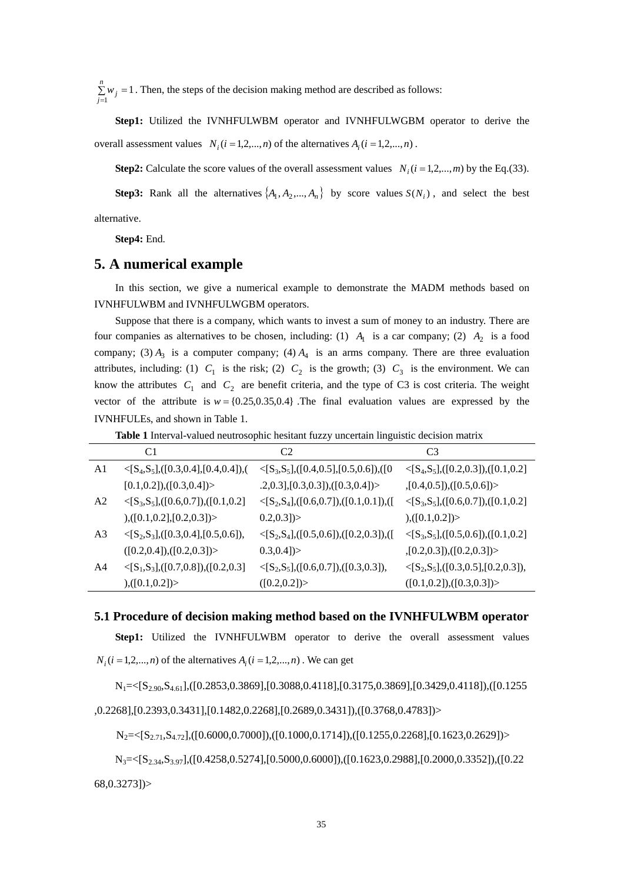1  $\sum_{j=1} w_j =$ *n*  $\sum w_j = 1$ . Then, the steps of the decision making method are described as follows:

**Step1:** Utilized the IVNHFULWBM operator and IVNHFULWGBM operator to derive the overall assessment values  $N_i$  ( $i = 1, 2, ..., n$ ) of the alternatives  $A_i$  ( $i = 1, 2, ..., n$ ) .

**Step2:** Calculate the score values of the overall assessment values  $N_i$  ( $i = 1, 2, ..., m$ ) by the Eq.(33).

**Step3:** Rank all the alternatives  $\{A_1, A_2, ..., A_n\}$  by score values  $S(N_i)$ , and select the best alternative.

# **Step4:** End.

# **5. A numerical example**

In this section, we give a numerical example to demonstrate the MADM methods based on IVNHFULWBM and IVNHFULWGBM operators.

Suppose that there is a company, which wants to invest a sum of money to an industry. There are four companies as alternatives to be chosen, including: (1)  $A_1$  is a car company; (2)  $A_2$  is a food company; (3)  $A_3$  is a computer company; (4)  $A_4$  is an arms company. There are three evaluation attributes, including: (1)  $C_1$  is the risk; (2)  $C_2$  is the growth; (3)  $C_3$  is the environment. We can know the attributes  $C_1$  and  $C_2$  are benefit criteria, and the type of C3 is cost criteria. The weight vector of the attribute is  $w = \{0.25, 0.35, 0.4\}$ . The final evaluation values are expressed by the IVNHFULEs, and shown in Table 1.

**Table 1** Interval-valued neutrosophic hesitant fuzzy uncertain linguistic decision matrix

|                | C1                                                                 | C2                                                             | C <sub>3</sub>                                                     |
|----------------|--------------------------------------------------------------------|----------------------------------------------------------------|--------------------------------------------------------------------|
| A1             | $\langle S_4, S_5], ([0.3, 0.4], [0.4, 0.4]),$                     | $\langle S_3, S_5], ([0.4, 0.5], [0.5, 0.6]), ([0.5, 0.6],$    | $\langle$ [S <sub>4</sub> ,S <sub>5</sub> ],([0.2,0.3]),([0.1,0.2] |
|                | $[0.1, 0.2]$ , $([0.3, 0.4])$                                      | $(0.3, 0.3], [0.3, 0.3]), ([0.3, 0.4])>$                       | ,[0.4, 0.5]), ([0.5, 0.6])>                                        |
| A2             | $\langle$ [S <sub>3</sub> ,S <sub>5</sub> ],([0.6,0.7]),([0.1,0.2] | $\langle S_2, S_4], ([0.6, 0.7]), ([0.1, 0.1]), ([0.1, 0.0]),$ | $\langle$ [S <sub>3</sub> ,S <sub>5</sub> ],([0.6,0.7]),([0.1,0.2] |
|                | ), ([0.1, 0.2], [0.2, 0.3]) >                                      | 0.2, 0.3]                                                      | ), ([0.1, 0.2])>                                                   |
| A <sub>3</sub> | $\langle S_2, S_3], ([0.3, 0.4], [0.5, 0.6]),$                     | $\langle S_2, S_4], ([0.5, 0.6]), ([0.2, 0.3]), ([0.2, 0.3]),$ | $\langle$ [S <sub>3</sub> ,S <sub>5</sub> ],([0.5,0.6]),([0.1,0.2] |
|                | ([0.2, 0.4]), ([0.2, 0.3])>                                        | 0.3, 0.4]                                                      | ,[0.2,0.3]), ([0.2,0.3])>                                          |
| A4             | $\langle S_1, S_3], ([0.7, 0.8]), ([0.2, 0.3]$                     | $\langle S_2, S_5], ([0.6, 0.7]), ([0.3, 0.3]),$               | $\langle S_2, S_5], ([0.3, 0.5], [0.2, 0.3]),$                     |
|                | ), ([0.1, 0.2]) >                                                  | ([0.2, 0.2])                                                   | ([0.1, 0.2]), ([0.3, 0.3])>                                        |

**5.1 Procedure of decision making method based on the IVNHFULWBM operator** 

**Step1:** Utilized the IVNHFULWBM operator to derive the overall assessment values

 $N_i$  ( $i = 1,2,...,n$ ) of the alternatives  $A_i$  ( $i = 1,2,...,n$ ). We can get

 $N_1 = \{S_{2,90}, S_{4,61}\}, \{[0.2853, 0.3869], [0.3088, 0.4118], [0.3175, 0.3869], [0.3429, 0.4118], ([0.1255, 0.3869], [0.3429, 0.4118], [\infty, 0.3429, 0.4118], [\infty, 0.3429, 0.4118], [\infty, 0.3429, 0.4118], [\infty, 0.3429, 0.4118], [\infty, 0.3429, 0.4118], [\$ 

## ,0.2268],[0.2393,0.3431],[0.1482,0.2268],[0.2689,0.3431]),([0.3768,0.4783])>

 $N_2 = \{S_{2,71}, S_{4,72}\}, ( [0.6000, 0.7000]), ( [0.1000, 0.1714]), ( [0.1255, 0.2268], [0.1623, 0.2629]) \}$ 

N3=<[S2.34,S3.97],([0.4258,0.5274],[0.5000,0.6000]),([0.1623,0.2988],[0.2000,0.3352]),([0.22

68,0.3273])>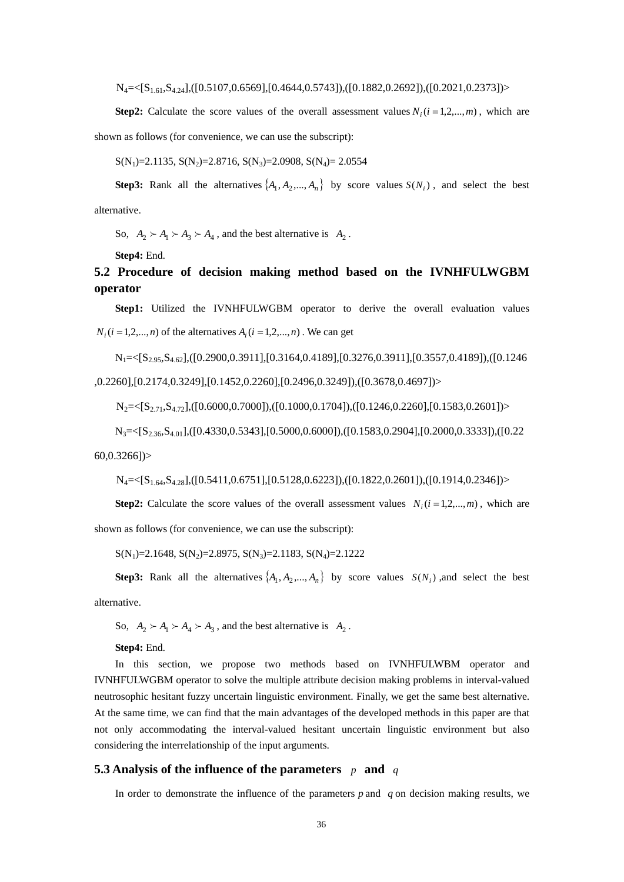$N_4 = \{S_{1,61}, S_{4,24}\}, \{(0.5107, 0.6569\}, [0.4644, 0.5743]), ([0.1882, 0.2692]), ([0.2021, 0.2373])\}$ 

**Step2:** Calculate the score values of the overall assessment values  $N_i$  ( $i = 1, 2, ..., m$ ), which are shown as follows (for convenience, we can use the subscript):

 $S(N_1)=2.1135, S(N_2)=2.8716, S(N_3)=2.0908, S(N_4)=2.0554$ 

**Step3:** Rank all the alternatives  $\{A_1, A_2, ..., A_n\}$  by score values  $S(N_i)$ , and select the best alternative.

So,  $A_2 \succ A_1 \succ A_3 \succ A_4$ , and the best alternative is  $A_2$ .

**Step4:** End.

# **5.2 Procedure of decision making method based on the IVNHFULWGBM operator**

**Step1:** Utilized the IVNHFULWGBM operator to derive the overall evaluation values  $N_i$  ( $i = 1, 2, \ldots, n$ ) of the alternatives  $A_i$  ( $i = 1, 2, \ldots, n$ ). We can get

 $N_1 = \{S_{2.95}, S_{4.62}\}, ( [0.2900, 0.3911], [0.3164, 0.4189], [0.3276, 0.3911], [0.3557, 0.4189], ( [0.1246, 0.3911], [0.3164, 0.3911], [0.3276, 0.3911], [0.3557, 0.3911], [0.3557, 0.3911], [0.3557, 0.3911], [0.3557, 0.3911], [0.3557, 0.3911], [0.35$ ,0.2260],[0.2174,0.3249],[0.1452,0.2260],[0.2496,0.3249]),([0.3678,0.4697])>

 $N_2 = \{S_{2,71}, S_{4,72}\}, \{(0.6000, 0.7000)\}, \{(0.1000, 0.1704)\}, \{(0.1246, 0.2260)\}, [0.1583, 0.2601]\}$ 

N3=<[S2.36,S4.01],([0.4330,0.5343],[0.5000,0.6000]),([0.1583,0.2904],[0.2000,0.3333]),([0.22

 $60.0.32661$ 

 $N_4 = \{S_{1.64}, S_{4.28}\}, \{(0.5411, 0.6751\}, [0.5128, 0.6223]), ([0.1822, 0.2601]), ([0.1914, 0.2346])\}$ 

**Step2:** Calculate the score values of the overall assessment values  $N_i$  ( $i = 1, 2, ..., m$ ), which are shown as follows (for convenience, we can use the subscript):

 $S(N_1)=2.1648, S(N_2)=2.8975, S(N_3)=2.1183, S(N_4)=2.1222$ 

**Step3:** Rank all the alternatives  $\{A_1, A_2, ..., A_n\}$  by score values  $S(N_i)$ , and select the best alternative.

So,  $A_2 \succ A_1 \succ A_4 \succ A_3$ , and the best alternative is  $A_2$ .

**Step4:** End.

In this section, we propose two methods based on IVNHFULWBM operator and IVNHFULWGBM operator to solve the multiple attribute decision making problems in interval-valued neutrosophic hesitant fuzzy uncertain linguistic environment. Finally, we get the same best alternative. At the same time, we can find that the main advantages of the developed methods in this paper are that not only accommodating the interval-valued hesitant uncertain linguistic environment but also considering the interrelationship of the input arguments.

# **5.3 Analysis of the influence of the parameters** *p* **and** *q*

In order to demonstrate the influence of the parameters  $p$  and  $q$  on decision making results, we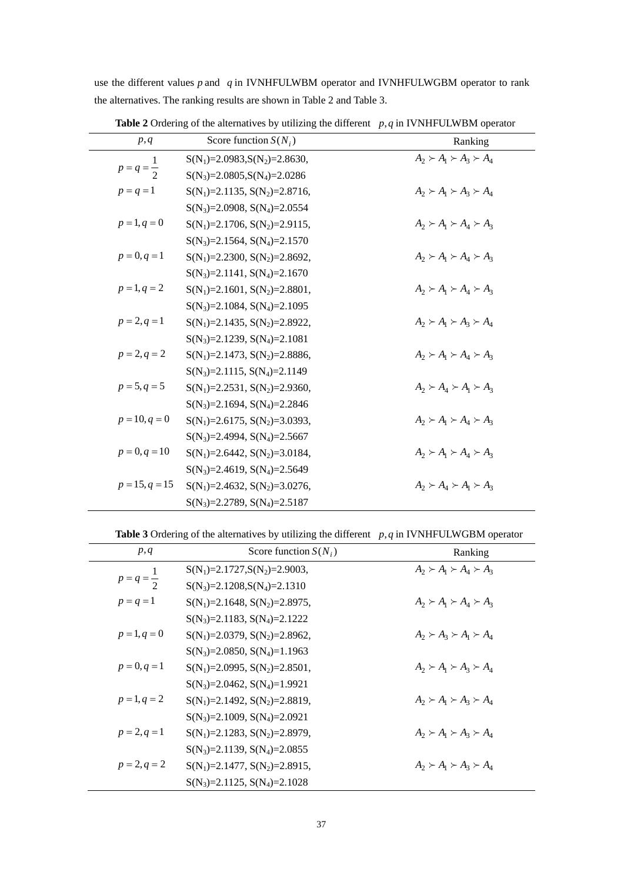|                       | <b>Table 2</b> Ordering of the alternatives by utilizing the different $p, q$ in IVNHFULWBM operator |                                     |
|-----------------------|------------------------------------------------------------------------------------------------------|-------------------------------------|
| p, q                  | Score function $S(N_i)$                                                                              | Ranking                             |
|                       | $S(N_1)=2.0983, S(N_2)=2.8630,$                                                                      | $A_2 \succ A_1 \succ A_2 \succ A_4$ |
| $p = q = \frac{1}{2}$ | $S(N_3)=2.0805$ , $S(N_4)=2.0286$                                                                    |                                     |
| $p = q = 1$           | $S(N_1)=2.1135, S(N_2)=2.8716,$                                                                      | $A_2 \succ A_1 \succ A_2 \succ A_4$ |
|                       | $S(N_3)=2.0908, S(N_4)=2.0554$                                                                       |                                     |
| $p = 1, q = 0$        | $S(N_1)=2.1706, S(N_2)=2.9115,$                                                                      | $A_2 \succ A_1 \succ A_4 \succ A_3$ |
|                       | $S(N_3)=2.1564, S(N_4)=2.1570$                                                                       |                                     |
| $p = 0, q = 1$        | $S(N_1)=2.2300, S(N_2)=2.8692,$                                                                      | $A_2 \succ A_1 \succ A_4 \succ A_3$ |
|                       | $S(N_3)=2.1141, S(N_4)=2.1670$                                                                       |                                     |
| $p = 1, q = 2$        | $S(N_1)=2.1601, S(N_2)=2.8801,$                                                                      | $A_2 \succ A_1 \succ A_4 \succ A_3$ |
|                       | $S(N_3)=2.1084, S(N_4)=2.1095$                                                                       |                                     |
| $p = 2, q = 1$        | $S(N_1)=2.1435, S(N_2)=2.8922,$                                                                      | $A_2 \succ A_1 \succ A_2 \succ A_4$ |
|                       | $S(N_3)=2.1239, S(N_4)=2.1081$                                                                       |                                     |
| $p = 2, q = 2$        | $S(N_1)=2.1473, S(N_2)=2.8886,$                                                                      | $A_2 \succ A_1 \succ A_4 \succ A_3$ |
|                       | $S(N_3)=2.1115, S(N_4)=2.1149$                                                                       |                                     |
| $p = 5, q = 5$        | $S(N_1)=2.2531, S(N_2)=2.9360,$                                                                      | $A_2 \succ A_4 \succ A_1 \succ A_3$ |
|                       | $S(N_3)=2.1694, S(N_4)=2.2846$                                                                       |                                     |
| $p = 10, q = 0$       | $S(N_1)=2.6175, S(N_2)=3.0393,$                                                                      | $A_2 \succ A_1 \succ A_4 \succ A_3$ |
|                       | $S(N_3)=2.4994, S(N_4)=2.5667$                                                                       |                                     |
| $p = 0, q = 10$       | $S(N_1)=2.6442, S(N_2)=3.0184,$                                                                      | $A_2 \succ A_1 \succ A_4 \succ A_3$ |
|                       | $S(N_3)=2.4619, S(N_4)=2.5649$                                                                       |                                     |
| $p = 15, q = 15$      | $S(N_1)=2.4632, S(N_2)=3.0276,$                                                                      | $A_2 \succ A_4 \succ A_1 \succ A_3$ |
|                       | $S(N_3)=2.2789, S(N_4)=2.5187$                                                                       |                                     |

the alternatives. The ranking results are shown in Table 2 and Table 3.

use the different values *p* and *q* in IVNHFULWBM operator and IVNHFULWGBM operator to rank

**Table 3** Ordering of the alternatives by utilizing the different *p*, *q* in IVNHFULWGBM operator

| p, q                  | Score function $S(N_i)$           | Ranking                             |
|-----------------------|-----------------------------------|-------------------------------------|
|                       | $S(N_1)=2.1727.S(N_2)=2.9003$ ,   | $A_2 \succ A_1 \succ A_4 \succ A_3$ |
| $p = q = \frac{1}{2}$ | $S(N_3)=2.1208, S(N_4)=2.1310$    |                                     |
| $p = q = 1$           | $S(N_1)=2.1648, S(N_2)=2.8975,$   | $A_2 \succ A_1 \succ A_4 \succ A_3$ |
|                       | $S(N_3)=2.1183, S(N_4)=2.1222$    |                                     |
| $p = 1, q = 0$        | $S(N_1)=2.0379, S(N_2)=2.8962,$   | $A_2 \succ A_3 \succ A_1 \succ A_4$ |
|                       | $S(N_3)=2.0850, S(N_4)=1.1963$    |                                     |
| $p = 0, q = 1$        | $S(N_1)=2.0995, S(N_2)=2.8501,$   | $A_2 \succ A_1 \succ A_2 \succ A_4$ |
|                       | $S(N_3)=2.0462$ , $S(N_4)=1.9921$ |                                     |
| $p = 1, q = 2$        | $S(N_1)=2.1492, S(N_2)=2.8819,$   | $A_2 \succ A_1 \succ A_2 \succ A_4$ |
|                       | $S(N_3)=2.1009, S(N_4)=2.0921$    |                                     |
| $p = 2, q = 1$        | $S(N_1)=2.1283, S(N_2)=2.8979,$   | $A_2 \succ A_1 \succ A_3 \succ A_4$ |
|                       | $S(N_3)=2.1139, S(N_4)=2.0855$    |                                     |
| $p = 2, q = 2$        | $S(N_1)=2.1477, S(N_2)=2.8915,$   | $A_2 \succ A_1 \succ A_3 \succ A_4$ |
|                       | $S(N_3)=2.1125$ , $S(N_4)=2.1028$ |                                     |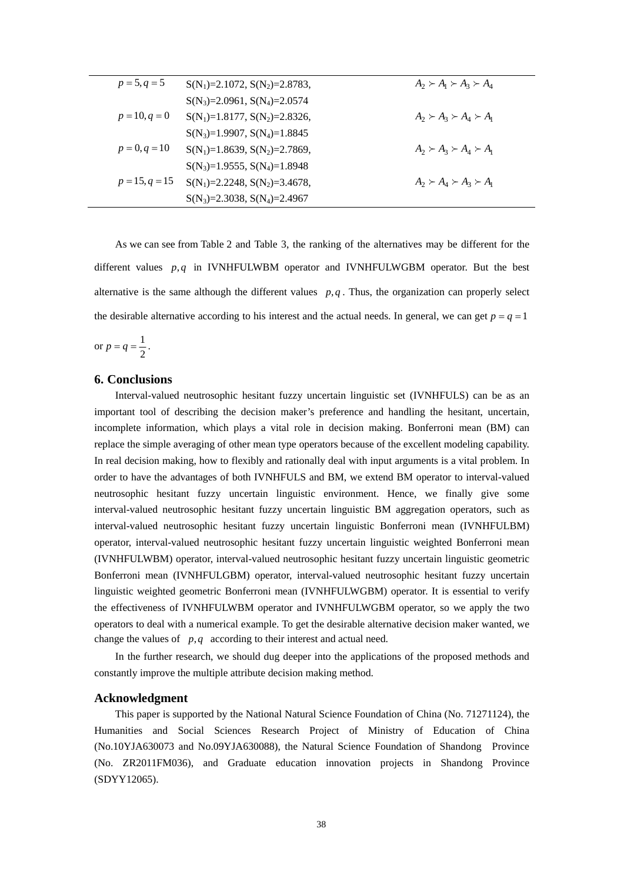| $p = 5, q = 5$   | $S(N_1)=2.1072, S(N_2)=2.8783,$ | $A_2 \succ A_1 \succ A_3 \succ A_4$ |
|------------------|---------------------------------|-------------------------------------|
|                  | $S(N_3)=2.0961, S(N_4)=2.0574$  |                                     |
| $p = 10, q = 0$  | $S(N_1)=1.8177, S(N_2)=2.8326,$ | $A_2 \succ A_3 \succ A_4 \succ A_1$ |
|                  | $S(N_3)=1.9907, S(N_4)=1.8845$  |                                     |
| $p = 0, q = 10$  | $S(N_1)=1.8639, S(N_2)=2.7869,$ | $A_2 \succ A_3 \succ A_4 \succ A_1$ |
|                  | $S(N_3)=1.9555, S(N_4)=1.8948$  |                                     |
| $p = 15, q = 15$ | $S(N_1)=2.2248, S(N_2)=3.4678,$ | $A_2 \succ A_4 \succ A_3 \succ A_1$ |
|                  | $S(N_3)=2.3038, S(N_4)=2.4967$  |                                     |
|                  |                                 |                                     |

As we can see from Table 2 and Table 3, the ranking of the alternatives may be different for the different values *p*, *q* in IVNHFULWBM operator and IVNHFULWGBM operator. But the best alternative is the same although the different values  $p, q$ . Thus, the organization can properly select the desirable alternative according to his interest and the actual needs. In general, we can get  $p = q = 1$ 

or  $p = q = \frac{1}{2}$  $p = q = \frac{1}{q}$ .

## **6. Conclusions**

Interval-valued neutrosophic hesitant fuzzy uncertain linguistic set (IVNHFULS) can be as an important tool of describing the decision maker's preference and handling the hesitant, uncertain, incomplete information, which plays a vital role in decision making. Bonferroni mean (BM) can replace the simple averaging of other mean type operators because of the excellent modeling capability. In real decision making, how to flexibly and rationally deal with input arguments is a vital problem. In order to have the advantages of both IVNHFULS and BM, we extend BM operator to interval-valued neutrosophic hesitant fuzzy uncertain linguistic environment. Hence, we finally give some interval-valued neutrosophic hesitant fuzzy uncertain linguistic BM aggregation operators, such as interval-valued neutrosophic hesitant fuzzy uncertain linguistic Bonferroni mean (IVNHFULBM) operator, interval-valued neutrosophic hesitant fuzzy uncertain linguistic weighted Bonferroni mean (IVNHFULWBM) operator, interval-valued neutrosophic hesitant fuzzy uncertain linguistic geometric Bonferroni mean (IVNHFULGBM) operator, interval-valued neutrosophic hesitant fuzzy uncertain linguistic weighted geometric Bonferroni mean (IVNHFULWGBM) operator. It is essential to verify the effectiveness of IVNHFULWBM operator and IVNHFULWGBM operator, so we apply the two operators to deal with a numerical example. To get the desirable alternative decision maker wanted, we change the values of *p*,*q* according to their interest and actual need.

In the further research, we should dug deeper into the applications of the proposed methods and constantly improve the multiple attribute decision making method.

#### **Acknowledgment**

This paper is supported by the National Natural Science Foundation of China (No. 71271124), the Humanities and Social Sciences Research Project of Ministry of Education of China (No.10YJA630073 and No.09YJA630088), the Natural Science Foundation of Shandong Province (No. ZR2011FM036), and Graduate education innovation projects in Shandong Province (SDYY12065).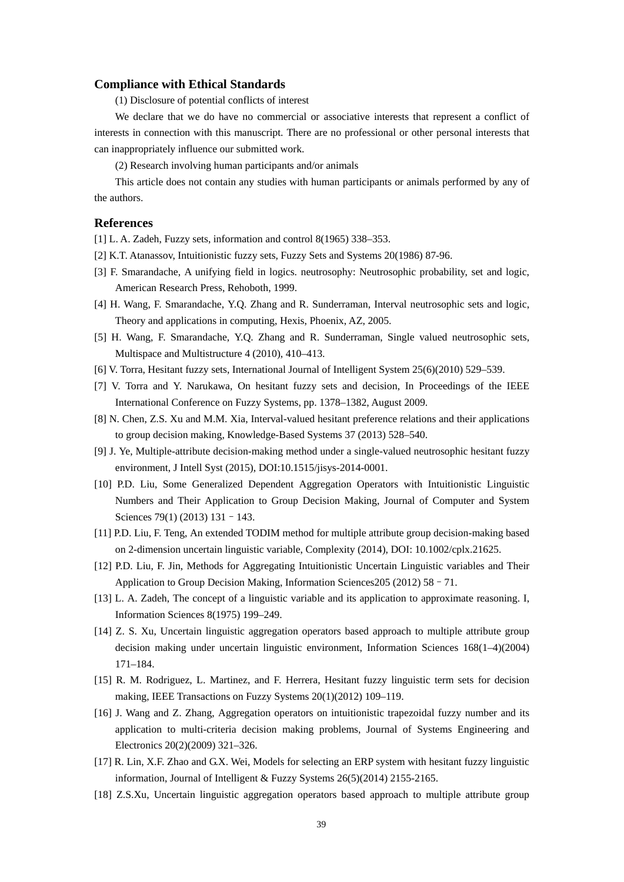#### **Compliance with Ethical Standards**

(1) Disclosure of potential conflicts of interest

We declare that we do have no commercial or associative interests that represent a conflict of interests in connection with this manuscript. There are no professional or other personal interests that can inappropriately influence our submitted work.

(2) Research involving human participants and/or animals

This article does not contain any studies with human participants or animals performed by any of the authors.

# **References**

[1] L. A. Zadeh, Fuzzy sets, information and control 8(1965) 338–353.

- [2] K.T. Atanassov, Intuitionistic fuzzy sets, Fuzzy Sets and Systems 20(1986) 87-96.
- [3] F. Smarandache, A unifying field in logics. neutrosophy: Neutrosophic probability, set and logic, American Research Press, Rehoboth, 1999.
- [4] H. Wang, F. Smarandache, Y.Q. Zhang and R. Sunderraman, Interval neutrosophic sets and logic, Theory and applications in computing, Hexis, Phoenix, AZ, 2005.
- [5] H. Wang, F. Smarandache, Y.Q. Zhang and R. Sunderraman, Single valued neutrosophic sets, Multispace and Multistructure 4 (2010), 410–413.
- [6] V. Torra, Hesitant fuzzy sets, International Journal of Intelligent System 25(6)(2010) 529–539.
- [7] V. Torra and Y. Narukawa, On hesitant fuzzy sets and decision, In Proceedings of the IEEE International Conference on Fuzzy Systems, pp. 1378–1382, August 2009.
- [8] N. Chen, Z.S. Xu and M.M. Xia, Interval-valued hesitant preference relations and their applications to group decision making, Knowledge-Based Systems 37 (2013) 528–540.
- [9] J. Ye, Multiple-attribute decision-making method under a single-valued neutrosophic hesitant fuzzy environment, J Intell Syst (2015), DOI:10.1515/jisys-2014-0001.
- [10] P.D. Liu, Some Generalized Dependent Aggregation Operators with Intuitionistic Linguistic Numbers and Their Application to Group Decision Making, Journal of Computer and System Sciences 79(1) (2013) 131 - 143.
- [11] P.D. Liu, F. Teng, An extended TODIM method for multiple attribute group decision-making based on 2-dimension uncertain linguistic variable, Complexity (2014), DOI: 10.1002/cplx.21625.
- [12] P.D. Liu, F. Jin, Methods for Aggregating Intuitionistic Uncertain Linguistic variables and Their Application to Group Decision Making, Information Sciences205 (2012) 58–71.
- [13] L. A. Zadeh, The concept of a linguistic variable and its application to approximate reasoning. I, Information Sciences 8(1975) 199–249.
- [14] Z. S. Xu, Uncertain linguistic aggregation operators based approach to multiple attribute group decision making under uncertain linguistic environment, Information Sciences 168(1–4)(2004) 171–184.
- [15] R. M. Rodriguez, L. Martinez, and F. Herrera, Hesitant fuzzy linguistic term sets for decision making, IEEE Transactions on Fuzzy Systems 20(1)(2012) 109–119.
- [16] J. Wang and Z. Zhang, Aggregation operators on intuitionistic trapezoidal fuzzy number and its application to multi-criteria decision making problems, Journal of Systems Engineering and Electronics 20(2)(2009) 321–326.
- [17] R. Lin, X.F. Zhao and G.X. Wei, Models for selecting an ERP system with hesitant fuzzy linguistic information, Journal of Intelligent & Fuzzy Systems 26(5)(2014) 2155-2165.
- [18] Z.S.Xu, Uncertain linguistic aggregation operators based approach to multiple attribute group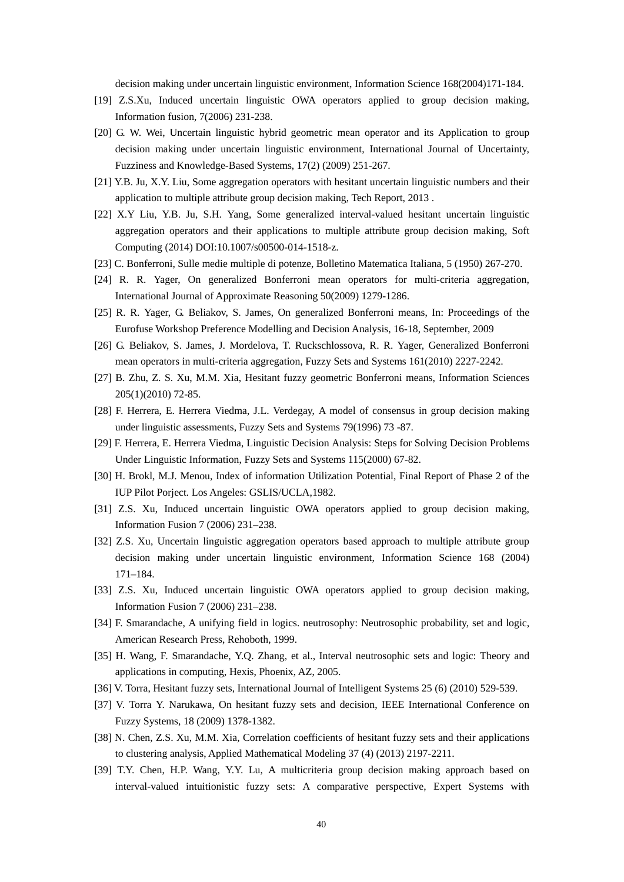decision making under uncertain linguistic environment, Information Science 168(2004)171-184.

- [19] Z.S.Xu, Induced uncertain linguistic OWA operators applied to group decision making, Information fusion, 7(2006) 231-238.
- [20] G. W. Wei, Uncertain linguistic hybrid geometric mean operator and its Application to group decision making under uncertain linguistic environment, International Journal of Uncertainty, Fuzziness and Knowledge-Based Systems, 17(2) (2009) 251-267.
- [21] Y.B. Ju, X.Y. Liu, Some aggregation operators with hesitant uncertain linguistic numbers and their application to multiple attribute group decision making, Tech Report, 2013 .
- [22] X.Y Liu, Y.B. Ju, S.H. Yang, Some generalized interval-valued hesitant uncertain linguistic aggregation operators and their applications to multiple attribute group decision making, Soft Computing (2014) DOI:10.1007/s00500-014-1518-z.
- [23] C. Bonferroni, Sulle medie multiple di potenze, Bolletino Matematica Italiana, 5 (1950) 267-270.
- [24] R. R. Yager, On generalized Bonferroni mean operators for multi-criteria aggregation, International Journal of Approximate Reasoning 50(2009) 1279-1286.
- [25] R. R. Yager, G. Beliakov, S. James, On generalized Bonferroni means, In: Proceedings of the Eurofuse Workshop Preference Modelling and Decision Analysis, 16-18, September, 2009
- [26] G. Beliakov, S. James, J. Mordelova, T. Ruckschlossova, R. R. Yager, Generalized Bonferroni mean operators in multi-criteria aggregation, Fuzzy Sets and Systems 161(2010) 2227-2242.
- [27] B. Zhu, Z. S. Xu, M.M. Xia, Hesitant fuzzy geometric Bonferroni means, Information Sciences 205(1)(2010) 72-85.
- [28] F. Herrera, E. Herrera Viedma, J.L. Verdegay, A model of consensus in group decision making under linguistic assessments, Fuzzy Sets and Systems 79(1996) 73 -87.
- [29] F. Herrera, E. Herrera Viedma, Linguistic Decision Analysis: Steps for Solving Decision Problems Under Linguistic Information, Fuzzy Sets and Systems 115(2000) 67-82.
- [30] H. Brokl, M.J. Menou, Index of information Utilization Potential, Final Report of Phase 2 of the IUP Pilot Porject. Los Angeles: GSLIS/UCLA,1982.
- [31] Z.S. Xu, Induced uncertain linguistic OWA operators applied to group decision making, Information Fusion 7 (2006) 231–238.
- [32] Z.S. Xu, Uncertain linguistic aggregation operators based approach to multiple attribute group decision making under uncertain linguistic environment, Information Science 168 (2004) 171–184.
- [33] Z.S. Xu, Induced uncertain linguistic OWA operators applied to group decision making, Information Fusion 7 (2006) 231–238.
- [34] F. Smarandache, A unifying field in logics. neutrosophy: Neutrosophic probability, set and logic, American Research Press, Rehoboth, 1999.
- [35] H. Wang, F. Smarandache, Y.Q. Zhang, et al., Interval neutrosophic sets and logic: Theory and applications in computing, Hexis, Phoenix, AZ, 2005.
- [36] V. Torra, Hesitant fuzzy sets, International Journal of Intelligent Systems 25 (6) (2010) 529-539.
- [37] V. Torra Y. Narukawa, On hesitant fuzzy sets and decision, IEEE International Conference on Fuzzy Systems, 18 (2009) 1378-1382.
- [38] N. Chen, Z.S. Xu, M.M. Xia, Correlation coefficients of hesitant fuzzy sets and their applications to clustering analysis, Applied Mathematical Modeling 37 (4) (2013) 2197-2211.
- [39] T.Y. Chen, H.P. Wang, Y.Y. Lu, A multicriteria group decision making approach based on interval-valued intuitionistic fuzzy sets: A comparative perspective, Expert Systems with